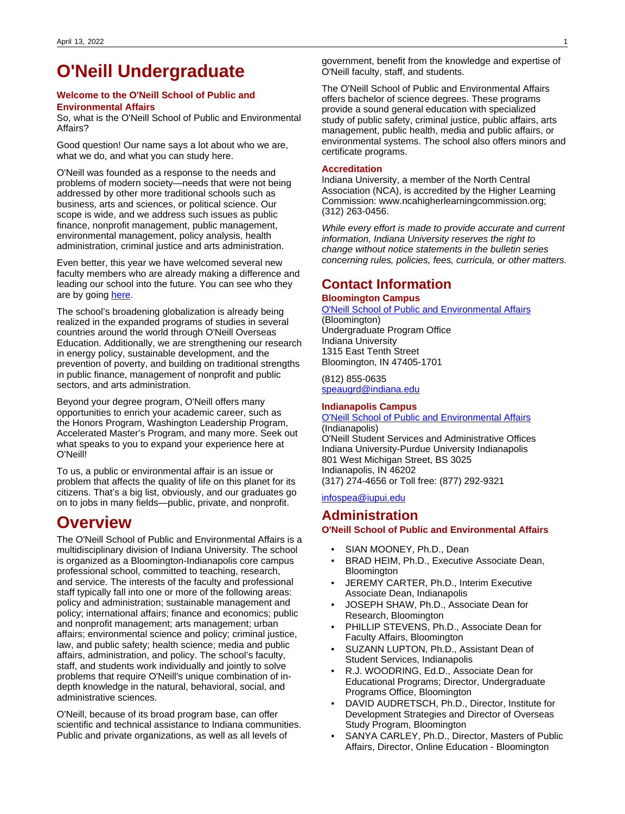# <span id="page-0-0"></span>**O'Neill Undergraduate**

#### **Welcome to the O'Neill School of Public and Environmental Affairs**

So, what is the O'Neill School of Public and Environmental Affairs?

Good question! Our name says a lot about who we are, what we do, and what you can study here.

O'Neill was founded as a response to the needs and problems of modern society—needs that were not being addressed by other more traditional schools such as business, arts and sciences, or political science. Our scope is wide, and we address such issues as public finance, nonprofit management, public management, environmental management, policy analysis, health administration, criminal justice and arts administration.

Even better, this year we have welcomed several new faculty members who are already making a difference and leading our school into the future. You can see who they are by going [here](https://spea.indiana.edu/faculty-research/directory/index.html).

The school's broadening globalization is already being realized in the expanded programs of studies in several countries around the world through O'Neill Overseas Education. Additionally, we are strengthening our research in energy policy, sustainable development, and the prevention of poverty, and building on traditional strengths in public finance, management of nonprofit and public sectors, and arts administration.

Beyond your degree program, O'Neill offers many opportunities to enrich your academic career, such as the Honors Program, Washington Leadership Program, Accelerated Master's Program, and many more. Seek out what speaks to you to expand your experience here at O'Neill!

To us, a public or environmental affair is an issue or problem that affects the quality of life on this planet for its citizens. That's a big list, obviously, and our graduates go on to jobs in many fields—public, private, and nonprofit.

# **Overview**

The O'Neill School of Public and Environmental Affairs is a multidisciplinary division of Indiana University. The school is organized as a Bloomington-Indianapolis core campus professional school, committed to teaching, research, and service. The interests of the faculty and professional staff typically fall into one or more of the following areas: policy and administration; sustainable management and policy; international affairs; finance and economics; public and nonprofit management; arts management; urban affairs; environmental science and policy; criminal justice, law, and public safety; health science; media and public affairs, administration, and policy. The school's faculty, staff, and students work individually and jointly to solve problems that require O'Neill's unique combination of indepth knowledge in the natural, behavioral, social, and administrative sciences.

O'Neill, because of its broad program base, can offer scientific and technical assistance to Indiana communities. Public and private organizations, as well as all levels of

government, benefit from the knowledge and expertise of O'Neill faculty, staff, and students.

The O'Neill School of Public and Environmental Affairs offers bachelor of science degrees. These programs provide a sound general education with specialized study of public safety, criminal justice, public affairs, arts management, public health, media and public affairs, or environmental systems. The school also offers minors and certificate programs.

#### **Accreditation**

Indiana University, a member of the North Central Association (NCA), is accredited by the Higher Learning Commission: www.ncahigherlearningcommission.org; (312) 263-0456.

While every effort is made to provide accurate and current information, Indiana University reserves the right to change without notice statements in the bulletin series concerning rules, policies, fees, curricula, or other matters.

# **Contact Information**

#### **Bloomington Campus**

### [O'Neill School of Public and Environmental Affairs](https://oneill.indiana.edu/undergraduate/index.html)

(Bloomington) Undergraduate Program Office Indiana University 1315 East Tenth Street Bloomington, IN 47405-1701

(812) 855-0635 [speaugrd@indiana.edu](mailto:oneillug@indiana.edu)

#### **Indianapolis Campus**

[O'Neill School of Public and Environmental Affairs](https://oneill.iupui.edu/) (Indianapolis) O'Neill Student Services and Administrative Offices Indiana University-Purdue University Indianapolis 801 West Michigan Street, BS 3025 Indianapolis, IN 46202 (317) 274-4656 or Toll free: (877) 292-9321

[infospea@iupui.edu](mailto:oneillqa@iupui.edu)

### **Administration O'Neill School of Public and Environmental Affairs**

- SIAN MOONEY, Ph.D., Dean
- BRAD HEIM, Ph.D., Executive Associate Dean, **Bloomington**
- JEREMY CARTER, Ph.D., Interim Executive Associate Dean, Indianapolis
- JOSEPH SHAW, Ph.D., Associate Dean for Research, Bloomington
- PHILLIP STEVENS, Ph.D., Associate Dean for Faculty Affairs, Bloomington
- SUZANN LUPTON, Ph.D., Assistant Dean of Student Services, Indianapolis
- R.J. WOODRING, Ed.D., Associate Dean for Educational Programs; Director, Undergraduate Programs Office, Bloomington
- DAVID AUDRETSCH, Ph.D., Director, Institute for Development Strategies and Director of Overseas Study Program, Bloomington
- SANYA CARLEY, Ph.D., Director, Masters of Public Affairs, Director, Online Education - Bloomington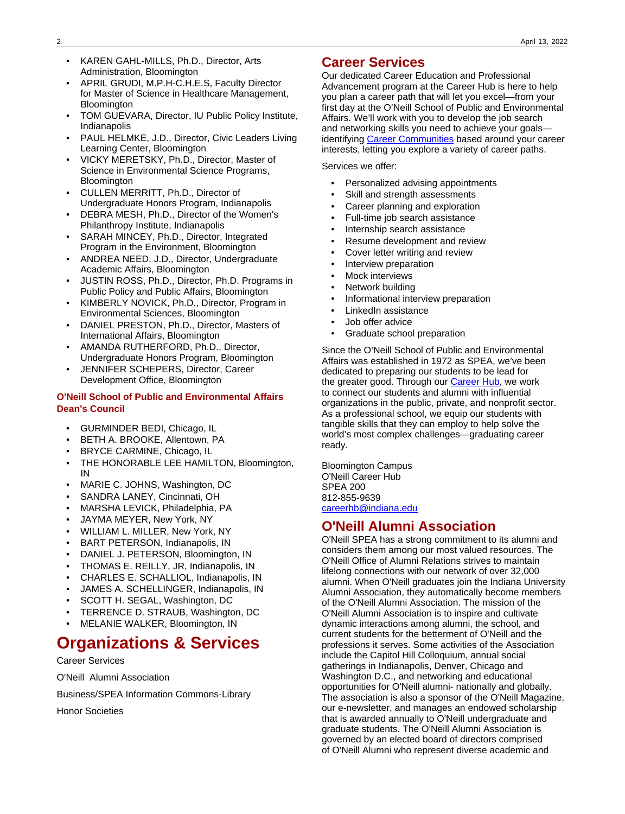- KAREN GAHL-MILLS, Ph.D., Director, Arts Administration, Bloomington
- APRIL GRUDI, M.P.H-C.H.E.S, Faculty Director for Master of Science in Healthcare Management, **Bloomington**
- TOM GUEVARA, Director, IU Public Policy Institute, Indianapolis
- PAUL HELMKE, J.D., Director, Civic Leaders Living Learning Center, Bloomington
- VICKY MERETSKY, Ph.D., Director, Master of Science in Environmental Science Programs, **Bloomington**
- CULLEN MERRITT, Ph.D., Director of Undergraduate Honors Program, Indianapolis
- DEBRA MESH, Ph.D., Director of the Women's Philanthropy Institute, Indianapolis
- SARAH MINCEY, Ph.D., Director, Integrated Program in the Environment, Bloomington
- ANDREA NEED, J.D., Director, Undergraduate Academic Affairs, Bloomington
- JUSTIN ROSS, Ph.D., Director, Ph.D. Programs in Public Policy and Public Affairs, Bloomington
- KIMBERLY NOVICK, Ph.D., Director, Program in Environmental Sciences, Bloomington
- DANIEL PRESTON, Ph.D., Director, Masters of International Affairs, Bloomington
- AMANDA RUTHERFORD, Ph.D., Director, Undergraduate Honors Program, Bloomington
- JENNIFER SCHEPERS, Director, Career Development Office, Bloomington

#### **O'Neill School of Public and Environmental Affairs Dean's Council**

- GURMINDER BEDI, Chicago, IL
- BETH A. BROOKE, Allentown, PA
- BRYCE CARMINE, Chicago, IL
- THE HONORABLE LEE HAMILTON, Bloomington, IN
- MARIE C. JOHNS, Washington, DC
- SANDRA LANEY, Cincinnati, OH
- MARSHA LEVICK, Philadelphia, PA
- JAYMA MEYER, New York, NY
- WILLIAM L. MILLER, New York, NY
- BART PETERSON, Indianapolis, IN
- DANIEL J. PETERSON, Bloomington, IN
- THOMAS E. REILLY, JR, Indianapolis, IN
- CHARLES E. SCHALLIOL, Indianapolis, IN
- JAMES A. SCHELLINGER, Indianapolis, IN
- SCOTT H. SEGAL, Washington, DC
- TERRENCE D. STRAUB, Washington, DC
- MELANIE WALKER, Bloomington, IN

# **Organizations & Services**

Career Services

O'Neill Alumni Association

Business/SPEA Information Commons-Library

Honor Societies

# **Career Services**

Our dedicated Career Education and Professional Advancement program at the Career Hub is here to help you plan a career path that will let you excel—from your first day at the O'Neill School of Public and Environmental Affairs. We'll work with you to develop the job search and networking skills you need to achieve your goals— identifying [Career Communities](https://speacareerhub.indiana.edu/what-are-career-communities/#https://speacareerhub.indiana.edu/what-are-career-communities/) based around your career interests, letting you explore a variety of career paths.

Services we offer:

- Personalized advising appointments
- Skill and strength assessments
- Career planning and exploration
- Full-time job search assistance
- Internship search assistance
- Resume development and review
- Cover letter writing and review
- Interview preparation
- Mock interviews
- Network building
- Informational interview preparation
- LinkedIn assistance
- Job offer advice
- Graduate school preparation

Since the O'Neill School of Public and Environmental Affairs was established in 1972 as SPEA, we've been dedicated to preparing our students to be lead for the greater good. Through our [Career Hub](https://oneillcareerhub.indiana.edu/), we work to connect our students and alumni with influential organizations in the public, private, and nonprofit sector. As a professional school, we equip our students with tangible skills that they can employ to help solve the world's most complex challenges—graduating career ready.

Bloomington Campus O'Neill Career Hub SPEA 200 812-855-9639 [careerhb@indiana.edu](mailto:careerhb@indiana.edu)

# **O'Neill Alumni Association**

O'Neill SPEA has a strong commitment to its alumni and considers them among our most valued resources. The O'Neill Office of Alumni Relations strives to maintain lifelong connections with our network of over 32,000 alumni. When O'Neill graduates join the Indiana University Alumni Association, they automatically become members of the O'Neill Alumni Association. The mission of the O'Neill Alumni Association is to inspire and cultivate dynamic interactions among alumni, the school, and current students for the betterment of O'Neill and the professions it serves. Some activities of the Association include the Capitol Hill Colloquium, annual social gatherings in Indianapolis, Denver, Chicago and Washington D.C., and networking and educational opportunities for O'Neill alumni- nationally and globally. The association is also a sponsor of the O'Neill Magazine, our e-newsletter, and manages an endowed scholarship that is awarded annually to O'Neill undergraduate and graduate students. The O'Neill Alumni Association is governed by an elected board of directors comprised of O'Neill Alumni who represent diverse academic and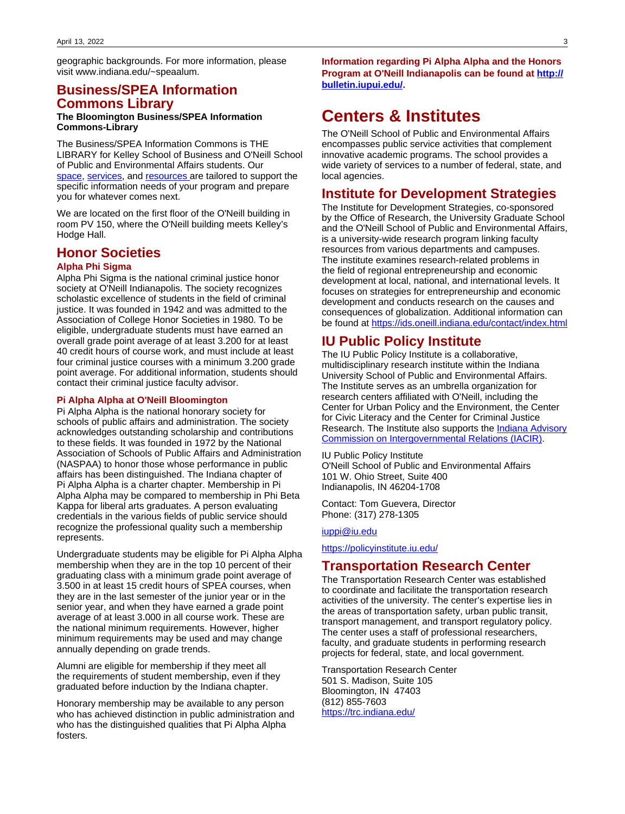geographic backgrounds. For more information, please visit www.indiana.edu/~speaalum.

# **Business/SPEA Information Commons Library**

#### **The Bloomington Business/SPEA Information Commons-Library**

The Business/SPEA Information Commons is THE LIBRARY for Kelley School of Business and O'Neill School of Public and Environmental Affairs students. Our [space](https://libraries.indiana.edu/businessspea-library#panel-rooms), [services](https://libraries.indiana.edu/businessspea-library#panel-services), and [resources a](https://libraries.indiana.edu/businessspea-library#panel-helpful-info)re tailored to support the specific information needs of your program and prepare you for whatever comes next.

We are located on the first floor of the O'Neill building in room PV 150, where the O'Neill building meets Kelley's Hodge Hall.

### **Honor Societies**

#### **Alpha Phi Sigma**

Alpha Phi Sigma is the national criminal justice honor society at O'Neill Indianapolis. The society recognizes scholastic excellence of students in the field of criminal justice. It was founded in 1942 and was admitted to the Association of College Honor Societies in 1980. To be eligible, undergraduate students must have earned an overall grade point average of at least 3.200 for at least 40 credit hours of course work, and must include at least four criminal justice courses with a minimum 3.200 grade point average. For additional information, students should contact their criminal justice faculty advisor.

#### **Pi Alpha Alpha at O'Neill Bloomington**

Pi Alpha Alpha is the national honorary society for schools of public affairs and administration. The society acknowledges outstanding scholarship and contributions to these fields. It was founded in 1972 by the National Association of Schools of Public Affairs and Administration (NASPAA) to honor those whose performance in public affairs has been distinguished. The Indiana chapter of Pi Alpha Alpha is a charter chapter. Membership in Pi Alpha Alpha may be compared to membership in Phi Beta Kappa for liberal arts graduates. A person evaluating credentials in the various fields of public service should recognize the professional quality such a membership represents.

Undergraduate students may be eligible for Pi Alpha Alpha membership when they are in the top 10 percent of their graduating class with a minimum grade point average of 3.500 in at least 15 credit hours of SPEA courses, when they are in the last semester of the junior year or in the senior year, and when they have earned a grade point average of at least 3.000 in all course work. These are the national minimum requirements. However, higher minimum requirements may be used and may change annually depending on grade trends.

Alumni are eligible for membership if they meet all the requirements of student membership, even if they graduated before induction by the Indiana chapter.

Honorary membership may be available to any person who has achieved distinction in public administration and who has the distinguished qualities that Pi Alpha Alpha fosters.

**Information regarding Pi Alpha Alpha and the Honors Program at O'Neill Indianapolis can be found at [http://](http://bulletin.iupui.edu/) [bulletin.iupui.edu/](http://bulletin.iupui.edu/).**

# **Centers & Institutes**

The O'Neill School of Public and Environmental Affairs encompasses public service activities that complement innovative academic programs. The school provides a wide variety of services to a number of federal, state, and local agencies.

### **Institute for Development Strategies**

The Institute for Development Strategies, co-sponsored by the Office of Research, the University Graduate School and the O'Neill School of Public and Environmental Affairs, is a university-wide research program linking faculty resources from various departments and campuses. The institute examines research-related problems in the field of regional entrepreneurship and economic development at local, national, and international levels. It focuses on strategies for entrepreneurship and economic development and conducts research on the causes and consequences of globalization. Additional information can be found at <https://ids.oneill.indiana.edu/contact/index.html>

# **IU Public Policy Institute**

The IU Public Policy Institute is a collaborative, multidisciplinary research institute within the Indiana University School of Public and Environmental Affairs. The Institute serves as an umbrella organization for research centers affiliated with O'Neill, including the Center for Urban Policy and the Environment, the Center for Civic Literacy and the Center for Criminal Justice Research. The Institute also supports the [Indiana Advisory](http://iacir.spea.iupui.edu/) [Commission on Intergovernmental Relations \(IACIR\).](http://iacir.spea.iupui.edu/)

IU Public Policy Institute O'Neill School of Public and Environmental Affairs 101 W. Ohio Street, Suite 400 Indianapolis, IN 46204-1708

Contact: Tom Guevera, Director Phone: (317) 278-1305

#### [iuppi@iu.edu](mailto:iuppi@iu.edu)

[https://policyinstitute.iu.edu/](https://policyinstitute.iu.edu/#https://policyinstitute.iu.edu/)

### **Transportation Research Center**

The Transportation Research Center was established to coordinate and facilitate the transportation research activities of the university. The center's expertise lies in the areas of transportation safety, urban public transit, transport management, and transport regulatory policy. The center uses a staff of professional researchers, faculty, and graduate students in performing research projects for federal, state, and local government.

Transportation Research Center 501 S. Madison, Suite 105 Bloomington, IN 47403 (812) 855-7603 <https://trc.indiana.edu/>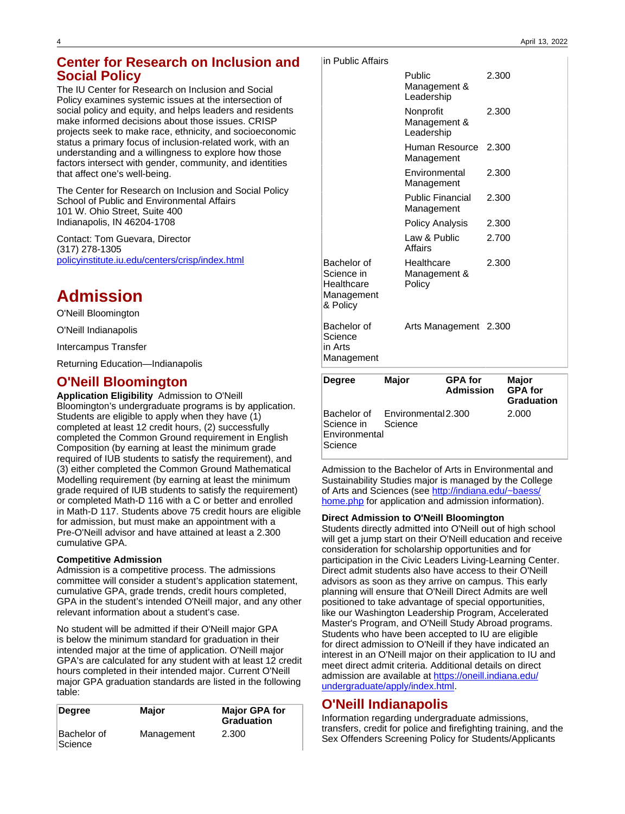# **Center for Research on Inclusion and Social Policy**

The IU Center for Research on Inclusion and Social Policy examines systemic issues at the intersection of social policy and equity, and helps leaders and residents make informed decisions about those issues. CRISP projects seek to make race, ethnicity, and socioeconomic status a primary focus of inclusion-related work, with an understanding and a willingness to explore how those factors intersect with gender, community, and identities that affect one's well-being.

The Center for Research on Inclusion and Social Policy School of Public and Environmental Affairs 101 W. Ohio Street, Suite 400 Indianapolis, IN 46204-1708

Contact: Tom Guevara, Director (317) 278-1305 [policyinstitute.iu.edu/centers/crisp/index.html](https://policyinstitute.iu.edu/centers/crisp/index.html)

# **Admission**

O'Neill Bloomington

O'Neill Indianapolis

Intercampus Transfer

Returning Education—Indianapolis

# **O'Neill Bloomington**

**Application Eligibility** Admission to O'Neill Bloomington's undergraduate programs is by application. Students are eligible to apply when they have (1) completed at least 12 credit hours, (2) successfully completed the Common Ground requirement in English Composition (by earning at least the minimum grade required of IUB students to satisfy the requirement), and (3) either completed the Common Ground Mathematical Modelling requirement (by earning at least the minimum grade required of IUB students to satisfy the requirement) or completed Math-D 116 with a C or better and enrolled in Math-D 117. Students above 75 credit hours are eligible for admission, but must make an appointment with a Pre-O'Neill advisor and have attained at least a 2.300 cumulative GPA.

#### **Competitive Admission**

Admission is a competitive process. The admissions committee will consider a student's application statement, cumulative GPA, grade trends, credit hours completed, GPA in the student's intended O'Neill major, and any other relevant information about a student's case.

No student will be admitted if their O'Neill major GPA is below the minimum standard for graduation in their intended major at the time of application. O'Neill major GPA's are calculated for any student with at least 12 credit hours completed in their intended major. Current O'Neill major GPA graduation standards are listed in the following table:

| Degree                 | Major      | <b>Major GPA for</b><br><b>Graduation</b> |
|------------------------|------------|-------------------------------------------|
| Bachelor of<br>Science | Management | 2.300                                     |

|  |  |  | lin Public Affairs |  |  |
|--|--|--|--------------------|--|--|
|--|--|--|--------------------|--|--|

|                                                                   | Public<br>Management &<br>Leadership    | 2.300 |
|-------------------------------------------------------------------|-----------------------------------------|-------|
|                                                                   | Nonprofit<br>Management &<br>Leadership | 2.300 |
|                                                                   | Human Resource<br>Management            | 2.300 |
|                                                                   | Environmental<br>Management             | 2.300 |
|                                                                   | <b>Public Financial</b><br>Management   | 2.300 |
|                                                                   | Policy Analysis                         | 2.300 |
|                                                                   | Law & Public<br>Affairs                 | 2.700 |
| Bachelor of<br>Science in<br>Healthcare<br>Management<br>& Policy | Healthcare<br>Management &<br>Policy    | 2.300 |
| Bachelor of<br>Science<br>in Arts<br>Management                   | Arts Management 2.300                   |       |

| <b>Degree</b>                          | Major                                      | <b>GPA</b> for<br><b>Admission</b> | Major<br><b>GPA for</b><br><b>Graduation</b> |
|----------------------------------------|--------------------------------------------|------------------------------------|----------------------------------------------|
| Science in<br>Environmental<br>Science | Bachelor of Environmental 2.300<br>Science |                                    | 2.000                                        |

Admission to the Bachelor of Arts in Environmental and Sustainability Studies major is managed by the College of Arts and Sciences (see [http://indiana.edu/~baess/](http://indiana.edu/~baess/home.php) [home.php](http://indiana.edu/~baess/home.php) for application and admission information).

#### **Direct Admission to O'Neill Bloomington**

Students directly admitted into O'Neill out of high school will get a jump start on their O'Neill education and receive consideration for scholarship opportunities and for participation in the Civic Leaders Living-Learning Center. Direct admit students also have access to their O'Neill advisors as soon as they arrive on campus. This early planning will ensure that O'Neill Direct Admits are well positioned to take advantage of special opportunities, like our Washington Leadership Program, Accelerated Master's Program, and O'Neill Study Abroad programs. Students who have been accepted to IU are eligible for direct admission to O'Neill if they have indicated an interest in an O'Neill major on their application to IU and meet direct admit criteria. Additional details on direct admission are available at [https://oneill.indiana.edu/](#https://oneill.indiana.edu/undergraduate/apply/index.html) [undergraduate/apply/index.html](#https://oneill.indiana.edu/undergraduate/apply/index.html).

# **O'Neill Indianapolis**

Information regarding undergraduate admissions, transfers, credit for police and firefighting training, and the Sex Offenders Screening Policy for Students/Applicants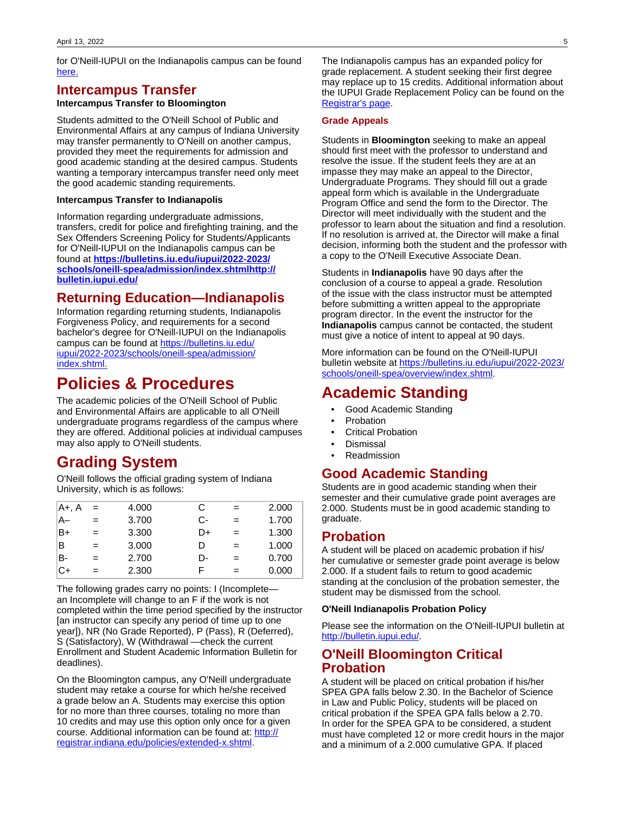for O'Neill-IUPUI on the Indianapolis campus can be found [here.](https://bulletins.iu.edu/iupui/2022-2023/schools/oneill-spea/admission/index.shtmlhttp://bulletin.iupui.edu/#https://bulletins.iu.edu/iupui/2022-2023/schools/oneill-spea/admission/index.shtmlhttp://bulletin.iupui.edu/)

# **Intercampus Transfer**

#### **Intercampus Transfer to Bloomington**

Students admitted to the O'Neill School of Public and Environmental Affairs at any campus of Indiana University may transfer permanently to O'Neill on another campus, provided they meet the requirements for admission and good academic standing at the desired campus. Students wanting a temporary intercampus transfer need only meet the good academic standing requirements.

#### **Intercampus Transfer to Indianapolis**

Information regarding undergraduate admissions, transfers, credit for police and firefighting training, and the Sex Offenders Screening Policy for Students/Applicants for O'Neill-IUPUI on the Indianapolis campus can be found at **[https://bulletins.iu.edu/iupui/2022-2023/](https://bulletins.iu.edu/iupui/2022-2023/schools/oneill-spea/admission/index.shtmlhttp://bulletin.iupui.edu/#https://bulletins.iu.edu/iupui/2022-2023/schools/oneill-spea/admission/index.shtmlhttp://bulletin.iupui.edu/) [schools/oneill-spea/admission/index.shtmlhttp://](https://bulletins.iu.edu/iupui/2022-2023/schools/oneill-spea/admission/index.shtmlhttp://bulletin.iupui.edu/#https://bulletins.iu.edu/iupui/2022-2023/schools/oneill-spea/admission/index.shtmlhttp://bulletin.iupui.edu/) [bulletin.iupui.edu/](https://bulletins.iu.edu/iupui/2022-2023/schools/oneill-spea/admission/index.shtmlhttp://bulletin.iupui.edu/#https://bulletins.iu.edu/iupui/2022-2023/schools/oneill-spea/admission/index.shtmlhttp://bulletin.iupui.edu/)**

# **Returning Education—Indianapolis**

Information regarding returning students, Indianapolis Forgiveness Policy, and requirements for a second bachelor's degree for O'Neill-IUPUI on the Indianapolis campus can be found at [https://bulletins.iu.edu/](https://bulletins.iu.edu/iupui/2022-2023/schools/oneill-spea/admission/index.shtml#https://bulletins.iu.edu/iupui/2022-2023/schools/oneill-spea/admission/index.shtml) [iupui/2022-2023/schools/oneill-spea/admission/](https://bulletins.iu.edu/iupui/2022-2023/schools/oneill-spea/admission/index.shtml#https://bulletins.iu.edu/iupui/2022-2023/schools/oneill-spea/admission/index.shtml) [index.shtml.](https://bulletins.iu.edu/iupui/2022-2023/schools/oneill-spea/admission/index.shtml#https://bulletins.iu.edu/iupui/2022-2023/schools/oneill-spea/admission/index.shtml)

# **Policies & Procedures**

The academic policies of the O'Neill School of Public and Environmental Affairs are applicable to all O'Neill undergraduate programs regardless of the campus where they are offered. Additional policies at individual campuses may also apply to O'Neill students.

# **Grading System**

O'Neill follows the official grading system of Indiana University, which is as follows:

| A+, A | $=$ | 4.000 | С  | $=$ | 2.000 |
|-------|-----|-------|----|-----|-------|
| A–    | $=$ | 3.700 | C- | $=$ | 1.700 |
| B+    | $=$ | 3.300 | D+ | $=$ | 1.300 |
| B     | $=$ | 3.000 | D  | $=$ | 1.000 |
| B-    | $=$ | 2.700 | D- | $=$ | 0.700 |
| $C+$  | $=$ | 2.300 | F  | $=$ | 0.000 |

The following grades carry no points: I (Incomplete an Incomplete will change to an F if the work is not completed within the time period specified by the instructor [an instructor can specify any period of time up to one year]), NR (No Grade Reported), P (Pass), R (Deferred), S (Satisfactory), W (Withdrawal —check the current Enrollment and Student Academic Information Bulletin for deadlines).

On the Bloomington campus, any O'Neill undergraduate student may retake a course for which he/she received a grade below an A. Students may exercise this option for no more than three courses, totaling no more than 10 credits and may use this option only once for a given course. Additional information can be found at: [http://](http://registrar.indiana.edu/policies/extended-x.shtml) [registrar.indiana.edu/policies/extended-x.shtml.](http://registrar.indiana.edu/policies/extended-x.shtml)

The Indianapolis campus has an expanded policy for grade replacement. A student seeking their first degree may replace up to 15 credits. Additional information about the IUPUI Grade Replacement Policy can be found on the [Registrar's page](http://registrar.iupui.edu/replace.html).

#### **Grade Appeals**

Students in **Bloomington** seeking to make an appeal should first meet with the professor to understand and resolve the issue. If the student feels they are at an impasse they may make an appeal to the Director, Undergraduate Programs. They should fill out a grade appeal form which is available in the Undergraduate Program Office and send the form to the Director. The Director will meet individually with the student and the professor to learn about the situation and find a resolution. If no resolution is arrived at, the Director will make a final decision, informing both the student and the professor with a copy to the O'Neill Executive Associate Dean.

Students in **Indianapolis** have 90 days after the conclusion of a course to appeal a grade. Resolution of the issue with the class instructor must be attempted before submitting a written appeal to the appropriate program director. In the event the instructor for the **Indianapolis** campus cannot be contacted, the student must give a notice of intent to appeal at 90 days.

More information can be found on the O'Neill-IUPUI bulletin website at [https://bulletins.iu.edu/iupui/2022-2023/](https://bulletins.iu.edu/iupui/2022-2023/schools/oneill-spea/overview/index.shtml#https://bulletins.iu.edu/iupui/2022-2023/schools/oneill-spea/overview/index.shtml) [schools/oneill-spea/overview/index.shtml.](https://bulletins.iu.edu/iupui/2022-2023/schools/oneill-spea/overview/index.shtml#https://bulletins.iu.edu/iupui/2022-2023/schools/oneill-spea/overview/index.shtml)

# **Academic Standing**

- Good Academic Standing
- **Probation**
- Critical Probation
- Dismissal
- **Readmission**

# **Good Academic Standing**

Students are in good academic standing when their semester and their cumulative grade point averages are 2.000. Students must be in good academic standing to graduate.

# **Probation**

A student will be placed on academic probation if his/ her cumulative or semester grade point average is below 2.000. If a student fails to return to good academic standing at the conclusion of the probation semester, the student may be dismissed from the school.

#### **O'Neill Indianapolis Probation Policy**

Please see the information on the O'Neill-IUPUI bulletin at [http://bulletin.iupui.edu/.](http://bulletin.iupui.edu/)

# **O'Neill Bloomington Critical Probation**

A student will be placed on critical probation if his/her SPEA GPA falls below 2.30. In the Bachelor of Science in Law and Public Policy, students will be placed on critical probation if the SPEA GPA falls below a 2.70. In order for the SPEA GPA to be considered, a student must have completed 12 or more credit hours in the major and a minimum of a 2.000 cumulative GPA. If placed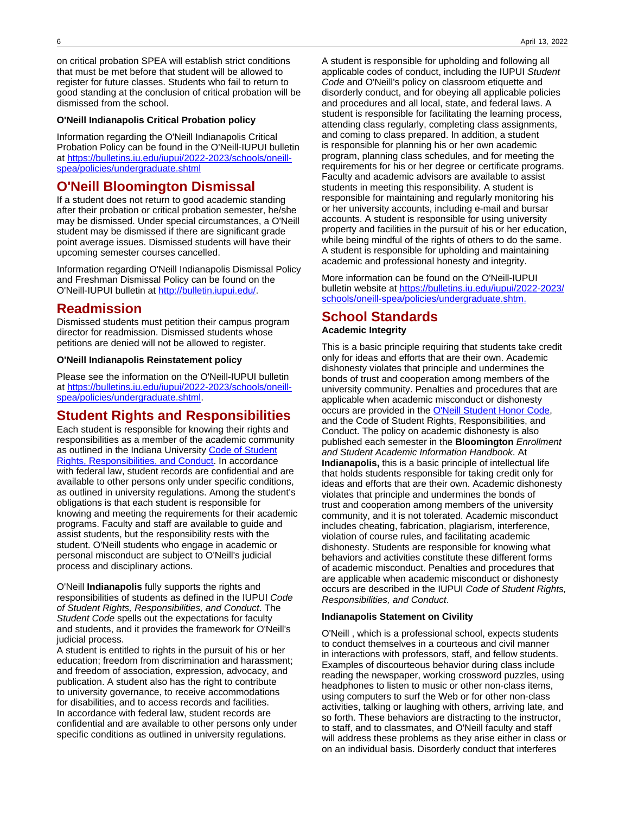on critical probation SPEA will establish strict conditions that must be met before that student will be allowed to register for future classes. Students who fail to return to good standing at the conclusion of critical probation will be dismissed from the school.

#### **O'Neill Indianapolis Critical Probation policy**

Information regarding the O'Neill Indianapolis Critical Probation Policy can be found in the O'Neill-IUPUI bulletin at [https://bulletins.iu.edu/iupui/2022-2023/schools/oneill](https://bulletins.iu.edu/iupui/2022-2023/schools/oneill-spea/policies/undergraduate.shtml%20#https://bulletins.iu.edu/iupui/2022-2023/schools/oneill-spea/policies/undergraduate.shtml)[spea/policies/undergraduate.shtml](https://bulletins.iu.edu/iupui/2022-2023/schools/oneill-spea/policies/undergraduate.shtml%20#https://bulletins.iu.edu/iupui/2022-2023/schools/oneill-spea/policies/undergraduate.shtml)

# **O'Neill Bloomington Dismissal**

If a student does not return to good academic standing after their probation or critical probation semester, he/she may be dismissed. Under special circumstances, a O'Neill student may be dismissed if there are significant grade point average issues. Dismissed students will have their upcoming semester courses cancelled.

Information regarding O'Neill Indianapolis Dismissal Policy and Freshman Dismissal Policy can be found on the O'Neill-IUPUI bulletin at <http://bulletin.iupui.edu/>.

### **Readmission**

Dismissed students must petition their campus program director for readmission. Dismissed students whose petitions are denied will not be allowed to register.

#### **O'Neill Indianapolis Reinstatement policy**

Please see the information on the O'Neill-IUPUI bulletin at [https://bulletins.iu.edu/iupui/2022-2023/schools/oneill](https://bulletins.iu.edu/iupui/2022-2023/schools/oneill-spea/policies/undergraduate.shtml#https://bulletins.iu.edu/iupui/2022-2023/schools/oneill-spea/policies/undergraduate.shtml)[spea/policies/undergraduate.shtml](https://bulletins.iu.edu/iupui/2022-2023/schools/oneill-spea/policies/undergraduate.shtml#https://bulletins.iu.edu/iupui/2022-2023/schools/oneill-spea/policies/undergraduate.shtml).

# **Student Rights and Responsibilities**

Each student is responsible for knowing their rights and responsibilities as a member of the academic community as outlined in the Indiana University [Code of Student](http://www.iu.edu/~code/) [Rights, Responsibilities, and Conduct](http://www.iu.edu/~code/). In accordance with federal law, student records are confidential and are available to other persons only under specific conditions, as outlined in university regulations. Among the student's obligations is that each student is responsible for knowing and meeting the requirements for their academic programs. Faculty and staff are available to guide and assist students, but the responsibility rests with the student. O'Neill students who engage in academic or personal misconduct are subject to O'Neill's judicial process and disciplinary actions.

O'Neill **Indianapolis** fully supports the rights and responsibilities of students as defined in the IUPUI Code of Student Rights, Responsibilities, and Conduct. The Student Code spells out the expectations for faculty and students, and it provides the framework for O'Neill's judicial process.

A student is entitled to rights in the pursuit of his or her education; freedom from discrimination and harassment; and freedom of association, expression, advocacy, and publication. A student also has the right to contribute to university governance, to receive accommodations for disabilities, and to access records and facilities. In accordance with federal law, student records are confidential and are available to other persons only under specific conditions as outlined in university regulations.

A student is responsible for upholding and following all applicable codes of conduct, including the IUPUI Student Code and O'Neill's policy on classroom etiquette and disorderly conduct, and for obeying all applicable policies and procedures and all local, state, and federal laws. A student is responsible for facilitating the learning process, attending class regularly, completing class assignments, and coming to class prepared. In addition, a student is responsible for planning his or her own academic program, planning class schedules, and for meeting the requirements for his or her degree or certificate programs. Faculty and academic advisors are available to assist students in meeting this responsibility. A student is responsible for maintaining and regularly monitoring his or her university accounts, including e-mail and bursar accounts. A student is responsible for using university property and facilities in the pursuit of his or her education, while being mindful of the rights of others to do the same. A student is responsible for upholding and maintaining academic and professional honesty and integrity.

More information can be found on the O'Neill-IUPUI bulletin website at [https://bulletins.iu.edu/iupui/2022-2023/](https://bulletins.iu.edu/iupui/2022-2023/schools/oneill-spea/policies/undergraduate.shtml%20#https://bulletins.iu.edu/iupui/2022-2023/schools/oneill-spea/policies/undergraduate.shtml) [schools/oneill-spea/policies/undergraduate.shtm.](https://bulletins.iu.edu/iupui/2022-2023/schools/oneill-spea/policies/undergraduate.shtml%20#https://bulletins.iu.edu/iupui/2022-2023/schools/oneill-spea/policies/undergraduate.shtml)

#### **School Standards Academic Integrity**

This is a basic principle requiring that students take credit only for ideas and efforts that are their own. Academic dishonesty violates that principle and undermines the bonds of trust and cooperation among members of the university community. Penalties and procedures that are applicable when academic misconduct or dishonesty occurs are provided in the [O'Neill Student Honor Code,](#page-0-0) and the Code of Student Rights, Responsibilities, and Conduct. The policy on academic dishonesty is also published each semester in the **Bloomington** Enrollment and Student Academic Information Handbook. At **Indianapolis,** this is a basic principle of intellectual life that holds students responsible for taking credit only for ideas and efforts that are their own. Academic dishonesty violates that principle and undermines the bonds of trust and cooperation among members of the university community, and it is not tolerated. Academic misconduct includes cheating, fabrication, plagiarism, interference, violation of course rules, and facilitating academic dishonesty. Students are responsible for knowing what behaviors and activities constitute these different forms of academic misconduct. Penalties and procedures that are applicable when academic misconduct or dishonesty occurs are described in the IUPUI Code of Student Rights, Responsibilities, and Conduct.

#### **Indianapolis Statement on Civility**

O'Neill , which is a professional school, expects students to conduct themselves in a courteous and civil manner in interactions with professors, staff, and fellow students. Examples of discourteous behavior during class include reading the newspaper, working crossword puzzles, using headphones to listen to music or other non-class items, using computers to surf the Web or for other non-class activities, talking or laughing with others, arriving late, and so forth. These behaviors are distracting to the instructor, to staff, and to classmates, and O'Neill faculty and staff will address these problems as they arise either in class or on an individual basis. Disorderly conduct that interferes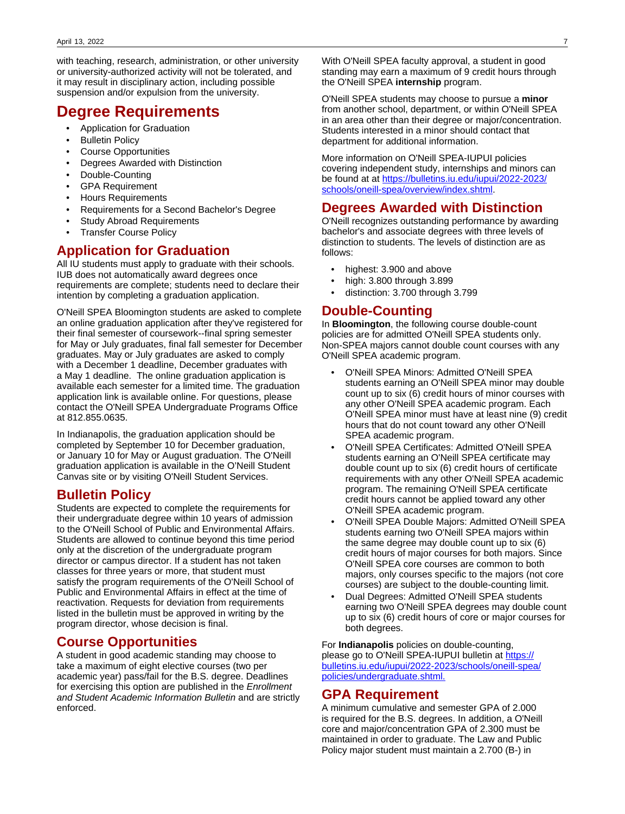with teaching, research, administration, or other university or university-authorized activity will not be tolerated, and it may result in disciplinary action, including possible suspension and/or expulsion from the university.

# **Degree Requirements**

- Application for Graduation
- **Bulletin Policy**
- Course Opportunities
- Degrees Awarded with Distinction
- Double-Counting
- GPA Requirement
- Hours Requirements
- Requirements for a Second Bachelor's Degree
- Study Abroad Requirements
- **Transfer Course Policy**

# **Application for Graduation**

All IU students must apply to graduate with their schools. IUB does not automatically award degrees once requirements are complete; students need to declare their intention by completing a graduation application.

O'Neill SPEA Bloomington students are asked to complete an online graduation application after they've registered for their final semester of coursework--final spring semester for May or July graduates, final fall semester for December graduates. May or July graduates are asked to comply with a December 1 deadline, December graduates with a May 1 deadline. The online graduation application is available each semester for a limited time. The graduation application link is available online. For questions, please contact the O'Neill SPEA Undergraduate Programs Office at 812.855.0635.

In Indianapolis, the graduation application should be completed by September 10 for December graduation, or January 10 for May or August graduation. The O'Neill graduation application is available in the O'Neill Student Canvas site or by visiting O'Neill Student Services.

# **Bulletin Policy**

Students are expected to complete the requirements for their undergraduate degree within 10 years of admission to the O'Neill School of Public and Environmental Affairs. Students are allowed to continue beyond this time period only at the discretion of the undergraduate program director or campus director. If a student has not taken classes for three years or more, that student must satisfy the program requirements of the O'Neill School of Public and Environmental Affairs in effect at the time of reactivation. Requests for deviation from requirements listed in the bulletin must be approved in writing by the program director, whose decision is final.

# **Course Opportunities**

A student in good academic standing may choose to take a maximum of eight elective courses (two per academic year) pass/fail for the B.S. degree. Deadlines for exercising this option are published in the Enrollment and Student Academic Information Bulletin and are strictly enforced.

With O'Neill SPEA faculty approval, a student in good standing may earn a maximum of 9 credit hours through the O'Neill SPEA **internship** program.

O'Neill SPEA students may choose to pursue a **minor** from another school, department, or within O'Neill SPEA in an area other than their degree or major/concentration. Students interested in a minor should contact that department for additional information.

More information on O'Neill SPEA-IUPUI policies covering independent study, internships and minors can be found at at [https://bulletins.iu.edu/iupui/2022-2023/](https://bulletins.iu.edu/iupui/2022-2023/schools/oneill-spea/overview/index.shtml#https://bulletins.iu.edu/iupui/2022-2023/schools/oneill-spea/overview/index.shtml) [schools/oneill-spea/overview/index.shtml.](https://bulletins.iu.edu/iupui/2022-2023/schools/oneill-spea/overview/index.shtml#https://bulletins.iu.edu/iupui/2022-2023/schools/oneill-spea/overview/index.shtml)

# **Degrees Awarded with Distinction**

O'Neill recognizes outstanding performance by awarding bachelor's and associate degrees with three levels of distinction to students. The levels of distinction are as follows:

- highest: 3.900 and above
- high: 3.800 through 3.899
- distinction: 3.700 through 3.799

# **Double-Counting**

In **Bloomington**, the following course double-count policies are for admitted O'Neill SPEA students only. Non-SPEA majors cannot double count courses with any O'Neill SPEA academic program.

- O'Neill SPEA Minors: Admitted O'Neill SPEA students earning an O'Neill SPEA minor may double count up to six (6) credit hours of minor courses with any other O'Neill SPEA academic program. Each O'Neill SPEA minor must have at least nine (9) credit hours that do not count toward any other O'Neill SPEA academic program.
- O'Neill SPEA Certificates: Admitted O'Neill SPEA students earning an O'Neill SPEA certificate may double count up to six (6) credit hours of certificate requirements with any other O'Neill SPEA academic program. The remaining O'Neill SPEA certificate credit hours cannot be applied toward any other O'Neill SPEA academic program.
- O'Neill SPEA Double Majors: Admitted O'Neill SPEA students earning two O'Neill SPEA majors within the same degree may double count up to six (6) credit hours of major courses for both majors. Since O'Neill SPEA core courses are common to both majors, only courses specific to the majors (not core courses) are subject to the double-counting limit.
- Dual Degrees: Admitted O'Neill SPEA students earning two O'Neill SPEA degrees may double count up to six (6) credit hours of core or major courses for both degrees.

For **Indianapolis** policies on double-counting, please go to O'Neill SPEA-IUPUI bulletin at [https://](https://bulletins.iu.edu/iupui/2022-2023/schools/oneill-spea/policies/undergraduate.shtml#https://bulletins.iu.edu/iupui/2022-2023/schools/oneill-spea/policies/undergraduate.shtml) [bulletins.iu.edu/iupui/2022-2023/schools/oneill-spea/](https://bulletins.iu.edu/iupui/2022-2023/schools/oneill-spea/policies/undergraduate.shtml#https://bulletins.iu.edu/iupui/2022-2023/schools/oneill-spea/policies/undergraduate.shtml) [policies/undergraduate.shtml.](https://bulletins.iu.edu/iupui/2022-2023/schools/oneill-spea/policies/undergraduate.shtml#https://bulletins.iu.edu/iupui/2022-2023/schools/oneill-spea/policies/undergraduate.shtml)

# **GPA Requirement**

A minimum cumulative and semester GPA of 2.000 is required for the B.S. degrees. In addition, a O'Neill core and major/concentration GPA of 2.300 must be maintained in order to graduate. The Law and Public Policy major student must maintain a 2.700 (B-) in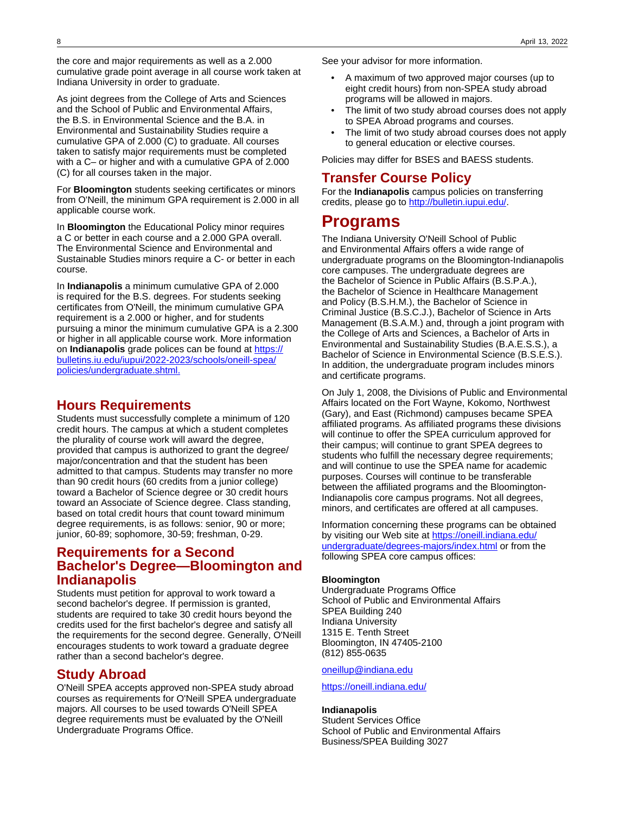the core and major requirements as well as a 2.000 cumulative grade point average in all course work taken at Indiana University in order to graduate.

As joint degrees from the College of Arts and Sciences and the School of Public and Environmental Affairs, the B.S. in Environmental Science and the B.A. in Environmental and Sustainability Studies require a cumulative GPA of 2.000 (C) to graduate. All courses taken to satisfy major requirements must be completed with a C– or higher and with a cumulative GPA of 2.000 (C) for all courses taken in the major.

For **Bloomington** students seeking certificates or minors from O'Neill, the minimum GPA requirement is 2.000 in all applicable course work.

In **Bloomington** the Educational Policy minor requires a C or better in each course and a 2.000 GPA overall. The Environmental Science and Environmental and Sustainable Studies minors require a C- or better in each course.

In **Indianapolis** a minimum cumulative GPA of 2.000 is required for the B.S. degrees. For students seeking certificates from O'Neill, the minimum cumulative GPA requirement is a 2.000 or higher, and for students pursuing a minor the minimum cumulative GPA is a 2.300 or higher in all applicable course work. More information on **Indianapolis** grade polices can be found at [https://](https://bulletins.iu.edu/iupui/2022-2023/schools/oneill-spea/policies/undergraduate.shtml#https://bulletins.iu.edu/iupui/2022-2023/schools/oneill-spea/policies/undergraduate.shtml) [bulletins.iu.edu/iupui/2022-2023/schools/oneill-spea/](https://bulletins.iu.edu/iupui/2022-2023/schools/oneill-spea/policies/undergraduate.shtml#https://bulletins.iu.edu/iupui/2022-2023/schools/oneill-spea/policies/undergraduate.shtml) [policies/undergraduate.shtml.](https://bulletins.iu.edu/iupui/2022-2023/schools/oneill-spea/policies/undergraduate.shtml#https://bulletins.iu.edu/iupui/2022-2023/schools/oneill-spea/policies/undergraduate.shtml)

### **Hours Requirements**

Students must successfully complete a minimum of 120 credit hours. The campus at which a student completes the plurality of course work will award the degree, provided that campus is authorized to grant the degree/ major/concentration and that the student has been admitted to that campus. Students may transfer no more than 90 credit hours (60 credits from a junior college) toward a Bachelor of Science degree or 30 credit hours toward an Associate of Science degree. Class standing, based on total credit hours that count toward minimum degree requirements, is as follows: senior, 90 or more; junior, 60-89; sophomore, 30-59; freshman, 0-29.

# **Requirements for a Second Bachelor's Degree—Bloomington and Indianapolis**

Students must petition for approval to work toward a second bachelor's degree. If permission is granted, students are required to take 30 credit hours beyond the credits used for the first bachelor's degree and satisfy all the requirements for the second degree. Generally, O'Neill encourages students to work toward a graduate degree rather than a second bachelor's degree.

# **Study Abroad**

O'Neill SPEA accepts approved non-SPEA study abroad courses as requirements for O'Neill SPEA undergraduate majors. All courses to be used towards O'Neill SPEA degree requirements must be evaluated by the O'Neill Undergraduate Programs Office.

See your advisor for more information.

- A maximum of two approved major courses (up to eight credit hours) from non-SPEA study abroad programs will be allowed in majors.
- The limit of two study abroad courses does not apply to SPEA Abroad programs and courses.
- The limit of two study abroad courses does not apply to general education or elective courses.

Policies may differ for BSES and BAESS students.

# **Transfer Course Policy**

For the **Indianapolis** campus policies on transferring credits, please go to [http://bulletin.iupui.edu/.](http://bulletin.iupui.edu/)

# **Programs**

The Indiana University O'Neill School of Public and Environmental Affairs offers a wide range of undergraduate programs on the Bloomington-Indianapolis core campuses. The undergraduate degrees are the Bachelor of Science in Public Affairs (B.S.P.A.), the Bachelor of Science in Healthcare Management and Policy (B.S.H.M.), the Bachelor of Science in Criminal Justice (B.S.C.J.), Bachelor of Science in Arts Management (B.S.A.M.) and, through a joint program with the College of Arts and Sciences, a Bachelor of Arts in Environmental and Sustainability Studies (B.A.E.S.S.), a Bachelor of Science in Environmental Science (B.S.E.S.). In addition, the undergraduate program includes minors and certificate programs.

On July 1, 2008, the Divisions of Public and Environmental Affairs located on the Fort Wayne, Kokomo, Northwest (Gary), and East (Richmond) campuses became SPEA affiliated programs. As affiliated programs these divisions will continue to offer the SPEA curriculum approved for their campus; will continue to grant SPEA degrees to students who fulfill the necessary degree requirements; and will continue to use the SPEA name for academic purposes. Courses will continue to be transferable between the affiliated programs and the Bloomington-Indianapolis core campus programs. Not all degrees, minors, and certificates are offered at all campuses.

Information concerning these programs can be obtained by visiting our Web site at [https://oneill.indiana.edu/](https://oneill.indiana.edu/undergraduate/degrees-majors/index.html#https://oneill.indiana.edu/undergraduate/degrees-majors/index.html) [undergraduate/degrees-majors/index.html](https://oneill.indiana.edu/undergraduate/degrees-majors/index.html#https://oneill.indiana.edu/undergraduate/degrees-majors/index.html) or from the following SPEA core campus offices:

#### **Bloomington**

Undergraduate Programs Office School of Public and Environmental Affairs SPEA Building 240 Indiana University 1315 E. Tenth Street Bloomington, IN 47405-2100 (812) 855-0635

[oneillup@indiana.edu](mailto:oneillup@indiana.edu)

<https://oneill.indiana.edu/>

#### **Indianapolis**

Student Services Office School of Public and Environmental Affairs Business/SPEA Building 3027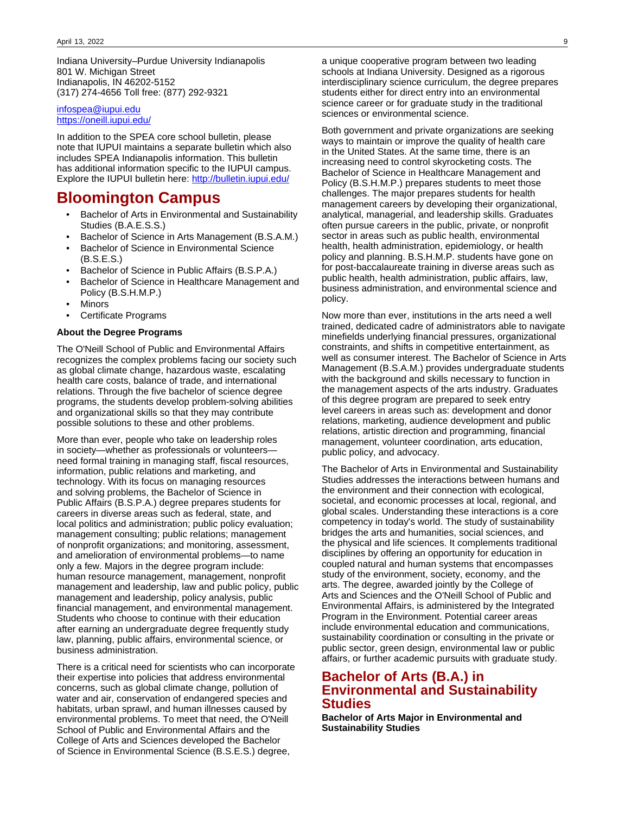Indiana University–Purdue University Indianapolis 801 W. Michigan Street Indianapolis, IN 46202-5152 (317) 274-4656 Toll free: (877) 292-9321

[infospea@iupui.edu](mailto:infospea@iupui.edu) <https://oneill.iupui.edu/>

In addition to the SPEA core school bulletin, please note that IUPUI maintains a separate bulletin which also includes SPEA Indianapolis information. This bulletin has additional information specific to the IUPUI campus. Explore the IUPUI bulletin here: <http://bulletin.iupui.edu/>

# **Bloomington Campus**

- Bachelor of Arts in Environmental and Sustainability Studies (B.A.E.S.S.)
- Bachelor of Science in Arts Management (B.S.A.M.)
- Bachelor of Science in Environmental Science (B.S.E.S.)
- Bachelor of Science in Public Affairs (B.S.P.A.)
- Bachelor of Science in Healthcare Management and Policy (B.S.H.M.P.)
- **Minors**
- Certificate Programs

#### **About the Degree Programs**

The O'Neill School of Public and Environmental Affairs recognizes the complex problems facing our society such as global climate change, hazardous waste, escalating health care costs, balance of trade, and international relations. Through the five bachelor of science degree programs, the students develop problem-solving abilities and organizational skills so that they may contribute possible solutions to these and other problems.

More than ever, people who take on leadership roles in society—whether as professionals or volunteers need formal training in managing staff, fiscal resources, information, public relations and marketing, and technology. With its focus on managing resources and solving problems, the Bachelor of Science in Public Affairs (B.S.P.A.) degree prepares students for careers in diverse areas such as federal, state, and local politics and administration; public policy evaluation; management consulting; public relations; management of nonprofit organizations; and monitoring, assessment, and amelioration of environmental problems—to name only a few. Majors in the degree program include: human resource management, management, nonprofit management and leadership, law and public policy, public management and leadership, policy analysis, public financial management, and environmental management. Students who choose to continue with their education after earning an undergraduate degree frequently study law, planning, public affairs, environmental science, or business administration.

There is a critical need for scientists who can incorporate their expertise into policies that address environmental concerns, such as global climate change, pollution of water and air, conservation of endangered species and habitats, urban sprawl, and human illnesses caused by environmental problems. To meet that need, the O'Neill School of Public and Environmental Affairs and the College of Arts and Sciences developed the Bachelor of Science in Environmental Science (B.S.E.S.) degree,

a unique cooperative program between two leading schools at Indiana University. Designed as a rigorous interdisciplinary science curriculum, the degree prepares students either for direct entry into an environmental science career or for graduate study in the traditional sciences or environmental science.

Both government and private organizations are seeking ways to maintain or improve the quality of health care in the United States. At the same time, there is an increasing need to control skyrocketing costs. The Bachelor of Science in Healthcare Management and Policy (B.S.H.M.P.) prepares students to meet those challenges. The major prepares students for health management careers by developing their organizational, analytical, managerial, and leadership skills. Graduates often pursue careers in the public, private, or nonprofit sector in areas such as public health, environmental health, health administration, epidemiology, or health policy and planning. B.S.H.M.P. students have gone on for post-baccalaureate training in diverse areas such as public health, health administration, public affairs, law, business administration, and environmental science and policy.

Now more than ever, institutions in the arts need a well trained, dedicated cadre of administrators able to navigate minefields underlying financial pressures, organizational constraints, and shifts in competitive entertainment, as well as consumer interest. The Bachelor of Science in Arts Management (B.S.A.M.) provides undergraduate students with the background and skills necessary to function in the management aspects of the arts industry. Graduates of this degree program are prepared to seek entry level careers in areas such as: development and donor relations, marketing, audience development and public relations, artistic direction and programming, financial management, volunteer coordination, arts education, public policy, and advocacy.

The Bachelor of Arts in Environmental and Sustainability Studies addresses the interactions between humans and the environment and their connection with ecological, societal, and economic processes at local, regional, and global scales. Understanding these interactions is a core competency in today's world. The study of sustainability bridges the arts and humanities, social sciences, and the physical and life sciences. It complements traditional disciplines by offering an opportunity for education in coupled natural and human systems that encompasses study of the environment, society, economy, and the arts. The degree, awarded jointly by the College of Arts and Sciences and the O'Neill School of Public and Environmental Affairs, is administered by the Integrated Program in the Environment. Potential career areas include environmental education and communications, sustainability coordination or consulting in the private or public sector, green design, environmental law or public affairs, or further academic pursuits with graduate study.

# **Bachelor of Arts (B.A.) in Environmental and Sustainability Studies**

**Bachelor of Arts Major in Environmental and Sustainability Studies**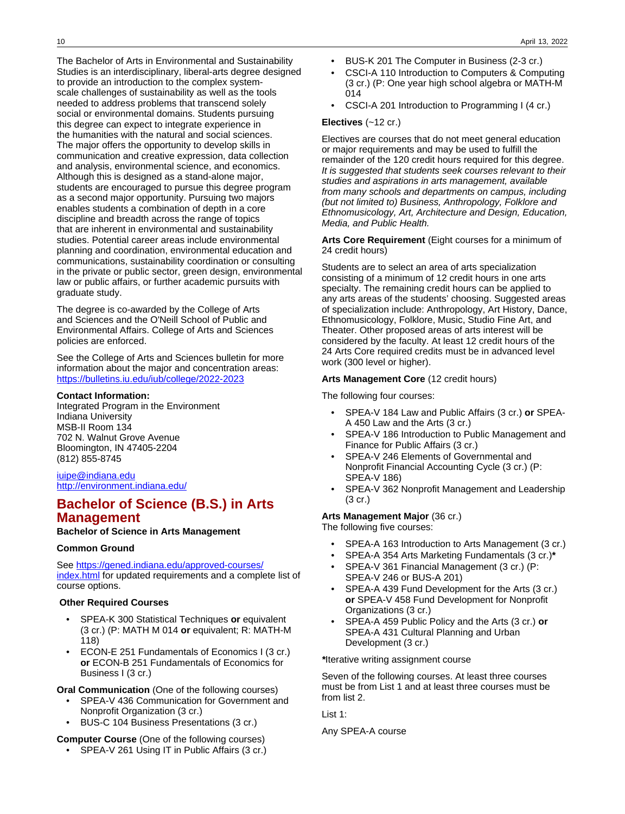The Bachelor of Arts in Environmental and Sustainability Studies is an interdisciplinary, liberal-arts degree designed to provide an introduction to the complex systemscale challenges of sustainability as well as the tools needed to address problems that transcend solely social or environmental domains. Students pursuing this degree can expect to integrate experience in the humanities with the natural and social sciences. The major offers the opportunity to develop skills in communication and creative expression, data collection and analysis, environmental science, and economics. Although this is designed as a stand-alone major, students are encouraged to pursue this degree program as a second major opportunity. Pursuing two majors enables students a combination of depth in a core discipline and breadth across the range of topics that are inherent in environmental and sustainability studies. Potential career areas include environmental planning and coordination, environmental education and communications, sustainability coordination or consulting in the private or public sector, green design, environmental law or public affairs, or further academic pursuits with graduate study.

The degree is co-awarded by the College of Arts and Sciences and the O'Neill School of Public and Environmental Affairs. College of Arts and Sciences policies are enforced.

See the College of Arts and Sciences bulletin for more information about the major and concentration areas: <https://bulletins.iu.edu/iub/college/2022-2023>

#### **Contact Information:**

Integrated Program in the Environment Indiana University MSB-II Room 134 702 N. Walnut Grove Avenue Bloomington, IN 47405-2204 (812) 855-8745

#### [iuipe@indiana.edu](mailto:iuipe@indiana.edu) <http://environment.indiana.edu/>

# **Bachelor of Science (B.S.) in Arts Management**

#### **Bachelor of Science in Arts Management**

#### **Common Ground**

See [https://gened.indiana.edu/approved-courses/](https://gened.indiana.edu/approved-courses/index.html) [index.html](https://gened.indiana.edu/approved-courses/index.html) for updated requirements and a complete list of course options.

#### **Other Required Courses**

- SPEA-K 300 Statistical Techniques **or** equivalent (3 cr.) (P: MATH M 014 **or** equivalent; R: MATH-M 118)
- ECON-E 251 Fundamentals of Economics I (3 cr.) **or** ECON-B 251 Fundamentals of Economics for Business I (3 cr.)

**Oral Communication** (One of the following courses)

- SPEA-V 436 Communication for Government and Nonprofit Organization (3 cr.)
- BUS-C 104 Business Presentations (3 cr.)

#### **Computer Course** (One of the following courses)

• SPEA-V 261 Using IT in Public Affairs (3 cr.)

- BUS-K 201 The Computer in Business (2-3 cr.)
- CSCI-A 110 Introduction to Computers & Computing (3 cr.) (P: One year high school algebra or MATH-M 014
- CSCI-A 201 Introduction to Programming I (4 cr.)

#### **Electives** (~12 cr.)

Electives are courses that do not meet general education or major requirements and may be used to fulfill the remainder of the 120 credit hours required for this degree. It is suggested that students seek courses relevant to their studies and aspirations in arts management, available from many schools and departments on campus, including (but not limited to) Business, Anthropology, Folklore and Ethnomusicology, Art, Architecture and Design, Education, Media, and Public Health.

**Arts Core Requirement** (Eight courses for a minimum of 24 credit hours)

Students are to select an area of arts specialization consisting of a minimum of 12 credit hours in one arts specialty. The remaining credit hours can be applied to any arts areas of the students' choosing. Suggested areas of specialization include: Anthropology, Art History, Dance, Ethnomusicology, Folklore, Music, Studio Fine Art, and Theater. Other proposed areas of arts interest will be considered by the faculty. At least 12 credit hours of the 24 Arts Core required credits must be in advanced level work (300 level or higher).

#### **Arts Management Core** (12 credit hours)

The following four courses:

- SPEA-V 184 Law and Public Affairs (3 cr.) **or** SPEA-A 450 Law and the Arts (3 cr.)
- SPEA-V 186 Introduction to Public Management and Finance for Public Affairs (3 cr.)
- SPEA-V 246 Elements of Governmental and Nonprofit Financial Accounting Cycle (3 cr.) (P: SPEA-V 186)
- SPEA-V 362 Nonprofit Management and Leadership (3 cr.)

#### **Arts Management Major** (36 cr.)

The following five courses:

- SPEA-A 163 Introduction to Arts Management (3 cr.)
- SPEA-A 354 Arts Marketing Fundamentals (3 cr.)**\***
- SPEA-V 361 Financial Management (3 cr.) (P: SPEA-V 246 or BUS-A 201)
- SPEA-A 439 Fund Development for the Arts (3 cr.) **or** SPEA-V 458 Fund Development for Nonprofit Organizations (3 cr.)
- SPEA-A 459 Public Policy and the Arts (3 cr.) **or** SPEA-A 431 Cultural Planning and Urban Development (3 cr.)

**\***Iterative writing assignment course

Seven of the following courses. At least three courses must be from List 1 and at least three courses must be from list 2.

List 1:

Any SPEA-A course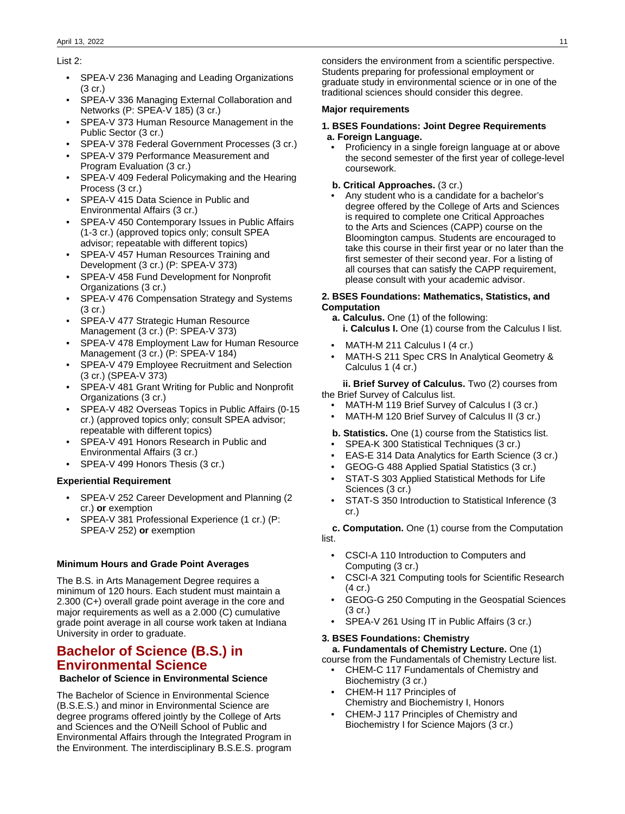#### List 2:

- SPEA-V 236 Managing and Leading Organizations (3 cr.)
- SPEA-V 336 Managing External Collaboration and Networks (P: SPEA-V 185) (3 cr.)
- SPEA-V 373 Human Resource Management in the Public Sector (3 cr.)
- SPEA-V 378 Federal Government Processes (3 cr.)
- SPEA-V 379 Performance Measurement and Program Evaluation (3 cr.)
- SPEA-V 409 Federal Policymaking and the Hearing Process (3 cr.)
- SPEA-V 415 Data Science in Public and Environmental Affairs (3 cr.)
- SPEA-V 450 Contemporary Issues in Public Affairs (1-3 cr.) (approved topics only; consult SPEA advisor; repeatable with different topics)
- SPEA-V 457 Human Resources Training and Development (3 cr.) (P: SPEA-V 373)
- SPEA-V 458 Fund Development for Nonprofit Organizations (3 cr.)
- SPEA-V 476 Compensation Strategy and Systems (3 cr.)
- SPEA-V 477 Strategic Human Resource Management (3 cr.) (P: SPEA-V 373)
- SPEA-V 478 Employment Law for Human Resource Management (3 cr.) (P: SPEA-V 184)
- SPEA-V 479 Employee Recruitment and Selection (3 cr.) (SPEA-V 373)
- SPEA-V 481 Grant Writing for Public and Nonprofit Organizations (3 cr.)
- SPEA-V 482 Overseas Topics in Public Affairs (0-15 cr.) (approved topics only; consult SPEA advisor; repeatable with different topics)
- SPEA-V 491 Honors Research in Public and Environmental Affairs (3 cr.)
- SPEA-V 499 Honors Thesis (3 cr.)

#### **Experiential Requirement**

- SPEA-V 252 Career Development and Planning (2 cr.) **or** exemption
- SPEA-V 381 Professional Experience (1 cr.) (P: SPEA-V 252) **or** exemption

#### **Minimum Hours and Grade Point Averages**

The B.S. in Arts Management Degree requires a minimum of 120 hours. Each student must maintain a 2.300 (C+) overall grade point average in the core and major requirements as well as a 2.000 (C) cumulative grade point average in all course work taken at Indiana University in order to graduate.

# **Bachelor of Science (B.S.) in Environmental Science**

#### **Bachelor of Science in Environmental Science**

The Bachelor of Science in Environmental Science (B.S.E.S.) and minor in Environmental Science are degree programs offered jointly by the College of Arts and Sciences and the O'Neill School of Public and Environmental Affairs through the Integrated Program in the Environment. The interdisciplinary B.S.E.S. program considers the environment from a scientific perspective. Students preparing for professional employment or graduate study in environmental science or in one of the traditional sciences should consider this degree.

#### **Major requirements**

#### **1. BSES Foundations: Joint Degree Requirements a. Foreign Language.**

- Proficiency in a single foreign language at or above the second semester of the first year of college-level coursework.
- **b. Critical Approaches.** (3 cr.)
- Any student who is a candidate for a bachelor's degree offered by the College of Arts and Sciences is required to complete one Critical Approaches to the Arts and Sciences (CAPP) course on the Bloomington campus. Students are encouraged to take this course in their first year or no later than the first semester of their second year. For a listing of all courses that can satisfy the CAPP requirement, please consult with your academic advisor.

#### **2. BSES Foundations: Mathematics, Statistics, and Computation**

- **a. Calculus.** One (1) of the following: **i. Calculus I.** One (1) course from the Calculus I list.
- MATH-M 211 Calculus I (4 cr.)
- MATH-S 211 Spec CRS In Analytical Geometry & Calculus 1 (4 cr.)

 **ii. Brief Survey of Calculus.** Two (2) courses from the Brief Survey of Calculus list.

- MATH-M 119 Brief Survey of Calculus I (3 cr.)
- MATH-M 120 Brief Survey of Calculus II (3 cr.)
- **b. Statistics.** One (1) course from the Statistics list.
- SPEA-K 300 Statistical Techniques (3 cr.)
- EAS-E 314 Data Analytics for Earth Science (3 cr.)
- GEOG-G 488 Applied Spatial Statistics (3 cr.)
- STAT-S 303 Applied Statistical Methods for Life Sciences (3 cr.)
- STAT-S 350 Introduction to Statistical Inference (3 cr.)

 **c. Computation.** One (1) course from the Computation list.

- CSCI-A 110 Introduction to Computers and Computing (3 cr.)
- CSCI-A 321 Computing tools for Scientific Research (4 cr.)
- GEOG-G 250 Computing in the Geospatial Sciences (3 cr.)
- SPEA-V 261 Using IT in Public Affairs (3 cr.)

### **3. BSES Foundations: Chemistry**

 **a. Fundamentals of Chemistry Lecture.** One (1) course from the Fundamentals of Chemistry Lecture list.

- CHEM-C 117 Fundamentals of Chemistry and Biochemistry (3 cr.)
- CHEM-H 117 Principles of Chemistry and Biochemistry I, Honors
- CHEM-J 117 Principles of Chemistry and Biochemistry I for Science Majors (3 cr.)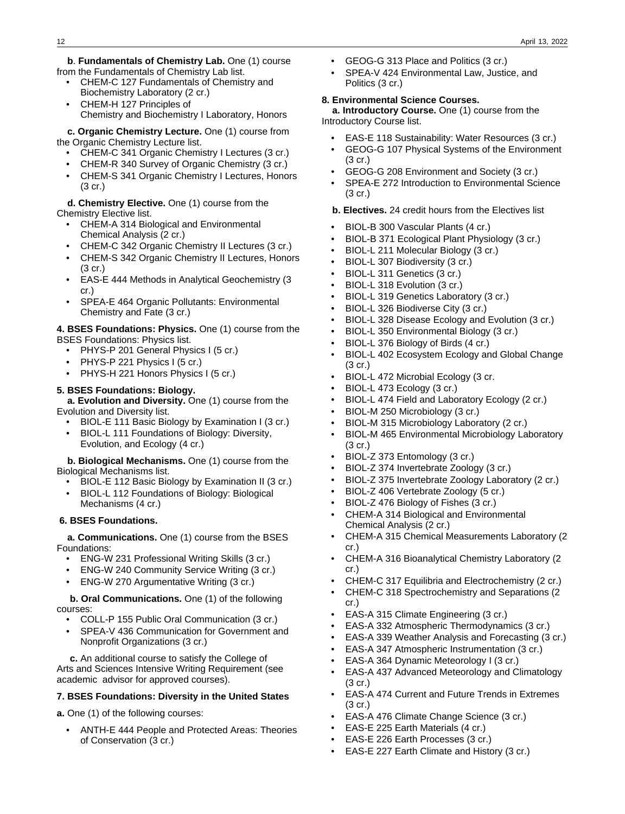**b**. **Fundamentals of Chemistry Lab.** One (1) course from the Fundamentals of Chemistry Lab list.

- CHEM-C 127 Fundamentals of Chemistry and Biochemistry Laboratory (2 cr.)
- CHEM-H 127 Principles of Chemistry and Biochemistry I Laboratory, Honors

 **c. Organic Chemistry Lecture.** One (1) course from the Organic Chemistry Lecture list.

- CHEM-C 341 Organic Chemistry I Lectures (3 cr.)
- CHEM-R 340 Survey of Organic Chemistry (3 cr.)
- CHEM-S 341 Organic Chemistry I Lectures, Honors (3 cr.)

**d. Chemistry Elective.** One (1) course from the

Chemistry Elective list.

- CHEM-A 314 Biological and Environmental Chemical Analysis (2 cr.)
- CHEM-C 342 Organic Chemistry II Lectures (3 cr.)
- CHEM-S 342 Organic Chemistry II Lectures, Honors (3 cr.)
- EAS-E 444 Methods in Analytical Geochemistry (3 cr.)
- SPEA-E 464 Organic Pollutants: Environmental Chemistry and Fate (3 cr.)

**4. BSES Foundations: Physics.** One (1) course from the BSES Foundations: Physics list.

- PHYS-P 201 General Physics I (5 cr.)
- PHYS-P 221 Physics I (5 cr.)
- PHYS-H 221 Honors Physics I (5 cr.)

#### **5. BSES Foundations: Biology.**

 **a. Evolution and Diversity.** One (1) course from the Evolution and Diversity list.

- BIOL-E 111 Basic Biology by Examination I (3 cr.)
- BIOL-L 111 Foundations of Biology: Diversity, Evolution, and Ecology (4 cr.)

 **b. Biological Mechanisms.** One (1) course from the Biological Mechanisms list.

- BIOL-E 112 Basic Biology by Examination II (3 cr.)
- BIOL-L 112 Foundations of Biology: Biological Mechanisms (4 cr.)

#### **6. BSES Foundations.**

 **a. Communications.** One (1) course from the BSES Foundations:

- ENG-W 231 Professional Writing Skills (3 cr.)
- ENG-W 240 Community Service Writing (3 cr.)
- ENG-W 270 Argumentative Writing (3 cr.)

 **b. Oral Communications.** One (1) of the following courses:

- COLL-P 155 Public Oral Communication (3 cr.)
- SPEA-V 436 Communication for Government and Nonprofit Organizations (3 cr.)

 **c.** An additional course to satisfy the College of Arts and Sciences Intensive Writing Requirement (see academic advisor for approved courses).

#### **7. BSES Foundations: Diversity in the United States**

**a.** One (1) of the following courses:

• ANTH-E 444 People and Protected Areas: Theories of Conservation (3 cr.)

- GEOG-G 313 Place and Politics (3 cr.)
- SPEA-V 424 Environmental Law, Justice, and Politics (3 cr.)

#### **8. Environmental Science Courses.**

 **a. Introductory Course.** One (1) course from the Introductory Course list.

- EAS-E 118 Sustainability: Water Resources (3 cr.)
- GEOG-G 107 Physical Systems of the Environment (3 cr.)
- GEOG-G 208 Environment and Society (3 cr.)
- SPEA-E 272 Introduction to Environmental Science (3 cr.)
- **b. Electives.** 24 credit hours from the Electives list
- BIOL-B 300 Vascular Plants (4 cr.)
- BIOL-B 371 Ecological Plant Physiology (3 cr.)
- BIOL-L 211 Molecular Biology (3 cr.)
- BIOL-L 307 Biodiversity (3 cr.)
- BIOL-L 311 Genetics (3 cr.)
- BIOL-L 318 Evolution (3 cr.)
- BIOL-L 319 Genetics Laboratory (3 cr.)
- BIOL-L 326 Biodiverse City (3 cr.)
- BIOL-L 328 Disease Ecology and Evolution (3 cr.)
- BIOL-L 350 Environmental Biology (3 cr.)
- BIOL-L 376 Biology of Birds (4 cr.)
- BIOL-L 402 Ecosystem Ecology and Global Change (3 cr.)
- BIOL-L 472 Microbial Ecology (3 cr.
- BIOL-L 473 Ecology (3 cr.)
- BIOL-L 474 Field and Laboratory Ecology (2 cr.)
- BIOL-M 250 Microbiology (3 cr.)
- BIOL-M 315 Microbiology Laboratory (2 cr.)
- BIOL-M 465 Environmental Microbiology Laboratory (3 cr.)
- BIOL-Z 373 Entomology (3 cr.)
- BIOL-Z 374 Invertebrate Zoology (3 cr.)
- BIOL-Z 375 Invertebrate Zoology Laboratory (2 cr.)
- BIOL-Z 406 Vertebrate Zoology (5 cr.)
- BIOL-Z 476 Biology of Fishes (3 cr.)
- CHEM-A 314 Biological and Environmental Chemical Analysis (2 cr.)
- CHEM-A 315 Chemical Measurements Laboratory (2 cr.)
- CHEM-A 316 Bioanalytical Chemistry Laboratory (2 cr.)
- CHEM-C 317 Equilibria and Electrochemistry (2 cr.)
- CHEM-C 318 Spectrochemistry and Separations (2 cr.)
- EAS-A 315 Climate Engineering (3 cr.)
- EAS-A 332 Atmospheric Thermodynamics (3 cr.)
- EAS-A 339 Weather Analysis and Forecasting (3 cr.)
- EAS-A 347 Atmospheric Instrumentation (3 cr.)
- EAS-A 364 Dynamic Meteorology I (3 cr.)
- EAS-A 437 Advanced Meteorology and Climatology (3 cr.)
- EAS-A 474 Current and Future Trends in Extremes (3 cr.)
- EAS-A 476 Climate Change Science (3 cr.)
- EAS-E 225 Earth Materials (4 cr.)
- EAS-E 226 Earth Processes (3 cr.)
- EAS-E 227 Earth Climate and History (3 cr.)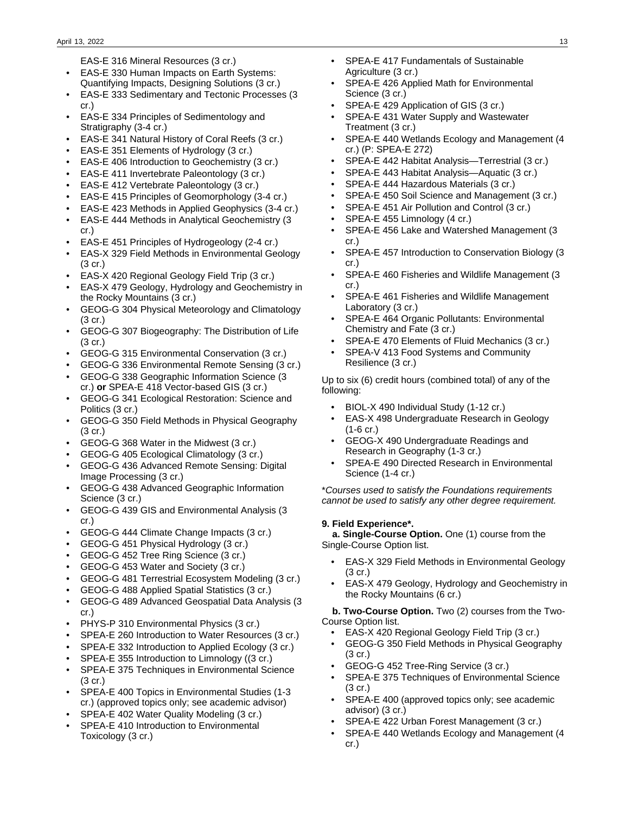EAS-E 316 Mineral Resources (3 cr.)

- EAS-E 330 Human Impacts on Earth Systems: Quantifying Impacts, Designing Solutions (3 cr.)
- EAS-E 333 Sedimentary and Tectonic Processes (3 cr.)
- EAS-E 334 Principles of Sedimentology and Stratigraphy (3-4 cr.)
- EAS-E 341 Natural History of Coral Reefs (3 cr.)
- EAS-E 351 Elements of Hydrology (3 cr.)
- EAS-E 406 Introduction to Geochemistry (3 cr.)
- EAS-E 411 Invertebrate Paleontology (3 cr.)
- EAS-E 412 Vertebrate Paleontology (3 cr.)
- EAS-E 415 Principles of Geomorphology (3-4 cr.)
- EAS-E 423 Methods in Applied Geophysics (3-4 cr.)
- EAS-E 444 Methods in Analytical Geochemistry (3 cr.)
- EAS-E 451 Principles of Hydrogeology (2-4 cr.)
- EAS-X 329 Field Methods in Environmental Geology (3 cr.)
- EAS-X 420 Regional Geology Field Trip (3 cr.)
- EAS-X 479 Geology, Hydrology and Geochemistry in the Rocky Mountains (3 cr.)
- GEOG-G 304 Physical Meteorology and Climatology (3 cr.)
- GEOG-G 307 Biogeography: The Distribution of Life (3 cr.)
- GEOG-G 315 Environmental Conservation (3 cr.)
- GEOG-G 336 Environmental Remote Sensing (3 cr.)
- GEOG-G 338 Geographic Information Science (3 cr.) **or** SPEA-E 418 Vector-based GIS (3 cr.)
- GEOG-G 341 Ecological Restoration: Science and Politics (3 cr.)
- GEOG-G 350 Field Methods in Physical Geography (3 cr.)
- GEOG-G 368 Water in the Midwest (3 cr.)
- GEOG-G 405 Ecological Climatology (3 cr.)
- GEOG-G 436 Advanced Remote Sensing: Digital Image Processing (3 cr.)
- GEOG-G 438 Advanced Geographic Information Science (3 cr.)
- GEOG-G 439 GIS and Environmental Analysis (3 cr.)
- GEOG-G 444 Climate Change Impacts (3 cr.)
- GEOG-G 451 Physical Hydrology (3 cr.)
- GEOG-G 452 Tree Ring Science (3 cr.)
- GEOG-G 453 Water and Society (3 cr.)
- GEOG-G 481 Terrestrial Ecosystem Modeling (3 cr.)
- GEOG-G 488 Applied Spatial Statistics (3 cr.)
- GEOG-G 489 Advanced Geospatial Data Analysis (3 cr.)
- PHYS-P 310 Environmental Physics (3 cr.)
- SPEA-E 260 Introduction to Water Resources (3 cr.)
- SPEA-E 332 Introduction to Applied Ecology (3 cr.)
- SPEA-E 355 Introduction to Limnology ((3 cr.)
- SPEA-E 375 Techniques in Environmental Science  $(3 \text{ cr.})$
- SPEA-E 400 Topics in Environmental Studies (1-3 cr.) (approved topics only; see academic advisor)
- SPEA-E 402 Water Quality Modeling (3 cr.)
- SPEA-E 410 Introduction to Environmental Toxicology (3 cr.)
- SPEA-E 417 Fundamentals of Sustainable Agriculture (3 cr.)
- SPEA-E 426 Applied Math for Environmental Science (3 cr.)
- SPEA-E 429 Application of GIS (3 cr.)
- SPEA-E 431 Water Supply and Wastewater Treatment (3 cr.)
- SPEA-E 440 Wetlands Ecology and Management (4 cr.) (P: SPEA-E 272)
- SPEA-E 442 Habitat Analysis—Terrestrial (3 cr.)
- SPEA-E 443 Habitat Analysis—Aquatic (3 cr.)
- SPEA-E 444 Hazardous Materials (3 cr.)
- SPEA-E 450 Soil Science and Management (3 cr.)
- SPEA-E 451 Air Pollution and Control (3 cr.)
- SPEA-E 455 Limnology (4 cr.)
- SPEA-E 456 Lake and Watershed Management (3 cr.)
- SPEA-E 457 Introduction to Conservation Biology (3 cr.)
- SPEA-E 460 Fisheries and Wildlife Management (3 cr.)
- SPEA-E 461 Fisheries and Wildlife Management Laboratory (3 cr.)
- SPEA-E 464 Organic Pollutants: Environmental Chemistry and Fate (3 cr.)
- SPEA-E 470 Elements of Fluid Mechanics (3 cr.)
- SPEA-V 413 Food Systems and Community Resilience (3 cr.)

Up to six (6) credit hours (combined total) of any of the following:

- BIOL-X 490 Individual Study (1-12 cr.)
- EAS-X 498 Undergraduate Research in Geology (1-6 cr.)
- GEOG-X 490 Undergraduate Readings and Research in Geography (1-3 cr.)
- SPEA-E 490 Directed Research in Environmental Science (1-4 cr.)

\*Courses used to satisfy the Foundations requirements cannot be used to satisfy any other degree requirement.

#### **9. Field Experience\*.**

 **a. Single-Course Option.** One (1) course from the Single-Course Option list.

- EAS-X 329 Field Methods in Environmental Geology (3 cr.)
- EAS-X 479 Geology, Hydrology and Geochemistry in the Rocky Mountains (6 cr.)

 **b. Two-Course Option.** Two (2) courses from the Two-Course Option list.

- EAS-X 420 Regional Geology Field Trip (3 cr.)
- GEOG-G 350 Field Methods in Physical Geography (3 cr.)
- GEOG-G 452 Tree-Ring Service (3 cr.)
- SPEA-E 375 Techniques of Environmental Science (3 cr.)
- SPEA-E 400 (approved topics only; see academic advisor) (3 cr.)
- SPEA-E 422 Urban Forest Management (3 cr.)
- SPEA-E 440 Wetlands Ecology and Management (4 cr.)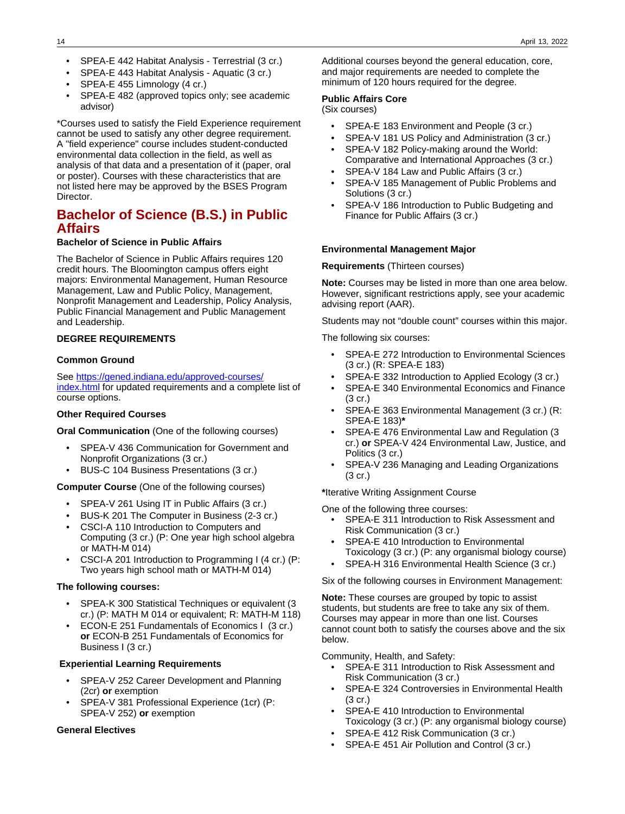- SPEA-E 442 Habitat Analysis Terrestrial (3 cr.)
- SPEA-E 443 Habitat Analysis Aquatic (3 cr.)
- SPEA-E 455 Limnology (4 cr.)
- SPEA-E 482 (approved topics only; see academic advisor)

\*Courses used to satisfy the Field Experience requirement cannot be used to satisfy any other degree requirement. A "field experience" course includes student-conducted environmental data collection in the field, as well as analysis of that data and a presentation of it (paper, oral or poster). Courses with these characteristics that are not listed here may be approved by the BSES Program Director.

# **Bachelor of Science (B.S.) in Public Affairs**

#### **Bachelor of Science in Public Affairs**

The Bachelor of Science in Public Affairs requires 120 credit hours. The Bloomington campus offers eight majors: Environmental Management, Human Resource Management, Law and Public Policy, Management, Nonprofit Management and Leadership, Policy Analysis, Public Financial Management and Public Management and Leadership.

#### **DEGREE REQUIREMENTS**

#### **Common Ground**

See [https://gened.indiana.edu/approved-courses/](https://gened.indiana.edu/approved-courses/index.html) [index.html](https://gened.indiana.edu/approved-courses/index.html) for updated requirements and a complete list of course options.

#### **Other Required Courses**

**Oral Communication** (One of the following courses)

- SPEA-V 436 Communication for Government and Nonprofit Organizations (3 cr.)
- BUS-C 104 Business Presentations (3 cr.)

#### **Computer Course** (One of the following courses)

- SPEA-V 261 Using IT in Public Affairs (3 cr.)
- BUS-K 201 The Computer in Business (2-3 cr.)
- CSCI-A 110 Introduction to Computers and Computing (3 cr.) (P: One year high school algebra or MATH-M 014)
- CSCI-A 201 Introduction to Programming I (4 cr.) (P: Two years high school math or MATH-M 014)

#### **The following courses:**

- SPEA-K 300 Statistical Techniques or equivalent (3 cr.) (P: MATH M 014 or equivalent; R: MATH-M 118)
- ECON-E 251 Fundamentals of Economics I (3 cr.) **or** ECON-B 251 Fundamentals of Economics for Business I (3 cr.)

#### **Experiential Learning Requirements**

- SPEA-V 252 Career Development and Planning (2cr) **or** exemption
- SPEA-V 381 Professional Experience (1cr) (P: SPEA-V 252) **or** exemption

#### **General Electives**

Additional courses beyond the general education, core, and major requirements are needed to complete the minimum of 120 hours required for the degree.

#### **Public Affairs Core**

(Six courses)

- SPEA-E 183 Environment and People (3 cr.)
- SPEA-V 181 US Policy and Administration (3 cr.)
- SPEA-V 182 Policy-making around the World: Comparative and International Approaches (3 cr.)
- SPEA-V 184 Law and Public Affairs (3 cr.)
- SPEA-V 185 Management of Public Problems and Solutions (3 cr.)
- SPEA-V 186 Introduction to Public Budgeting and Finance for Public Affairs (3 cr.)

#### **Environmental Management Major**

#### **Requirements** (Thirteen courses)

**Note:** Courses may be listed in more than one area below. However, significant restrictions apply, see your academic advising report (AAR).

Students may not "double count" courses within this major.

The following six courses:

- SPEA-E 272 Introduction to Environmental Sciences (3 cr.) (R: SPEA-E 183)
- SPEA-E 332 Introduction to Applied Ecology (3 cr.)
- SPEA-E 340 Environmental Economics and Finance (3 cr.)
- SPEA-E 363 Environmental Management (3 cr.) (R: SPEA-E 183)**\***
- SPEA-E 476 Environmental Law and Regulation (3 cr.) **or** SPEA-V 424 Environmental Law, Justice, and Politics (3 cr.)
- SPEA-V 236 Managing and Leading Organizations (3 cr.)

**\***Iterative Writing Assignment Course

One of the following three courses:

- SPEA-E 311 Introduction to Risk Assessment and Risk Communication (3 cr.)
- SPEA-E 410 Introduction to Environmental Toxicology (3 cr.) (P: any organismal biology course)
	- SPEA-H 316 Environmental Health Science (3 cr.)

Six of the following courses in Environment Management:

**Note:** These courses are grouped by topic to assist students, but students are free to take any six of them. Courses may appear in more than one list. Courses cannot count both to satisfy the courses above and the six below.

Community, Health, and Safety:

- SPEA-E 311 Introduction to Risk Assessment and Risk Communication (3 cr.)
- SPEA-E 324 Controversies in Environmental Health (3 cr.)
- SPEA-E 410 Introduction to Environmental Toxicology (3 cr.) (P: any organismal biology course)
- SPEA-E 412 Risk Communication (3 cr.)
- SPEA-E 451 Air Pollution and Control (3 cr.)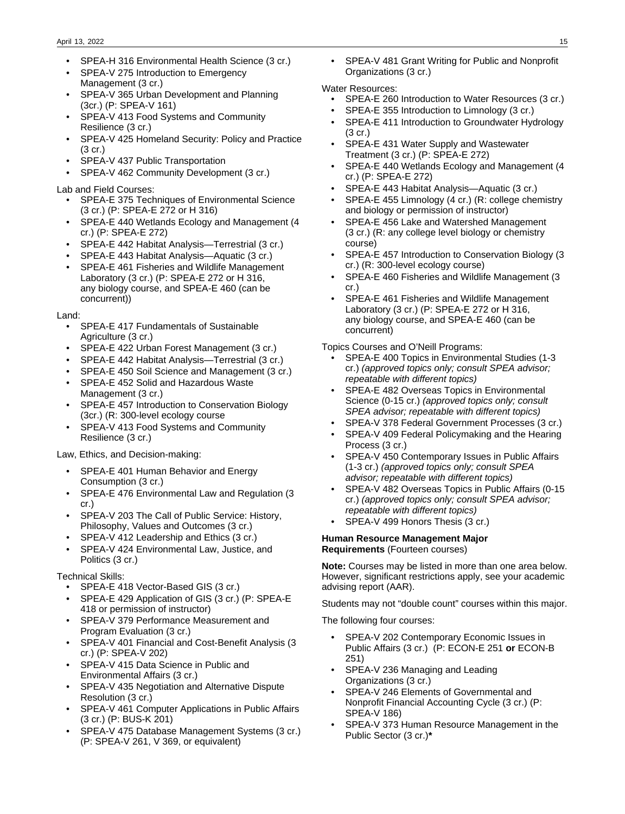- SPEA-H 316 Environmental Health Science (3 cr.)
- SPEA-V 275 Introduction to Emergency Management (3 cr.)
- SPEA-V 365 Urban Development and Planning (3cr.) (P: SPEA-V 161)
- SPEA-V 413 Food Systems and Community Resilience (3 cr.)
- SPEA-V 425 Homeland Security: Policy and Practice (3 cr.)
- SPEA-V 437 Public Transportation
- SPEA-V 462 Community Development (3 cr.)

#### Lab and Field Courses:

- SPEA-E 375 Techniques of Environmental Science (3 cr.) (P: SPEA-E 272 or H 316)
- SPEA-E 440 Wetlands Ecology and Management (4 cr.) (P: SPEA-E 272)
- SPEA-E 442 Habitat Analysis—Terrestrial (3 cr.)
- SPEA-E 443 Habitat Analysis—Aquatic (3 cr.)
- SPEA-E 461 Fisheries and Wildlife Management Laboratory (3 cr.) (P: SPEA-E 272 or H 316, any biology course, and SPEA-E 460 (can be concurrent))

Land:

- SPEA-E 417 Fundamentals of Sustainable Agriculture (3 cr.)
- SPEA-E 422 Urban Forest Management (3 cr.)
- SPEA-E 442 Habitat Analysis—Terrestrial (3 cr.)
- SPEA-E 450 Soil Science and Management (3 cr.)
- SPEA-E 452 Solid and Hazardous Waste Management (3 cr.)
- SPEA-E 457 Introduction to Conservation Biology (3cr.) (R: 300-level ecology course
- SPEA-V 413 Food Systems and Community Resilience (3 cr.)

Law, Ethics, and Decision-making:

- SPEA-E 401 Human Behavior and Energy Consumption (3 cr.)
- SPEA-E 476 Environmental Law and Regulation (3 cr.)
- SPEA-V 203 The Call of Public Service: History, Philosophy, Values and Outcomes (3 cr.)
- SPEA-V 412 Leadership and Ethics (3 cr.)
- SPEA-V 424 Environmental Law, Justice, and Politics (3 cr.)

Technical Skills:

- SPEA-E 418 Vector-Based GIS (3 cr.)
- SPEA-E 429 Application of GIS (3 cr.) (P: SPEA-E 418 or permission of instructor)
- SPEA-V 379 Performance Measurement and Program Evaluation (3 cr.)
- SPEA-V 401 Financial and Cost-Benefit Analysis (3 cr.) (P: SPEA-V 202)
- SPEA-V 415 Data Science in Public and Environmental Affairs (3 cr.)
- SPEA-V 435 Negotiation and Alternative Dispute Resolution (3 cr.)
- SPEA-V 461 Computer Applications in Public Affairs (3 cr.) (P: BUS-K 201)
- SPEA-V 475 Database Management Systems (3 cr.) (P: SPEA-V 261, V 369, or equivalent)

• SPEA-V 481 Grant Writing for Public and Nonprofit Organizations (3 cr.)

#### Water Resources:

- SPEA-E 260 Introduction to Water Resources (3 cr.)
- SPEA-E 355 Introduction to Limnology (3 cr.)
- SPEA-E 411 Introduction to Groundwater Hydrology  $(3 \text{ cr})$
- SPEA-E 431 Water Supply and Wastewater Treatment (3 cr.) (P: SPEA-E 272)
- SPEA-E 440 Wetlands Ecology and Management (4 cr.) (P: SPEA-E 272)
- SPEA-E 443 Habitat Analysis—Aquatic (3 cr.)
- SPEA-E 455 Limnology (4 cr.) (R: college chemistry and biology or permission of instructor)
- SPEA-E 456 Lake and Watershed Management (3 cr.) (R: any college level biology or chemistry course)
- SPEA-E 457 Introduction to Conservation Biology (3 cr.) (R: 300-level ecology course)
- SPEA-E 460 Fisheries and Wildlife Management (3 cr.)
- SPEA-E 461 Fisheries and Wildlife Management Laboratory (3 cr.) (P: SPEA-E 272 or H 316, any biology course, and SPEA-E 460 (can be concurrent)

Topics Courses and O'Neill Programs:

- SPEA-E 400 Topics in Environmental Studies (1-3 cr.) (approved topics only; consult SPEA advisor; repeatable with different topics)
- SPEA-E 482 Overseas Topics in Environmental Science (0-15 cr.) (approved topics only; consult SPEA advisor; repeatable with different topics)
- SPEA-V 378 Federal Government Processes (3 cr.)
- SPEA-V 409 Federal Policymaking and the Hearing Process (3 cr.)
- SPEA-V 450 Contemporary Issues in Public Affairs (1-3 cr.) (approved topics only; consult SPEA advisor; repeatable with different topics)
- SPEA-V 482 Overseas Topics in Public Affairs (0-15 cr.) (approved topics only; consult SPEA advisor; repeatable with different topics)
- SPEA-V 499 Honors Thesis (3 cr.)

#### **Human Resource Management Major Requirements** (Fourteen courses)

**Note:** Courses may be listed in more than one area below. However, significant restrictions apply, see your academic advising report (AAR).

Students may not "double count" courses within this major.

The following four courses:

- SPEA-V 202 Contemporary Economic Issues in Public Affairs (3 cr.) (P: ECON-E 251 **or** ECON-B 251)
- SPEA-V 236 Managing and Leading Organizations (3 cr.)
- SPEA-V 246 Elements of Governmental and Nonprofit Financial Accounting Cycle (3 cr.) (P: SPEA-V 186)
- SPEA-V 373 Human Resource Management in the Public Sector (3 cr.)**\***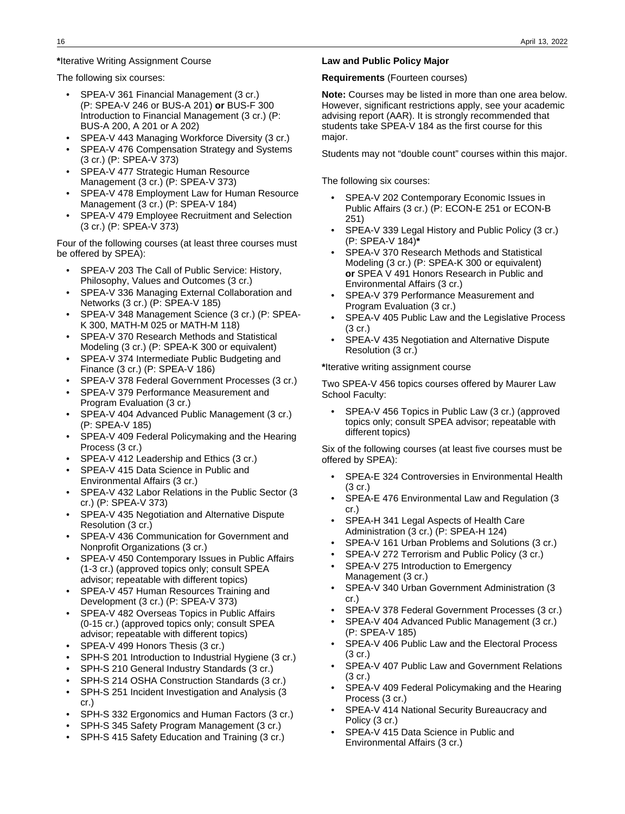#### **\***Iterative Writing Assignment Course

The following six courses:

- SPEA-V 361 Financial Management (3 cr.) (P: SPEA-V 246 or BUS-A 201) **or** BUS-F 300 Introduction to Financial Management (3 cr.) (P: BUS-A 200, A 201 or A 202)
- SPEA-V 443 Managing Workforce Diversity (3 cr.)
- SPEA-V 476 Compensation Strategy and Systems (3 cr.) (P: SPEA-V 373)
- SPEA-V 477 Strategic Human Resource Management (3 cr.) (P: SPEA-V 373)
- SPEA-V 478 Employment Law for Human Resource Management (3 cr.) (P: SPEA-V 184)
- SPEA-V 479 Employee Recruitment and Selection (3 cr.) (P: SPEA-V 373)

Four of the following courses (at least three courses must be offered by SPEA):

- SPEA-V 203 The Call of Public Service: History, Philosophy, Values and Outcomes (3 cr.)
- SPEA-V 336 Managing External Collaboration and Networks (3 cr.) (P: SPEA-V 185)
- SPEA-V 348 Management Science (3 cr.) (P: SPEA-K 300, MATH-M 025 or MATH-M 118)
- SPEA-V 370 Research Methods and Statistical Modeling (3 cr.) (P: SPEA-K 300 or equivalent)
- SPEA-V 374 Intermediate Public Budgeting and Finance (3 cr.) (P: SPEA-V 186)
- SPEA-V 378 Federal Government Processes (3 cr.)
- SPEA-V 379 Performance Measurement and Program Evaluation (3 cr.)
- SPEA-V 404 Advanced Public Management (3 cr.) (P: SPEA-V 185)
- SPEA-V 409 Federal Policymaking and the Hearing Process (3 cr.)
- SPEA-V 412 Leadership and Ethics (3 cr.)
- SPEA-V 415 Data Science in Public and Environmental Affairs (3 cr.)
- SPEA-V 432 Labor Relations in the Public Sector (3 cr.) (P: SPEA-V 373)
- SPEA-V 435 Negotiation and Alternative Dispute Resolution (3 cr.)
- SPEA-V 436 Communication for Government and Nonprofit Organizations (3 cr.)
- SPEA-V 450 Contemporary Issues in Public Affairs (1-3 cr.) (approved topics only; consult SPEA advisor; repeatable with different topics)
- SPEA-V 457 Human Resources Training and Development (3 cr.) (P: SPEA-V 373)
- SPEA-V 482 Overseas Topics in Public Affairs (0-15 cr.) (approved topics only; consult SPEA advisor; repeatable with different topics)
- SPEA-V 499 Honors Thesis (3 cr.)
- SPH-S 201 Introduction to Industrial Hygiene (3 cr.)
- SPH-S 210 General Industry Standards (3 cr.)
- SPH-S 214 OSHA Construction Standards (3 cr.)
- SPH-S 251 Incident Investigation and Analysis (3 cr.)
- SPH-S 332 Ergonomics and Human Factors (3 cr.)
- SPH-S 345 Safety Program Management (3 cr.)
- SPH-S 415 Safety Education and Training (3 cr.)

#### **Law and Public Policy Major**

**Requirements** (Fourteen courses)

**Note:** Courses may be listed in more than one area below. However, significant restrictions apply, see your academic advising report (AAR). It is strongly recommended that students take SPEA-V 184 as the first course for this major.

Students may not "double count" courses within this major.

The following six courses:

- SPEA-V 202 Contemporary Economic Issues in Public Affairs (3 cr.) (P: ECON-E 251 or ECON-B 251)
- SPEA-V 339 Legal History and Public Policy (3 cr.) (P: SPEA-V 184)**\***
- SPEA-V 370 Research Methods and Statistical Modeling (3 cr.) (P: SPEA-K 300 or equivalent) **or** SPEA V 491 Honors Research in Public and Environmental Affairs (3 cr.)
- SPEA-V 379 Performance Measurement and Program Evaluation (3 cr.)
- SPEA-V 405 Public Law and the Legislative Process (3 cr.)
- SPEA-V 435 Negotiation and Alternative Dispute Resolution (3 cr.)

**\***Iterative writing assignment course

Two SPEA-V 456 topics courses offered by Maurer Law School Faculty:

SPEA-V 456 Topics in Public Law (3 cr.) (approved topics only; consult SPEA advisor; repeatable with different topics)

Six of the following courses (at least five courses must be offered by SPEA):

- SPEA-E 324 Controversies in Environmental Health (3 cr.)
- SPEA-E 476 Environmental Law and Regulation (3 cr.)
- SPEA-H 341 Legal Aspects of Health Care Administration (3 cr.) (P: SPEA-H 124)
- SPEA-V 161 Urban Problems and Solutions (3 cr.)
- SPEA-V 272 Terrorism and Public Policy (3 cr.)
- SPEA-V 275 Introduction to Emergency Management (3 cr.)
- SPEA-V 340 Urban Government Administration (3 cr.)
- SPEA-V 378 Federal Government Processes (3 cr.)
- SPEA-V 404 Advanced Public Management (3 cr.) (P: SPEA-V 185)
- SPEA-V 406 Public Law and the Electoral Process (3 cr.)
- SPEA-V 407 Public Law and Government Relations (3 cr.)
- SPEA-V 409 Federal Policymaking and the Hearing Process (3 cr.)
- SPEA-V 414 National Security Bureaucracy and Policy (3 cr.)
- SPEA-V 415 Data Science in Public and Environmental Affairs (3 cr.)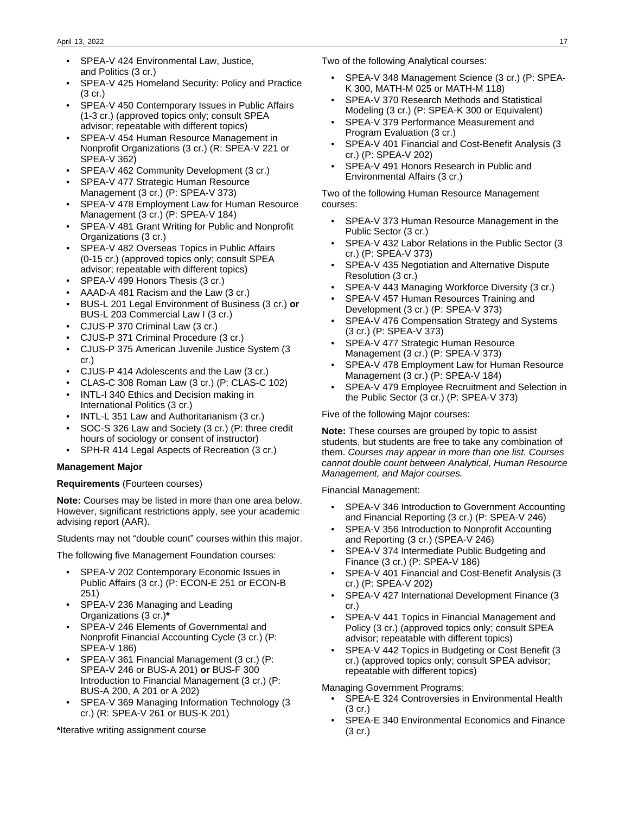- SPEA-V 424 Environmental Law, Justice, and Politics (3 cr.)
- SPEA-V 425 Homeland Security: Policy and Practice (3 cr.)
- SPEA-V 450 Contemporary Issues in Public Affairs (1-3 cr.) (approved topics only; consult SPEA advisor; repeatable with different topics)
- SPEA-V 454 Human Resource Management in Nonprofit Organizations (3 cr.) (R: SPEA-V 221 or SPEA-V 362)
- SPEA-V 462 Community Development (3 cr.)
- SPEA-V 477 Strategic Human Resource Management (3 cr.) (P: SPEA-V 373)
- SPEA-V 478 Employment Law for Human Resource Management (3 cr.) (P: SPEA-V 184)
- SPEA-V 481 Grant Writing for Public and Nonprofit Organizations (3 cr.)
- SPEA-V 482 Overseas Topics in Public Affairs (0-15 cr.) (approved topics only; consult SPEA advisor; repeatable with different topics)
- SPEA-V 499 Honors Thesis (3 cr.)
- AAAD-A 481 Racism and the Law (3 cr.)
- BUS-L 201 Legal Environment of Business (3 cr.) **or** BUS-L 203 Commercial Law I (3 cr.)
- CJUS-P 370 Criminal Law (3 cr.)
- CJUS-P 371 Criminal Procedure (3 cr.)
- CJUS-P 375 American Juvenile Justice System (3 cr.)
- CJUS-P 414 Adolescents and the Law (3 cr.)
- CLAS-C 308 Roman Law (3 cr.) (P: CLAS-C 102)
- INTL-I 340 Ethics and Decision making in International Politics (3 cr.)
- INTL-L 351 Law and Authoritarianism (3 cr.)
- SOC-S 326 Law and Society (3 cr.) (P: three credit hours of sociology or consent of instructor)
- SPH-R 414 Legal Aspects of Recreation (3 cr.)

#### **Management Major**

#### **Requirements** (Fourteen courses)

**Note:** Courses may be listed in more than one area below. However, significant restrictions apply, see your academic advising report (AAR).

Students may not "double count" courses within this major.

The following five Management Foundation courses:

- SPEA-V 202 Contemporary Economic Issues in Public Affairs (3 cr.) (P: ECON-E 251 or ECON-B 251)
- SPEA-V 236 Managing and Leading Organizations (3 cr.)**\***
- SPEA-V 246 Elements of Governmental and Nonprofit Financial Accounting Cycle (3 cr.) (P: SPEA-V 186)
- SPEA-V 361 Financial Management (3 cr.) (P: SPEA-V 246 or BUS-A 201) **or** BUS-F 300 Introduction to Financial Management (3 cr.) (P: BUS-A 200, A 201 or A 202)
- SPEA-V 369 Managing Information Technology (3 cr.) (R: SPEA-V 261 or BUS-K 201)

**\***Iterative writing assignment course

Two of the following Analytical courses:

- SPEA-V 348 Management Science (3 cr.) (P: SPEA-K 300, MATH-M 025 or MATH-M 118)
- SPEA-V 370 Research Methods and Statistical Modeling (3 cr.) (P: SPEA-K 300 or Equivalent)
- SPEA-V 379 Performance Measurement and Program Evaluation (3 cr.)
- SPEA-V 401 Financial and Cost-Benefit Analysis (3 cr.) (P: SPEA-V 202)
- SPEA-V 491 Honors Research in Public and Environmental Affairs (3 cr.)

Two of the following Human Resource Management courses:

- SPEA-V 373 Human Resource Management in the Public Sector (3 cr.)
- SPEA-V 432 Labor Relations in the Public Sector (3 cr.) (P: SPEA-V 373)
- SPEA-V 435 Negotiation and Alternative Dispute Resolution (3 cr.)
- SPEA-V 443 Managing Workforce Diversity (3 cr.)
- SPEA-V 457 Human Resources Training and Development (3 cr.) (P: SPEA-V 373)
- SPEA-V 476 Compensation Strategy and Systems (3 cr.) (P: SPEA-V 373)
- SPEA-V 477 Strategic Human Resource Management (3 cr.) (P: SPEA-V 373)
- SPEA-V 478 Employment Law for Human Resource Management (3 cr.) (P: SPEA-V 184)
- SPEA-V 479 Employee Recruitment and Selection in the Public Sector (3 cr.) (P: SPEA-V 373)

Five of the following Major courses:

**Note:** These courses are grouped by topic to assist students, but students are free to take any combination of them. Courses may appear in more than one list. Courses cannot double count between Analytical, Human Resource Management, and Major courses.

Financial Management:

- SPEA-V 346 Introduction to Government Accounting and Financial Reporting (3 cr.) (P: SPEA-V 246)
- SPEA-V 356 Introduction to Nonprofit Accounting and Reporting (3 cr.) (SPEA-V 246)
- SPEA-V 374 Intermediate Public Budgeting and Finance (3 cr.) (P: SPEA-V 186)
- SPEA-V 401 Financial and Cost-Benefit Analysis (3 cr.) (P: SPEA-V 202)
- SPEA-V 427 International Development Finance (3 cr.)
- SPEA-V 441 Topics in Financial Management and Policy (3 cr.) (approved topics only; consult SPEA advisor; repeatable with different topics)
- SPEA-V 442 Topics in Budgeting or Cost Benefit (3 cr.) (approved topics only; consult SPEA advisor; repeatable with different topics)

Managing Government Programs:

- SPEA-E 324 Controversies in Environmental Health (3 cr.)
- SPEA-E 340 Environmental Economics and Finance (3 cr.)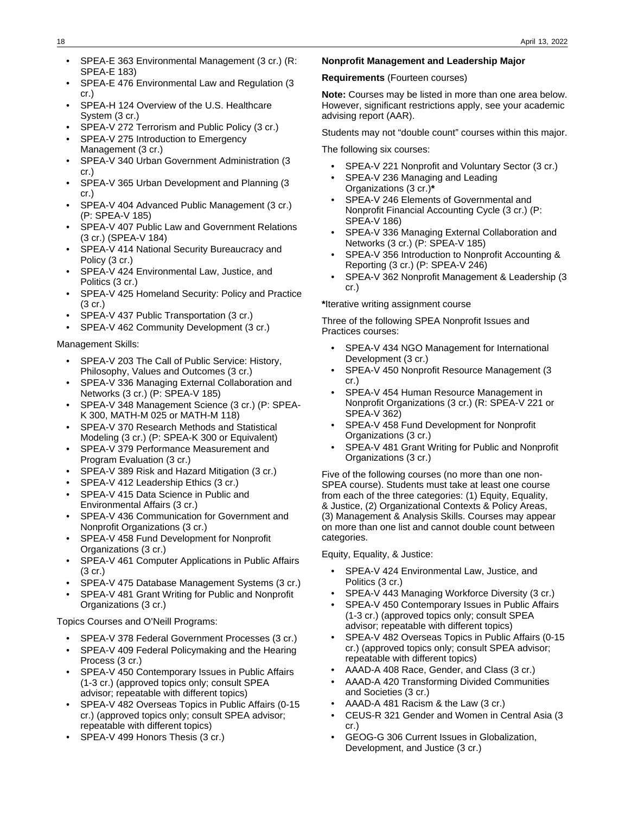- SPEA-E 363 Environmental Management (3 cr.) (R: SPEA-E 183)
- SPEA-E 476 Environmental Law and Regulation (3 cr.)
- SPEA-H 124 Overview of the U.S. Healthcare System (3 cr.)
- SPEA-V 272 Terrorism and Public Policy (3 cr.)
- SPEA-V 275 Introduction to Emergency Management (3 cr.)
- SPEA-V 340 Urban Government Administration (3 cr.)
- SPEA-V 365 Urban Development and Planning (3 cr.)
- SPEA-V 404 Advanced Public Management (3 cr.) (P: SPEA-V 185)
- SPEA-V 407 Public Law and Government Relations (3 cr.) (SPEA-V 184)
- SPEA-V 414 National Security Bureaucracy and Policy (3 cr.)
- SPEA-V 424 Environmental Law, Justice, and Politics (3 cr.)
- SPEA-V 425 Homeland Security: Policy and Practice (3 cr.)
- SPEA-V 437 Public Transportation (3 cr.)
- SPEA-V 462 Community Development (3 cr.)

#### Management Skills:

- SPEA-V 203 The Call of Public Service: History, Philosophy, Values and Outcomes (3 cr.)
- SPEA-V 336 Managing External Collaboration and Networks (3 cr.) (P: SPEA-V 185)
- SPEA-V 348 Management Science (3 cr.) (P: SPEA-K 300, MATH-M 025 or MATH-M 118)
- SPEA-V 370 Research Methods and Statistical Modeling (3 cr.) (P: SPEA-K 300 or Equivalent)
- SPEA-V 379 Performance Measurement and Program Evaluation (3 cr.)
- SPEA-V 389 Risk and Hazard Mitigation (3 cr.)
- SPEA-V 412 Leadership Ethics (3 cr.)
- SPEA-V 415 Data Science in Public and Environmental Affairs (3 cr.)
- SPEA-V 436 Communication for Government and Nonprofit Organizations (3 cr.)
- SPEA-V 458 Fund Development for Nonprofit Organizations (3 cr.)
- SPEA-V 461 Computer Applications in Public Affairs (3 cr.)
- SPEA-V 475 Database Management Systems (3 cr.)
- SPEA-V 481 Grant Writing for Public and Nonprofit Organizations (3 cr.)

#### Topics Courses and O'Neill Programs:

- SPEA-V 378 Federal Government Processes (3 cr.)
- SPEA-V 409 Federal Policymaking and the Hearing Process (3 cr.)
- SPEA-V 450 Contemporary Issues in Public Affairs (1-3 cr.) (approved topics only; consult SPEA advisor; repeatable with different topics)
- SPEA-V 482 Overseas Topics in Public Affairs (0-15 cr.) (approved topics only; consult SPEA advisor; repeatable with different topics)
- SPEA-V 499 Honors Thesis (3 cr.)

#### **Nonprofit Management and Leadership Major**

**Requirements** (Fourteen courses)

**Note:** Courses may be listed in more than one area below. However, significant restrictions apply, see your academic advising report (AAR).

Students may not "double count" courses within this major.

The following six courses:

- SPEA-V 221 Nonprofit and Voluntary Sector (3 cr.)
- SPEA-V 236 Managing and Leading Organizations (3 cr.)**\***
- SPEA-V 246 Elements of Governmental and Nonprofit Financial Accounting Cycle (3 cr.) (P: SPEA-V 186)
- SPEA-V 336 Managing External Collaboration and Networks (3 cr.) (P: SPEA-V 185)
- SPEA-V 356 Introduction to Nonprofit Accounting & Reporting (3 cr.) (P: SPEA-V 246)
- SPEA-V 362 Nonprofit Management & Leadership (3 cr.)

**\***Iterative writing assignment course

Three of the following SPEA Nonprofit Issues and Practices courses:

- SPEA-V 434 NGO Management for International Development (3 cr.)
- SPEA-V 450 Nonprofit Resource Management (3 cr.)
- SPEA-V 454 Human Resource Management in Nonprofit Organizations (3 cr.) (R: SPEA-V 221 or SPEA-V 362)
- SPEA-V 458 Fund Development for Nonprofit Organizations (3 cr.)
- SPEA-V 481 Grant Writing for Public and Nonprofit Organizations (3 cr.)

Five of the following courses (no more than one non-SPEA course). Students must take at least one course from each of the three categories: (1) Equity, Equality, & Justice, (2) Organizational Contexts & Policy Areas, (3) Management & Analysis Skills. Courses may appear on more than one list and cannot double count between categories.

Equity, Equality, & Justice:

- SPEA-V 424 Environmental Law, Justice, and Politics (3 cr.)
- SPEA-V 443 Managing Workforce Diversity (3 cr.)
- SPEA-V 450 Contemporary Issues in Public Affairs (1-3 cr.) (approved topics only; consult SPEA advisor; repeatable with different topics)
- SPEA-V 482 Overseas Topics in Public Affairs (0-15 cr.) (approved topics only; consult SPEA advisor; repeatable with different topics)
- AAAD-A 408 Race, Gender, and Class (3 cr.)
- AAAD-A 420 Transforming Divided Communities and Societies (3 cr.)
- AAAD-A 481 Racism & the Law (3 cr.)
- CEUS-R 321 Gender and Women in Central Asia (3 cr.)
- GEOG-G 306 Current Issues in Globalization, Development, and Justice (3 cr.)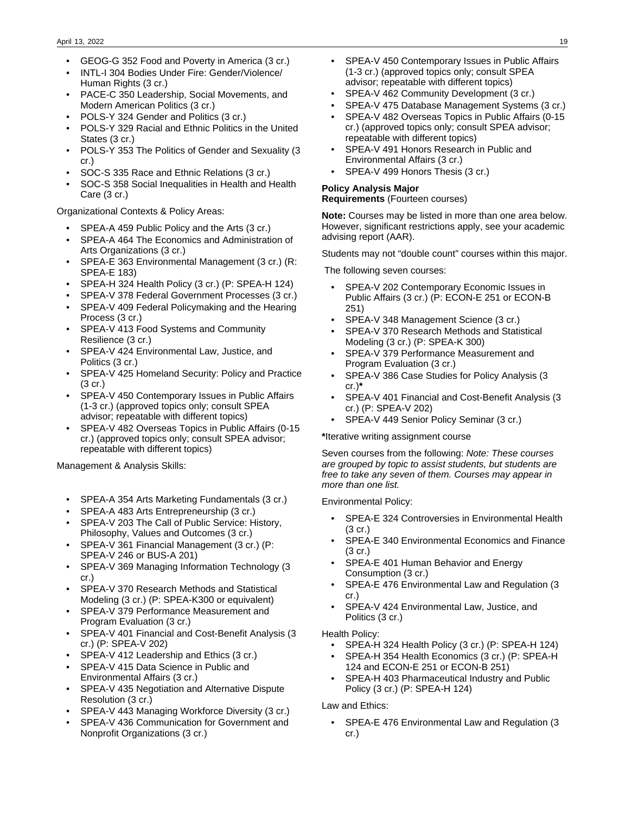- GEOG-G 352 Food and Poverty in America (3 cr.)
- INTL-I 304 Bodies Under Fire: Gender/Violence/ Human Rights (3 cr.)
- PACE-C 350 Leadership, Social Movements, and Modern American Politics (3 cr.)
- POLS-Y 324 Gender and Politics (3 cr.)
- POLS-Y 329 Racial and Ethnic Politics in the United States (3 cr.)
- POLS-Y 353 The Politics of Gender and Sexuality (3 cr.)
- SOC-S 335 Race and Ethnic Relations (3 cr.)
- SOC-S 358 Social Inequalities in Health and Health Care (3 cr.)

Organizational Contexts & Policy Areas:

- SPEA-A 459 Public Policy and the Arts (3 cr.)
- SPEA-A 464 The Economics and Administration of Arts Organizations (3 cr.)
- SPEA-E 363 Environmental Management (3 cr.) (R: SPEA-E 183)
- SPEA-H 324 Health Policy (3 cr.) (P: SPEA-H 124)
- SPEA-V 378 Federal Government Processes (3 cr.)
- SPEA-V 409 Federal Policymaking and the Hearing Process (3 cr.)
- SPEA-V 413 Food Systems and Community Resilience (3 cr.)
- SPEA-V 424 Environmental Law, Justice, and Politics (3 cr.)
- SPEA-V 425 Homeland Security: Policy and Practice (3 cr.)
- SPEA-V 450 Contemporary Issues in Public Affairs (1-3 cr.) (approved topics only; consult SPEA advisor; repeatable with different topics)
- SPEA-V 482 Overseas Topics in Public Affairs (0-15 cr.) (approved topics only; consult SPEA advisor; repeatable with different topics)

Management & Analysis Skills:

- SPEA-A 354 Arts Marketing Fundamentals (3 cr.)
- SPEA-A 483 Arts Entrepreneurship (3 cr.)
- SPEA-V 203 The Call of Public Service: History, Philosophy, Values and Outcomes (3 cr.)
- SPEA-V 361 Financial Management (3 cr.) (P: SPEA-V 246 or BUS-A 201)
- SPEA-V 369 Managing Information Technology (3 cr.)
- SPEA-V 370 Research Methods and Statistical Modeling (3 cr.) (P: SPEA-K300 or equivalent)
- SPEA-V 379 Performance Measurement and Program Evaluation (3 cr.)
- SPEA-V 401 Financial and Cost-Benefit Analysis (3 cr.) (P: SPEA-V 202)
- SPEA-V 412 Leadership and Ethics (3 cr.)
- SPEA-V 415 Data Science in Public and Environmental Affairs (3 cr.)
- SPEA-V 435 Negotiation and Alternative Dispute Resolution (3 cr.)
- SPEA-V 443 Managing Workforce Diversity (3 cr.)
- SPEA-V 436 Communication for Government and Nonprofit Organizations (3 cr.)
- SPEA-V 450 Contemporary Issues in Public Affairs (1-3 cr.) (approved topics only; consult SPEA advisor; repeatable with different topics)
- SPEA-V 462 Community Development (3 cr.)
- SPEA-V 475 Database Management Systems (3 cr.)
- SPEA-V 482 Overseas Topics in Public Affairs (0-15 cr.) (approved topics only; consult SPEA advisor; repeatable with different topics)
- SPEA-V 491 Honors Research in Public and Environmental Affairs (3 cr.)
- SPEA-V 499 Honors Thesis (3 cr.)

# **Policy Analysis Major**

**Requirements** (Fourteen courses)

**Note:** Courses may be listed in more than one area below. However, significant restrictions apply, see your academic advising report (AAR).

Students may not "double count" courses within this major.

The following seven courses:

- SPEA-V 202 Contemporary Economic Issues in Public Affairs (3 cr.) (P: ECON-E 251 or ECON-B 251)
- SPEA-V 348 Management Science (3 cr.)
- SPEA-V 370 Research Methods and Statistical Modeling (3 cr.) (P: SPEA-K 300)
- SPEA-V 379 Performance Measurement and Program Evaluation (3 cr.)
- SPEA-V 386 Case Studies for Policy Analysis (3 cr.)**\***
- SPEA-V 401 Financial and Cost-Benefit Analysis (3 cr.) (P: SPEA-V 202)
- SPEA-V 449 Senior Policy Seminar (3 cr.)

#### **\***Iterative writing assignment course

Seven courses from the following: Note: These courses are grouped by topic to assist students, but students are free to take any seven of them. Courses may appear in more than one list.

Environmental Policy:

- SPEA-E 324 Controversies in Environmental Health (3 cr.)
- SPEA-E 340 Environmental Economics and Finance (3 cr.)
- SPEA-E 401 Human Behavior and Energy Consumption (3 cr.)
- SPEA-E 476 Environmental Law and Regulation (3 cr.)
- SPEA-V 424 Environmental Law, Justice, and Politics (3 cr.)

Health Policy:

- SPEA-H 324 Health Policy (3 cr.) (P: SPEA-H 124)
- SPEA-H 354 Health Economics (3 cr.) (P: SPEA-H 124 and ECON-E 251 or ECON-B 251)
- SPEA-H 403 Pharmaceutical Industry and Public Policy (3 cr.) (P: SPEA-H 124)

Law and Ethics:

• SPEA-E 476 Environmental Law and Regulation (3 cr.)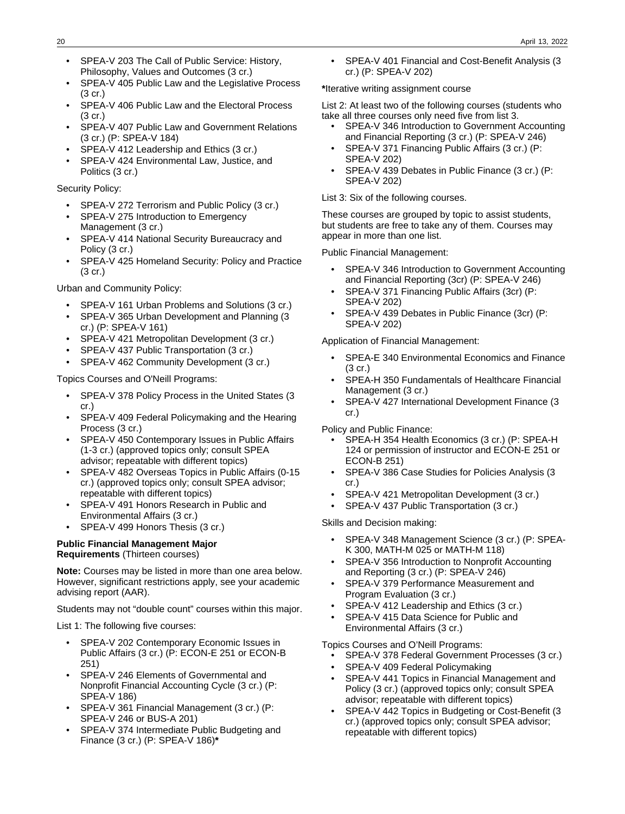- SPEA-V 203 The Call of Public Service: History, Philosophy, Values and Outcomes (3 cr.)
- SPEA-V 405 Public Law and the Legislative Process (3 cr.)
- SPEA-V 406 Public Law and the Electoral Process (3 cr.)
- SPEA-V 407 Public Law and Government Relations (3 cr.) (P: SPEA-V 184)
- SPEA-V 412 Leadership and Ethics (3 cr.)
- SPEA-V 424 Environmental Law, Justice, and Politics (3 cr.)

Security Policy:

- SPEA-V 272 Terrorism and Public Policy (3 cr.)
- SPEA-V 275 Introduction to Emergency Management (3 cr.)
- SPEA-V 414 National Security Bureaucracy and Policy (3 cr.)
- SPEA-V 425 Homeland Security: Policy and Practice (3 cr.)

Urban and Community Policy:

- SPEA-V 161 Urban Problems and Solutions (3 cr.)
- SPEA-V 365 Urban Development and Planning (3 cr.) (P: SPEA-V 161)
- SPEA-V 421 Metropolitan Development (3 cr.)
- SPEA-V 437 Public Transportation (3 cr.)
- SPEA-V 462 Community Development (3 cr.)

Topics Courses and O'Neill Programs:

- SPEA-V 378 Policy Process in the United States (3 cr.)
- SPEA-V 409 Federal Policymaking and the Hearing Process (3 cr.)
- SPEA-V 450 Contemporary Issues in Public Affairs (1-3 cr.) (approved topics only; consult SPEA advisor; repeatable with different topics)
- SPEA-V 482 Overseas Topics in Public Affairs (0-15 cr.) (approved topics only; consult SPEA advisor; repeatable with different topics)
- SPEA-V 491 Honors Research in Public and Environmental Affairs (3 cr.)
- SPEA-V 499 Honors Thesis (3 cr.)

#### **Public Financial Management Major Requirements** (Thirteen courses)

**Note:** Courses may be listed in more than one area below. However, significant restrictions apply, see your academic advising report (AAR).

Students may not "double count" courses within this major.

List 1: The following five courses:

- SPEA-V 202 Contemporary Economic Issues in Public Affairs (3 cr.) (P: ECON-E 251 or ECON-B 251)
- SPEA-V 246 Elements of Governmental and Nonprofit Financial Accounting Cycle (3 cr.) (P: SPEA-V 186)
- SPEA-V 361 Financial Management (3 cr.) (P: SPEA-V 246 or BUS-A 201)
- SPEA-V 374 Intermediate Public Budgeting and Finance (3 cr.) (P: SPEA-V 186)**\***

• SPEA-V 401 Financial and Cost-Benefit Analysis (3 cr.) (P: SPEA-V 202)

#### **\***Iterative writing assignment course

List 2: At least two of the following courses (students who take all three courses only need five from list 3.

- SPEA-V 346 Introduction to Government Accounting and Financial Reporting (3 cr.) (P: SPEA-V 246)
- SPEA-V 371 Financing Public Affairs (3 cr.) (P: SPEA-V 202)
- SPEA-V 439 Debates in Public Finance (3 cr.) (P: SPEA-V 202)

List 3: Six of the following courses.

These courses are grouped by topic to assist students, but students are free to take any of them. Courses may appear in more than one list.

Public Financial Management:

- SPEA-V 346 Introduction to Government Accounting and Financial Reporting (3cr) (P: SPEA-V 246)
- SPEA-V 371 Financing Public Affairs (3cr) (P: SPEA-V 202)
- SPEA-V 439 Debates in Public Finance (3cr) (P: SPEA-V 202)

Application of Financial Management:

- SPEA-E 340 Environmental Economics and Finance (3 cr.)
- SPEA-H 350 Fundamentals of Healthcare Financial Management (3 cr.)
- SPEA-V 427 International Development Finance (3 cr.)

Policy and Public Finance:

- SPEA-H 354 Health Economics (3 cr.) (P: SPEA-H 124 or permission of instructor and ECON-E 251 or ECON-B 251)
- SPEA-V 386 Case Studies for Policies Analysis (3 cr.)
- SPEA-V 421 Metropolitan Development (3 cr.)
- SPEA-V 437 Public Transportation (3 cr.)

Skills and Decision making:

- SPEA-V 348 Management Science (3 cr.) (P: SPEA-K 300, MATH-M 025 or MATH-M 118)
- SPEA-V 356 Introduction to Nonprofit Accounting and Reporting (3 cr.) (P: SPEA-V 246)
- SPEA-V 379 Performance Measurement and Program Evaluation (3 cr.)
- SPEA-V 412 Leadership and Ethics (3 cr.)
- SPEA-V 415 Data Science for Public and Environmental Affairs (3 cr.)

Topics Courses and O'Neill Programs:

- SPEA-V 378 Federal Government Processes (3 cr.)
- SPEA-V 409 Federal Policymaking
- SPEA-V 441 Topics in Financial Management and Policy (3 cr.) (approved topics only; consult SPEA advisor; repeatable with different topics)
- SPEA-V 442 Topics in Budgeting or Cost-Benefit (3 cr.) (approved topics only; consult SPEA advisor; repeatable with different topics)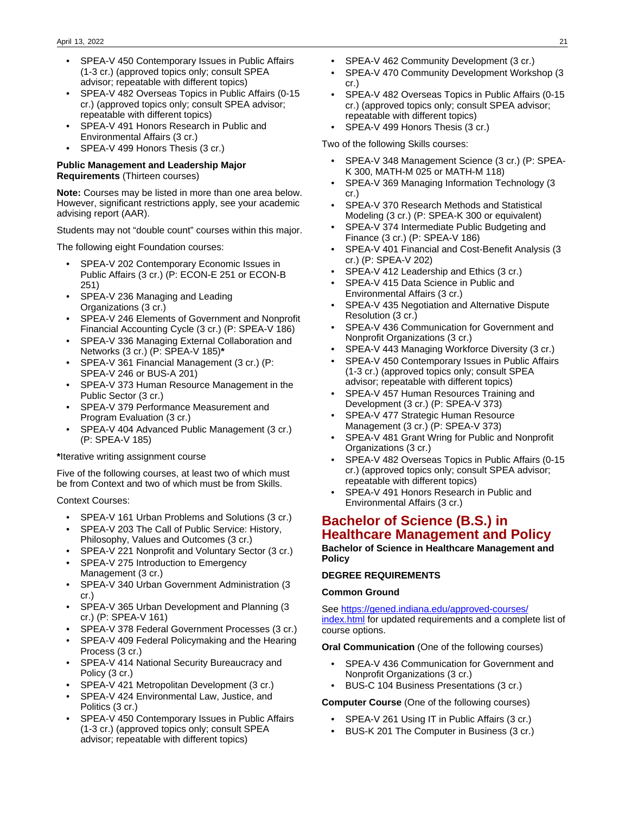- SPEA-V 450 Contemporary Issues in Public Affairs (1-3 cr.) (approved topics only; consult SPEA advisor; repeatable with different topics)
- SPEA-V 482 Overseas Topics in Public Affairs (0-15 cr.) (approved topics only; consult SPEA advisor; repeatable with different topics)
- SPEA-V 491 Honors Research in Public and Environmental Affairs (3 cr.)
- SPEA-V 499 Honors Thesis (3 cr.)

#### **Public Management and Leadership Major Requirements** (Thirteen courses)

**Note:** Courses may be listed in more than one area below. However, significant restrictions apply, see your academic advising report (AAR).

Students may not "double count" courses within this major.

The following eight Foundation courses:

- SPEA-V 202 Contemporary Economic Issues in Public Affairs (3 cr.) (P: ECON-E 251 or ECON-B 251)
- SPEA-V 236 Managing and Leading Organizations (3 cr.)
- SPEA-V 246 Elements of Government and Nonprofit Financial Accounting Cycle (3 cr.) (P: SPEA-V 186)
- SPEA-V 336 Managing External Collaboration and Networks (3 cr.) (P: SPEA-V 185)**\***
- SPEA-V 361 Financial Management (3 cr.) (P: SPEA-V 246 or BUS-A 201)
- SPEA-V 373 Human Resource Management in the Public Sector (3 cr.)
- SPEA-V 379 Performance Measurement and Program Evaluation (3 cr.)
- SPEA-V 404 Advanced Public Management (3 cr.) (P: SPEA-V 185)

**\***Iterative writing assignment course

Five of the following courses, at least two of which must be from Context and two of which must be from Skills.

Context Courses:

- SPEA-V 161 Urban Problems and Solutions (3 cr.)
- SPEA-V 203 The Call of Public Service: History, Philosophy, Values and Outcomes (3 cr.)
- SPEA-V 221 Nonprofit and Voluntary Sector (3 cr.)
- SPEA-V 275 Introduction to Emergency Management (3 cr.)
- SPEA-V 340 Urban Government Administration (3 cr.)
- SPEA-V 365 Urban Development and Planning (3 cr.) (P: SPEA-V 161)
- SPEA-V 378 Federal Government Processes (3 cr.)
- SPEA-V 409 Federal Policymaking and the Hearing Process (3 cr.)
- SPEA-V 414 National Security Bureaucracy and Policy (3 cr.)
- SPEA-V 421 Metropolitan Development (3 cr.)
- SPEA-V 424 Environmental Law, Justice, and Politics (3 cr.)
- SPEA-V 450 Contemporary Issues in Public Affairs (1-3 cr.) (approved topics only; consult SPEA advisor; repeatable with different topics)
- SPEA-V 462 Community Development (3 cr.)
- SPEA-V 470 Community Development Workshop (3 cr.)
- SPEA-V 482 Overseas Topics in Public Affairs (0-15 cr.) (approved topics only; consult SPEA advisor; repeatable with different topics)
- SPEA-V 499 Honors Thesis (3 cr.)

Two of the following Skills courses:

- SPEA-V 348 Management Science (3 cr.) (P: SPEA-K 300, MATH-M 025 or MATH-M 118)
- SPEA-V 369 Managing Information Technology (3 cr.)
- SPEA-V 370 Research Methods and Statistical Modeling (3 cr.) (P: SPEA-K 300 or equivalent)
- SPEA-V 374 Intermediate Public Budgeting and Finance (3 cr.) (P: SPEA-V 186)
- SPEA-V 401 Financial and Cost-Benefit Analysis (3 cr.) (P: SPEA-V 202)
- SPEA-V 412 Leadership and Ethics (3 cr.)
- SPEA-V 415 Data Science in Public and Environmental Affairs (3 cr.)
- SPEA-V 435 Negotiation and Alternative Dispute Resolution (3 cr.)
- SPEA-V 436 Communication for Government and Nonprofit Organizations (3 cr.)
- SPEA-V 443 Managing Workforce Diversity (3 cr.)
- SPEA-V 450 Contemporary Issues in Public Affairs (1-3 cr.) (approved topics only; consult SPEA advisor; repeatable with different topics)
- SPEA-V 457 Human Resources Training and Development (3 cr.) (P: SPEA-V 373)
- SPEA-V 477 Strategic Human Resource Management (3 cr.) (P: SPEA-V 373)
- SPEA-V 481 Grant Wring for Public and Nonprofit Organizations (3 cr.)
- SPEA-V 482 Overseas Topics in Public Affairs (0-15 cr.) (approved topics only; consult SPEA advisor; repeatable with different topics)
- SPEA-V 491 Honors Research in Public and Environmental Affairs (3 cr.)

# **Bachelor of Science (B.S.) in Healthcare Management and Policy**

**Bachelor of Science in Healthcare Management and Policy**

#### **DEGREE REQUIREMENTS**

#### **Common Ground**

See [https://gened.indiana.edu/approved-courses/](https://gened.indiana.edu/approved-courses/index.html) [index.html](https://gened.indiana.edu/approved-courses/index.html) for updated requirements and a complete list of course options.

**Oral Communication** (One of the following courses)

- SPEA-V 436 Communication for Government and Nonprofit Organizations (3 cr.)
- BUS-C 104 Business Presentations (3 cr.)

### **Computer Course** (One of the following courses)

- SPEA-V 261 Using IT in Public Affairs (3 cr.)
- BUS-K 201 The Computer in Business (3 cr.)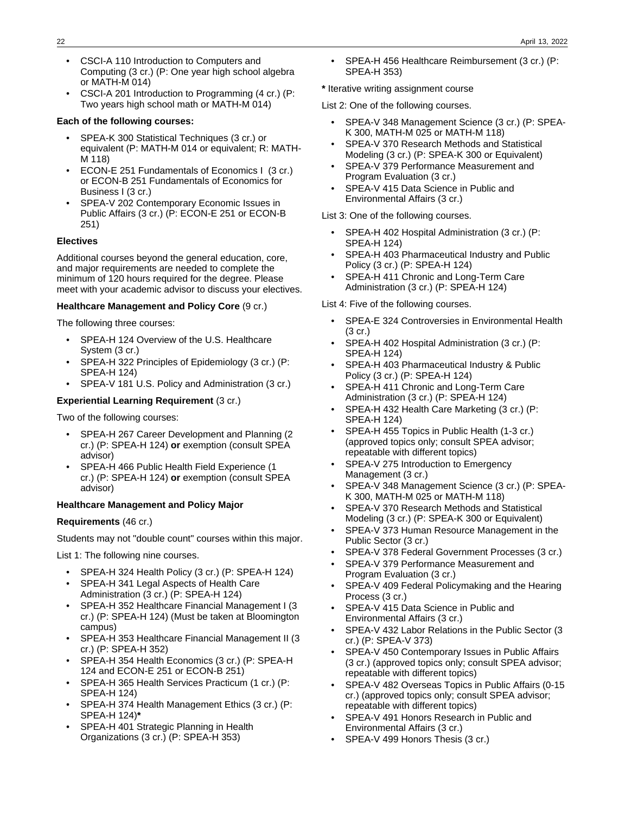- CSCI-A 110 Introduction to Computers and Computing (3 cr.) (P: One year high school algebra or MATH-M 014)
- CSCI-A 201 Introduction to Programming (4 cr.) (P: Two years high school math or MATH-M 014)

#### **Each of the following courses:**

- SPEA-K 300 Statistical Techniques (3 cr.) or equivalent (P: MATH-M 014 or equivalent; R: MATH-M 118)
- ECON-E 251 Fundamentals of Economics I (3 cr.) or ECON-B 251 Fundamentals of Economics for Business I (3 cr.)
- SPEA-V 202 Contemporary Economic Issues in Public Affairs (3 cr.) (P: ECON-E 251 or ECON-B 251)

#### **Electives**

Additional courses beyond the general education, core, and major requirements are needed to complete the minimum of 120 hours required for the degree. Please meet with your academic advisor to discuss your electives.

#### **Healthcare Management and Policy Core** (9 cr.)

The following three courses:

- SPEA-H 124 Overview of the U.S. Healthcare System (3 cr.)
- SPEA-H 322 Principles of Epidemiology (3 cr.) (P: SPEA-H 124)
- SPEA-V 181 U.S. Policy and Administration (3 cr.)

#### **Experiential Learning Requirement** (3 cr.)

Two of the following courses:

- SPEA-H 267 Career Development and Planning (2 cr.) (P: SPEA-H 124) **or** exemption (consult SPEA advisor)
- SPEA-H 466 Public Health Field Experience (1 cr.) (P: SPEA-H 124) **or** exemption (consult SPEA advisor)

#### **Healthcare Management and Policy Major**

#### **Requirements** (46 cr.)

Students may not "double count" courses within this major.

List 1: The following nine courses.

- SPEA-H 324 Health Policy (3 cr.) (P: SPEA-H 124)
- SPEA-H 341 Legal Aspects of Health Care Administration (3 cr.) (P: SPEA-H 124)
- SPEA-H 352 Healthcare Financial Management I (3 cr.) (P: SPEA-H 124) (Must be taken at Bloomington campus)
- SPEA-H 353 Healthcare Financial Management II (3 cr.) (P: SPEA-H 352)
- SPEA-H 354 Health Economics (3 cr.) (P: SPEA-H 124 and ECON-E 251 or ECON-B 251)
- SPEA-H 365 Health Services Practicum (1 cr.) (P: SPEA-H 124)
- SPEA-H 374 Health Management Ethics (3 cr.) (P: SPEA-H 124)**\***
- SPEA-H 401 Strategic Planning in Health Organizations (3 cr.) (P: SPEA-H 353)

• SPEA-H 456 Healthcare Reimbursement (3 cr.) (P: SPEA-H 353)

**\*** Iterative writing assignment course

List 2: One of the following courses.

- SPEA-V 348 Management Science (3 cr.) (P: SPEA-K 300, MATH-M 025 or MATH-M 118)
- SPEA-V 370 Research Methods and Statistical Modeling (3 cr.) (P: SPEA-K 300 or Equivalent)
- SPEA-V 379 Performance Measurement and Program Evaluation (3 cr.)
- SPEA-V 415 Data Science in Public and Environmental Affairs (3 cr.)

List 3: One of the following courses.

- SPEA-H 402 Hospital Administration (3 cr.) (P: SPEA-H 124)
- SPEA-H 403 Pharmaceutical Industry and Public Policy (3 cr.) (P: SPEA-H 124)
- SPEA-H 411 Chronic and Long-Term Care Administration (3 cr.) (P: SPEA-H 124)

List 4: Five of the following courses.

- SPEA-E 324 Controversies in Environmental Health (3 cr.)
- SPEA-H 402 Hospital Administration (3 cr.) (P: SPEA-H 124)
- SPEA-H 403 Pharmaceutical Industry & Public Policy (3 cr.) (P: SPEA-H 124)
- SPEA-H 411 Chronic and Long-Term Care Administration (3 cr.) (P: SPEA-H 124)
- SPEA-H 432 Health Care Marketing (3 cr.) (P: SPEA-H 124)
- SPEA-H 455 Topics in Public Health (1-3 cr.) (approved topics only; consult SPEA advisor; repeatable with different topics)
- SPEA-V 275 Introduction to Emergency Management (3 cr.)
- SPEA-V 348 Management Science (3 cr.) (P: SPEA-K 300, MATH-M 025 or MATH-M 118)
- SPEA-V 370 Research Methods and Statistical Modeling (3 cr.) (P: SPEA-K 300 or Equivalent)
- SPEA-V 373 Human Resource Management in the Public Sector (3 cr.)
- SPEA-V 378 Federal Government Processes (3 cr.)
- SPEA-V 379 Performance Measurement and Program Evaluation (3 cr.)
- SPEA-V 409 Federal Policymaking and the Hearing Process (3 cr.)
- SPEA-V 415 Data Science in Public and Environmental Affairs (3 cr.)
- SPEA-V 432 Labor Relations in the Public Sector (3 cr.) (P: SPEA-V 373)
- SPEA-V 450 Contemporary Issues in Public Affairs (3 cr.) (approved topics only; consult SPEA advisor; repeatable with different topics)
- SPEA-V 482 Overseas Topics in Public Affairs (0-15 cr.) (approved topics only; consult SPEA advisor; repeatable with different topics)
- SPEA-V 491 Honors Research in Public and Environmental Affairs (3 cr.)
- SPEA-V 499 Honors Thesis (3 cr.)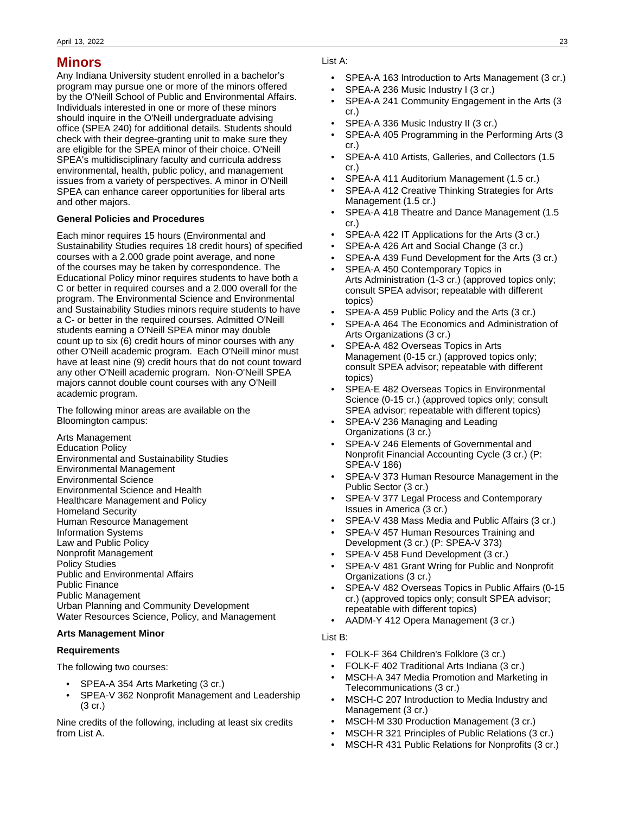# **Minors**

Any Indiana University student enrolled in a bachelor's program may pursue one or more of the minors offered by the O'Neill School of Public and Environmental Affairs. Individuals interested in one or more of these minors should inquire in the O'Neill undergraduate advising office (SPEA 240) for additional details. Students should check with their degree-granting unit to make sure they are eligible for the SPEA minor of their choice. O'Neill SPEA's multidisciplinary faculty and curricula address environmental, health, public policy, and management issues from a variety of perspectives. A minor in O'Neill SPEA can enhance career opportunities for liberal arts and other majors.

#### **General Policies and Procedures**

Each minor requires 15 hours (Environmental and Sustainability Studies requires 18 credit hours) of specified courses with a 2.000 grade point average, and none of the courses may be taken by correspondence. The Educational Policy minor requires students to have both a C or better in required courses and a 2.000 overall for the program. The Environmental Science and Environmental and Sustainability Studies minors require students to have a C- or better in the required courses. Admitted O'Neill students earning a O'Neill SPEA minor may double count up to six (6) credit hours of minor courses with any other O'Neill academic program. Each O'Neill minor must have at least nine (9) credit hours that do not count toward any other O'Neill academic program. Non-O'Neill SPEA majors cannot double count courses with any O'Neill academic program.

The following minor areas are available on the Bloomington campus:

Arts Management Education Policy Environmental and Sustainability Studies Environmental Management Environmental Science Environmental Science and Health Healthcare Management and Policy Homeland Security Human Resource Management Information Systems Law and Public Policy Nonprofit Management Policy Studies Public and Environmental Affairs Public Finance Public Management Urban Planning and Community Development Water Resources Science, Policy, and Management

#### **Arts Management Minor**

#### **Requirements**

The following two courses:

- SPEA-A 354 Arts Marketing (3 cr.)
- SPEA-V 362 Nonprofit Management and Leadership (3 cr.)

Nine credits of the following, including at least six credits from List A.

#### List A:

- SPEA-A 163 Introduction to Arts Management (3 cr.)
- SPEA-A 236 Music Industry I (3 cr.)
- SPEA-A 241 Community Engagement in the Arts (3 cr.)
- SPEA-A 336 Music Industry II (3 cr.)
- SPEA-A 405 Programming in the Performing Arts (3 cr.)
- SPEA-A 410 Artists, Galleries, and Collectors (1.5 cr.)
- SPEA-A 411 Auditorium Management (1.5 cr.)
- SPEA-A 412 Creative Thinking Strategies for Arts Management (1.5 cr.)
- SPEA-A 418 Theatre and Dance Management (1.5 cr.)
- SPEA-A 422 IT Applications for the Arts (3 cr.)
- SPEA-A 426 Art and Social Change (3 cr.)
- SPEA-A 439 Fund Development for the Arts (3 cr.)
- SPEA-A 450 Contemporary Topics in Arts Administration (1-3 cr.) (approved topics only; consult SPEA advisor; repeatable with different topics)
- SPEA-A 459 Public Policy and the Arts (3 cr.)
- SPEA-A 464 The Economics and Administration of Arts Organizations (3 cr.)
- SPEA-A 482 Overseas Topics in Arts Management (0-15 cr.) (approved topics only; consult SPEA advisor; repeatable with different topics)
- SPEA-E 482 Overseas Topics in Environmental Science (0-15 cr.) (approved topics only; consult SPEA advisor; repeatable with different topics)
- SPEA-V 236 Managing and Leading Organizations (3 cr.)
- SPEA-V 246 Elements of Governmental and Nonprofit Financial Accounting Cycle (3 cr.) (P: SPEA-V 186)
- SPEA-V 373 Human Resource Management in the Public Sector (3 cr.)
- SPEA-V 377 Legal Process and Contemporary Issues in America (3 cr.)
- SPEA-V 438 Mass Media and Public Affairs (3 cr.)
- SPEA-V 457 Human Resources Training and Development (3 cr.) (P: SPEA-V 373)
- SPEA-V 458 Fund Development (3 cr.)
- SPEA-V 481 Grant Wring for Public and Nonprofit Organizations (3 cr.)
- SPEA-V 482 Overseas Topics in Public Affairs (0-15 cr.) (approved topics only; consult SPEA advisor; repeatable with different topics)
- AADM-Y 412 Opera Management (3 cr.)

#### List B:

- FOLK-F 364 Children's Folklore (3 cr.)
- FOLK-F 402 Traditional Arts Indiana (3 cr.)
- MSCH-A 347 Media Promotion and Marketing in Telecommunications (3 cr.)
- MSCH-C 207 Introduction to Media Industry and Management (3 cr.)
- MSCH-M 330 Production Management (3 cr.)
- MSCH-R 321 Principles of Public Relations (3 cr.)
- MSCH-R 431 Public Relations for Nonprofits (3 cr.)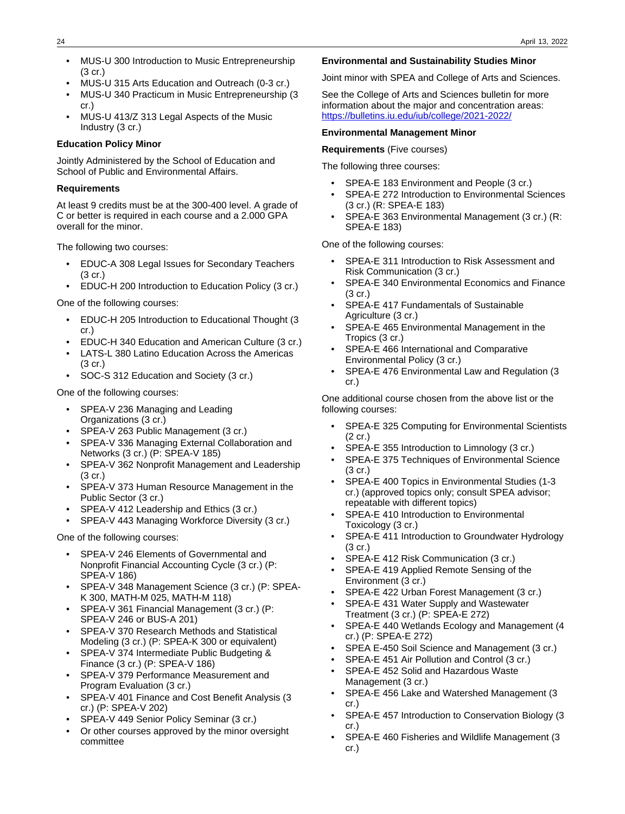- MUS-U 300 Introduction to Music Entrepreneurship (3 cr.)
- MUS-U 315 Arts Education and Outreach (0-3 cr.)
- MUS-U 340 Practicum in Music Entrepreneurship (3 cr.)
- MUS-U 413/Z 313 Legal Aspects of the Music Industry (3 cr.)

#### **Education Policy Minor**

Jointly Administered by the School of Education and School of Public and Environmental Affairs.

#### **Requirements**

At least 9 credits must be at the 300-400 level. A grade of C or better is required in each course and a 2.000 GPA overall for the minor.

The following two courses:

- EDUC-A 308 Legal Issues for Secondary Teachers (3 cr.)
- EDUC-H 200 Introduction to Education Policy (3 cr.)

One of the following courses:

- EDUC-H 205 Introduction to Educational Thought (3 cr.)
- EDUC-H 340 Education and American Culture (3 cr.)
- LATS-L 380 Latino Education Across the Americas (3 cr.)
- SOC-S 312 Education and Society (3 cr.)

One of the following courses:

- SPEA-V 236 Managing and Leading Organizations (3 cr.)
- SPEA-V 263 Public Management (3 cr.)
- SPEA-V 336 Managing External Collaboration and Networks (3 cr.) (P: SPEA-V 185)
- SPEA-V 362 Nonprofit Management and Leadership (3 cr.)
- SPEA-V 373 Human Resource Management in the Public Sector (3 cr.)
- SPEA-V 412 Leadership and Ethics (3 cr.)
- SPEA-V 443 Managing Workforce Diversity (3 cr.)

One of the following courses:

- SPEA-V 246 Elements of Governmental and Nonprofit Financial Accounting Cycle (3 cr.) (P: SPEA-V 186)
- SPEA-V 348 Management Science (3 cr.) (P: SPEA-K 300, MATH-M 025, MATH-M 118)
- SPEA-V 361 Financial Management (3 cr.) (P: SPEA-V 246 or BUS-A 201)
- SPEA-V 370 Research Methods and Statistical Modeling (3 cr.) (P: SPEA-K 300 or equivalent)
- SPEA-V 374 Intermediate Public Budgeting & Finance (3 cr.) (P: SPEA-V 186)
- SPEA-V 379 Performance Measurement and Program Evaluation (3 cr.)
- SPEA-V 401 Finance and Cost Benefit Analysis (3 cr.) (P: SPEA-V 202)
- SPEA-V 449 Senior Policy Seminar (3 cr.)
- Or other courses approved by the minor oversight committee

#### **Environmental and Sustainability Studies Minor**

Joint minor with SPEA and College of Arts and Sciences.

See the College of Arts and Sciences bulletin for more information about the major and concentration areas: [https://bulletins.iu.edu/iub/college/2021-2022/](https://bulletins.iu.edu/iub/college/202-2022/)

#### **Environmental Management Minor**

**Requirements** (Five courses)

The following three courses:

- SPEA-E 183 Environment and People (3 cr.)
- SPEA-E 272 Introduction to Environmental Sciences (3 cr.) (R: SPEA-E 183)
- SPEA-E 363 Environmental Management (3 cr.) (R: SPEA-E 183)

One of the following courses:

- SPEA-E 311 Introduction to Risk Assessment and Risk Communication (3 cr.)
- SPEA-E 340 Environmental Economics and Finance  $(3 \text{ cr})$
- SPEA-E 417 Fundamentals of Sustainable Agriculture (3 cr.)
- SPEA-E 465 Environmental Management in the Tropics (3 cr.)
- SPEA-E 466 International and Comparative Environmental Policy (3 cr.)
- SPEA-E 476 Environmental Law and Regulation (3 cr.)

One additional course chosen from the above list or the following courses:

- SPEA-E 325 Computing for Environmental Scientists (2 cr.)
- SPEA-E 355 Introduction to Limnology (3 cr.)
- SPEA-E 375 Techniques of Environmental Science (3 cr.)
- SPEA-E 400 Topics in Environmental Studies (1-3 cr.) (approved topics only; consult SPEA advisor; repeatable with different topics)
- SPEA-E 410 Introduction to Environmental Toxicology (3 cr.)
- SPEA-E 411 Introduction to Groundwater Hydrology (3 cr.)
- SPEA-E 412 Risk Communication (3 cr.)
- SPEA-E 419 Applied Remote Sensing of the Environment (3 cr.)
- SPEA-E 422 Urban Forest Management (3 cr.)
- SPEA-E 431 Water Supply and Wastewater Treatment (3 cr.) (P: SPEA-E 272)
- SPEA-E 440 Wetlands Ecology and Management (4 cr.) (P: SPEA-E 272)
- SPEA E-450 Soil Science and Management (3 cr.)
- SPEA-E 451 Air Pollution and Control (3 cr.) • SPEA-E 452 Solid and Hazardous Waste
- Management (3 cr.)
- SPEA-E 456 Lake and Watershed Management (3 cr.)
- SPEA-E 457 Introduction to Conservation Biology (3 cr.)
- SPEA-E 460 Fisheries and Wildlife Management (3 cr.)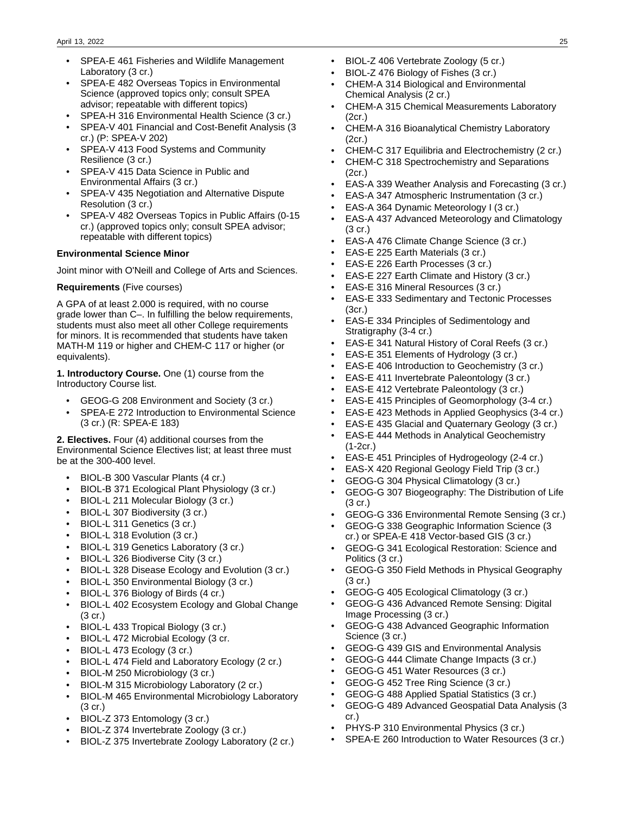- SPEA-E 461 Fisheries and Wildlife Management Laboratory (3 cr.)
- SPEA-E 482 Overseas Topics in Environmental Science (approved topics only; consult SPEA advisor; repeatable with different topics)
- SPEA-H 316 Environmental Health Science (3 cr.)
- SPEA-V 401 Financial and Cost-Benefit Analysis (3 cr.) (P: SPEA-V 202)
- SPEA-V 413 Food Systems and Community Resilience (3 cr.)
- SPEA-V 415 Data Science in Public and Environmental Affairs (3 cr.)
- SPEA-V 435 Negotiation and Alternative Dispute Resolution (3 cr.)
- SPEA-V 482 Overseas Topics in Public Affairs (0-15 cr.) (approved topics only; consult SPEA advisor; repeatable with different topics)

#### **Environmental Science Minor**

Joint minor with O'Neill and College of Arts and Sciences.

#### **Requirements** (Five courses)

A GPA of at least 2.000 is required, with no course grade lower than C–. In fulfilling the below requirements, students must also meet all other College requirements for minors. It is recommended that students have taken MATH-M 119 or higher and CHEM-C 117 or higher (or equivalents).

**1. Introductory Course.** One (1) course from the Introductory Course list.

- GEOG-G 208 Environment and Society (3 cr.)
- SPEA-E 272 Introduction to Environmental Science (3 cr.) (R: SPEA-E 183)

**2. Electives.** Four (4) additional courses from the Environmental Science Electives list; at least three must be at the 300-400 level.

- BIOL-B 300 Vascular Plants (4 cr.)
- BIOL-B 371 Ecological Plant Physiology (3 cr.)
- BIOL-L 211 Molecular Biology (3 cr.)
- BIOL-L 307 Biodiversity (3 cr.)
- BIOL-L 311 Genetics (3 cr.)
- BIOL-L 318 Evolution (3 cr.)
- BIOL-L 319 Genetics Laboratory (3 cr.)
- BIOL-L 326 Biodiverse City (3 cr.)
- BIOL-L 328 Disease Ecology and Evolution (3 cr.)
- BIOL-L 350 Environmental Biology (3 cr.)
- BIOL-L 376 Biology of Birds (4 cr.)
- BIOL-L 402 Ecosystem Ecology and Global Change (3 cr.)
- BIOL-L 433 Tropical Biology (3 cr.)
- BIOL-L 472 Microbial Ecology (3 cr.
- BIOL-L 473 Ecology (3 cr.)
- BIOL-L 474 Field and Laboratory Ecology (2 cr.)
- BIOL-M 250 Microbiology (3 cr.)
- BIOL-M 315 Microbiology Laboratory (2 cr.)
- BIOL-M 465 Environmental Microbiology Laboratory (3 cr.)
- BIOL-Z 373 Entomology (3 cr.)
- BIOL-Z 374 Invertebrate Zoology (3 cr.)
- BIOL-Z 375 Invertebrate Zoology Laboratory (2 cr.)
- BIOL-Z 406 Vertebrate Zoology (5 cr.)
- BIOL-Z 476 Biology of Fishes (3 cr.)
- CHEM-A 314 Biological and Environmental Chemical Analysis (2 cr.)
- CHEM-A 315 Chemical Measurements Laboratory (2cr.)
- CHEM-A 316 Bioanalytical Chemistry Laboratory (2cr.)
- CHEM-C 317 Equilibria and Electrochemistry (2 cr.)
- CHEM-C 318 Spectrochemistry and Separations (2cr.)
- EAS-A 339 Weather Analysis and Forecasting (3 cr.)
- EAS-A 347 Atmospheric Instrumentation (3 cr.)
- EAS-A 364 Dynamic Meteorology I (3 cr.)
- EAS-A 437 Advanced Meteorology and Climatology (3 cr.)
- EAS-A 476 Climate Change Science (3 cr.)
- EAS-E 225 Earth Materials (3 cr.)
- EAS-E 226 Earth Processes (3 cr.)
- EAS-E 227 Earth Climate and History (3 cr.)
- EAS-E 316 Mineral Resources (3 cr.)
- EAS-E 333 Sedimentary and Tectonic Processes (3cr.)
- EAS-E 334 Principles of Sedimentology and Stratigraphy (3-4 cr.)
- EAS-E 341 Natural History of Coral Reefs (3 cr.)
- EAS-E 351 Elements of Hydrology (3 cr.)
- EAS-E 406 Introduction to Geochemistry (3 cr.)
- EAS-E 411 Invertebrate Paleontology (3 cr.)
- EAS-E 412 Vertebrate Paleontology (3 cr.)
- EAS-E 415 Principles of Geomorphology (3-4 cr.)
- EAS-E 423 Methods in Applied Geophysics (3-4 cr.)
- EAS-E 435 Glacial and Quaternary Geology (3 cr.)
- EAS-E 444 Methods in Analytical Geochemistry (1-2cr.)
- EAS-E 451 Principles of Hydrogeology (2-4 cr.)
- EAS-X 420 Regional Geology Field Trip (3 cr.)
- GEOG-G 304 Physical Climatology (3 cr.)
- GEOG-G 307 Biogeography: The Distribution of Life (3 cr.)
- GEOG-G 336 Environmental Remote Sensing (3 cr.)
- GEOG-G 338 Geographic Information Science (3 cr.) or SPEA-E 418 Vector-based GIS (3 cr.)
- GEOG-G 341 Ecological Restoration: Science and Politics (3 cr.)
- GEOG-G 350 Field Methods in Physical Geography (3 cr.)
- GEOG-G 405 Ecological Climatology (3 cr.)
- GEOG-G 436 Advanced Remote Sensing: Digital Image Processing (3 cr.)
- GEOG-G 438 Advanced Geographic Information Science (3 cr.)
- GEOG-G 439 GIS and Environmental Analysis
- GEOG-G 444 Climate Change Impacts (3 cr.)
- GEOG-G 451 Water Resources (3 cr.)
- GEOG-G 452 Tree Ring Science (3 cr.)
- GEOG-G 488 Applied Spatial Statistics (3 cr.)
- GEOG-G 489 Advanced Geospatial Data Analysis (3 cr.)
- PHYS-P 310 Environmental Physics (3 cr.)
- SPEA-E 260 Introduction to Water Resources (3 cr.)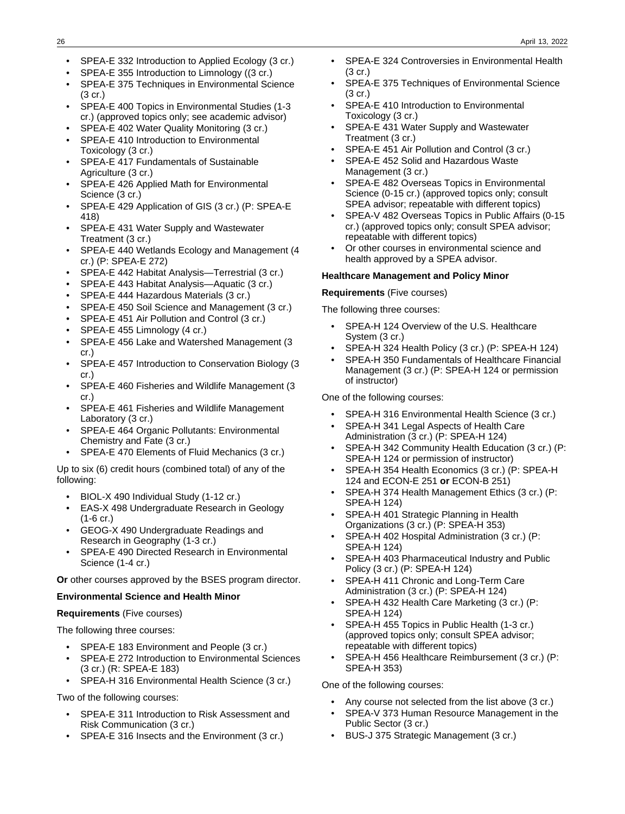- SPEA-E 332 Introduction to Applied Ecology (3 cr.)
- SPEA-E 355 Introduction to Limnology ((3 cr.)
- SPEA-E 375 Techniques in Environmental Science  $(3 \text{ cr})$
- SPEA-E 400 Topics in Environmental Studies (1-3 cr.) (approved topics only; see academic advisor)
- SPEA-E 402 Water Quality Monitoring (3 cr.)
- SPEA-E 410 Introduction to Environmental Toxicology (3 cr.)
- SPEA-E 417 Fundamentals of Sustainable Agriculture (3 cr.)
- SPEA-E 426 Applied Math for Environmental Science (3 cr.)
- SPEA-E 429 Application of GIS (3 cr.) (P: SPEA-E 418)
- SPEA-E 431 Water Supply and Wastewater Treatment (3 cr.)
- SPEA-E 440 Wetlands Ecology and Management (4 cr.) (P: SPEA-E 272)
- SPEA-E 442 Habitat Analysis—Terrestrial (3 cr.)
- SPEA-E 443 Habitat Analysis—Aquatic (3 cr.)
- SPEA-E 444 Hazardous Materials (3 cr.)
- SPEA-E 450 Soil Science and Management (3 cr.)
- SPEA-E 451 Air Pollution and Control (3 cr.)
- SPEA-E 455 Limnology (4 cr.)
- SPEA-E 456 Lake and Watershed Management (3 cr.)
- SPEA-E 457 Introduction to Conservation Biology (3 cr.)
- SPEA-E 460 Fisheries and Wildlife Management (3 cr.)
- SPEA-E 461 Fisheries and Wildlife Management Laboratory (3 cr.)
- SPEA-E 464 Organic Pollutants: Environmental Chemistry and Fate (3 cr.)
- SPEA-E 470 Elements of Fluid Mechanics (3 cr.)

Up to six (6) credit hours (combined total) of any of the following:

- BIOL-X 490 Individual Study (1-12 cr.)
- EAS-X 498 Undergraduate Research in Geology (1-6 cr.)
- GEOG-X 490 Undergraduate Readings and Research in Geography (1-3 cr.)
- SPEA-E 490 Directed Research in Environmental Science (1-4 cr.)

**Or** other courses approved by the BSES program director.

#### **Environmental Science and Health Minor**

#### **Requirements** (Five courses)

The following three courses:

- SPEA-E 183 Environment and People (3 cr.)
- SPEA-E 272 Introduction to Environmental Sciences (3 cr.) (R: SPEA-E 183)
- SPEA-H 316 Environmental Health Science (3 cr.)

Two of the following courses:

- SPEA-E 311 Introduction to Risk Assessment and Risk Communication (3 cr.)
- SPEA-E 316 Insects and the Environment (3 cr.)
- SPEA-E 324 Controversies in Environmental Health (3 cr.)
- SPEA-E 375 Techniques of Environmental Science (3 cr.)
- SPEA-E 410 Introduction to Environmental Toxicology (3 cr.)
- SPEA-E 431 Water Supply and Wastewater Treatment (3 cr.)
- SPEA-E 451 Air Pollution and Control (3 cr.)
- SPEA-E 452 Solid and Hazardous Waste Management (3 cr.)
- SPEA-E 482 Overseas Topics in Environmental Science (0-15 cr.) (approved topics only; consult SPEA advisor; repeatable with different topics)
- SPEA-V 482 Overseas Topics in Public Affairs (0-15 cr.) (approved topics only; consult SPEA advisor; repeatable with different topics)
- Or other courses in environmental science and health approved by a SPEA advisor.

#### **Healthcare Management and Policy Minor**

**Requirements** (Five courses)

The following three courses:

- SPEA-H 124 Overview of the U.S. Healthcare System (3 cr.)
- SPEA-H 324 Health Policy (3 cr.) (P: SPEA-H 124)
- SPEA-H 350 Fundamentals of Healthcare Financial Management (3 cr.) (P: SPEA-H 124 or permission of instructor)

One of the following courses:

- SPEA-H 316 Environmental Health Science (3 cr.)
- SPEA-H 341 Legal Aspects of Health Care Administration (3 cr.) (P: SPEA-H 124)
- SPEA-H 342 Community Health Education (3 cr.) (P: SPEA-H 124 or permission of instructor)
- SPEA-H 354 Health Economics (3 cr.) (P: SPEA-H 124 and ECON-E 251 **or** ECON-B 251)
- SPEA-H 374 Health Management Ethics (3 cr.) (P: SPEA-H 124)
- SPEA-H 401 Strategic Planning in Health Organizations (3 cr.) (P: SPEA-H 353)
- SPEA-H 402 Hospital Administration (3 cr.) (P: SPEA-H 124)
- SPEA-H 403 Pharmaceutical Industry and Public Policy (3 cr.) (P: SPEA-H 124)
- SPEA-H 411 Chronic and Long-Term Care Administration (3 cr.) (P: SPEA-H 124)
- SPEA-H 432 Health Care Marketing (3 cr.) (P: SPEA-H 124)
- SPEA-H 455 Topics in Public Health (1-3 cr.) (approved topics only; consult SPEA advisor; repeatable with different topics)
- SPEA-H 456 Healthcare Reimbursement (3 cr.) (P: SPEA-H 353)

One of the following courses:

- Any course not selected from the list above (3 cr.)
- SPEA-V 373 Human Resource Management in the Public Sector (3 cr.)
- BUS-J 375 Strategic Management (3 cr.)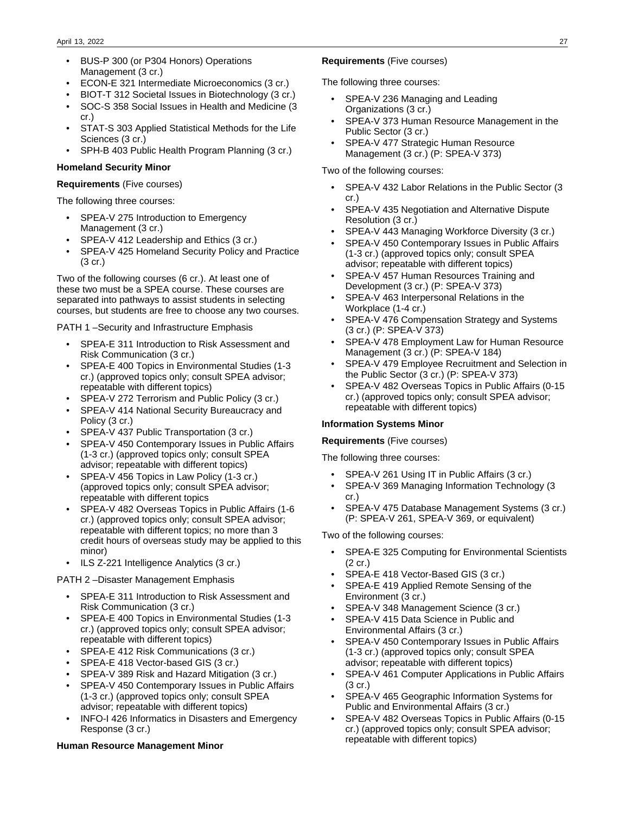- BUS-P 300 (or P304 Honors) Operations Management (3 cr.)
- ECON-E 321 Intermediate Microeconomics (3 cr.)
- BIOT-T 312 Societal Issues in Biotechnology (3 cr.)
- SOC-S 358 Social Issues in Health and Medicine (3 cr.)
- STAT-S 303 Applied Statistical Methods for the Life Sciences (3 cr.)
- SPH-B 403 Public Health Program Planning (3 cr.)

#### **Homeland Security Minor**

#### **Requirements** (Five courses)

The following three courses:

- SPEA-V 275 Introduction to Emergency Management (3 cr.)
- SPEA-V 412 Leadership and Ethics (3 cr.)
- SPEA-V 425 Homeland Security Policy and Practice (3 cr.)

Two of the following courses (6 cr.). At least one of these two must be a SPEA course. These courses are separated into pathways to assist students in selecting courses, but students are free to choose any two courses.

PATH 1 –Security and Infrastructure Emphasis

- SPEA-E 311 Introduction to Risk Assessment and Risk Communication (3 cr.)
- SPEA-E 400 Topics in Environmental Studies (1-3 cr.) (approved topics only; consult SPEA advisor; repeatable with different topics)
- SPEA-V 272 Terrorism and Public Policy (3 cr.)
- SPEA-V 414 National Security Bureaucracy and Policy (3 cr.)
- SPEA-V 437 Public Transportation (3 cr.)
- SPEA-V 450 Contemporary Issues in Public Affairs (1-3 cr.) (approved topics only; consult SPEA advisor; repeatable with different topics)
- SPEA-V 456 Topics in Law Policy (1-3 cr.) (approved topics only; consult SPEA advisor; repeatable with different topics
- SPEA-V 482 Overseas Topics in Public Affairs (1-6 cr.) (approved topics only; consult SPEA advisor; repeatable with different topics; no more than 3 credit hours of overseas study may be applied to this minor)
- ILS Z-221 Intelligence Analytics (3 cr.)

PATH 2 –Disaster Management Emphasis

- SPEA-E 311 Introduction to Risk Assessment and Risk Communication (3 cr.)
- SPEA-E 400 Topics in Environmental Studies (1-3 cr.) (approved topics only; consult SPEA advisor; repeatable with different topics)
- SPEA-E 412 Risk Communications (3 cr.)
- SPEA-E 418 Vector-based GIS (3 cr.)
- SPEA-V 389 Risk and Hazard Mitigation (3 cr.)
- SPEA-V 450 Contemporary Issues in Public Affairs (1-3 cr.) (approved topics only; consult SPEA advisor; repeatable with different topics)
- INFO-I 426 Informatics in Disasters and Emergency Response (3 cr.)

### **Human Resource Management Minor**

### **Requirements** (Five courses)

The following three courses:

- SPEA-V 236 Managing and Leading Organizations (3 cr.)
- SPEA-V 373 Human Resource Management in the Public Sector (3 cr.)
- SPEA-V 477 Strategic Human Resource Management (3 cr.) (P: SPEA-V 373)

#### Two of the following courses:

- SPEA-V 432 Labor Relations in the Public Sector (3 cr.)
- SPEA-V 435 Negotiation and Alternative Dispute Resolution (3 cr.)
- SPEA-V 443 Managing Workforce Diversity (3 cr.)
- SPEA-V 450 Contemporary Issues in Public Affairs (1-3 cr.) (approved topics only; consult SPEA advisor; repeatable with different topics)
- SPEA-V 457 Human Resources Training and Development (3 cr.) (P: SPEA-V 373)
- SPEA-V 463 Interpersonal Relations in the Workplace (1-4 cr.)
- SPEA-V 476 Compensation Strategy and Systems (3 cr.) (P: SPEA-V 373)
- SPEA-V 478 Employment Law for Human Resource Management (3 cr.) (P: SPEA-V 184)
- SPEA-V 479 Employee Recruitment and Selection in the Public Sector (3 cr.) (P: SPEA-V 373)
- SPEA-V 482 Overseas Topics in Public Affairs (0-15 cr.) (approved topics only; consult SPEA advisor; repeatable with different topics)

#### **Information Systems Minor**

#### **Requirements** (Five courses)

The following three courses:

- SPEA-V 261 Using IT in Public Affairs (3 cr.)
- SPEA-V 369 Managing Information Technology (3 cr.)
- SPEA-V 475 Database Management Systems (3 cr.) (P: SPEA-V 261, SPEA-V 369, or equivalent)

Two of the following courses:

- SPEA-E 325 Computing for Environmental Scientists (2 cr.)
- SPEA-E 418 Vector-Based GIS (3 cr.)
- SPEA-E 419 Applied Remote Sensing of the Environment (3 cr.)
- SPEA-V 348 Management Science (3 cr.)
- SPEA-V 415 Data Science in Public and Environmental Affairs (3 cr.)
- SPEA-V 450 Contemporary Issues in Public Affairs (1-3 cr.) (approved topics only; consult SPEA advisor; repeatable with different topics)
- SPEA-V 461 Computer Applications in Public Affairs (3 cr.)
- SPEA-V 465 Geographic Information Systems for Public and Environmental Affairs (3 cr.)
- SPEA-V 482 Overseas Topics in Public Affairs (0-15 cr.) (approved topics only; consult SPEA advisor; repeatable with different topics)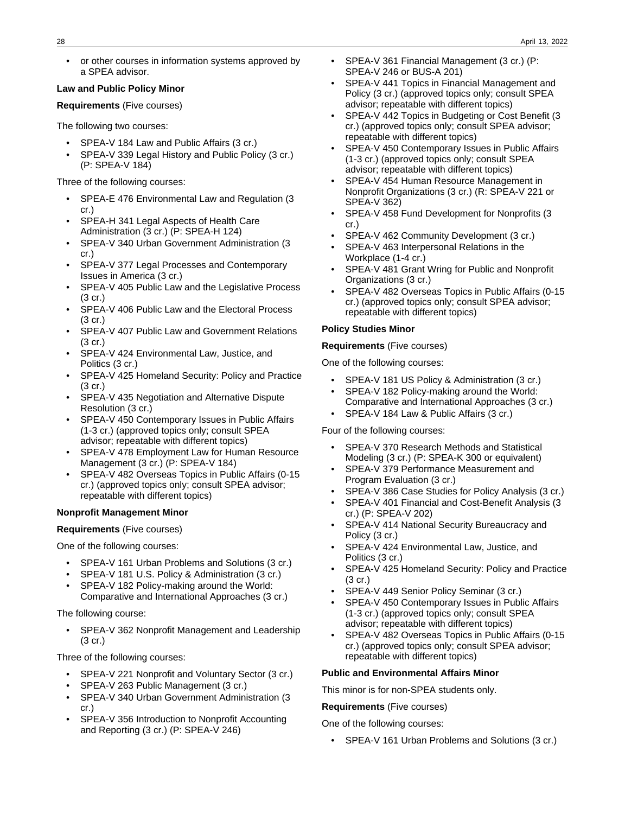• or other courses in information systems approved by a SPEA advisor.

#### **Law and Public Policy Minor**

**Requirements** (Five courses)

The following two courses:

- SPEA-V 184 Law and Public Affairs (3 cr.)
- SPEA-V 339 Legal History and Public Policy (3 cr.) (P: SPEA-V 184)

Three of the following courses:

- SPEA-E 476 Environmental Law and Regulation (3 cr.)
- SPEA-H 341 Legal Aspects of Health Care Administration (3 cr.) (P: SPEA-H 124)
- SPEA-V 340 Urban Government Administration (3 cr.)
- SPEA-V 377 Legal Processes and Contemporary Issues in America (3 cr.)
- SPEA-V 405 Public Law and the Legislative Process (3 cr.)
- SPEA-V 406 Public Law and the Electoral Process (3 cr.)
- SPEA-V 407 Public Law and Government Relations (3 cr.)
- SPEA-V 424 Environmental Law, Justice, and Politics (3 cr.)
- SPEA-V 425 Homeland Security: Policy and Practice (3 cr.)
- SPEA-V 435 Negotiation and Alternative Dispute Resolution (3 cr.)
- SPEA-V 450 Contemporary Issues in Public Affairs (1-3 cr.) (approved topics only; consult SPEA advisor; repeatable with different topics)
- SPEA-V 478 Employment Law for Human Resource Management (3 cr.) (P: SPEA-V 184)
- SPEA-V 482 Overseas Topics in Public Affairs (0-15 cr.) (approved topics only; consult SPEA advisor; repeatable with different topics)

#### **Nonprofit Management Minor**

#### **Requirements** (Five courses)

One of the following courses:

- SPEA-V 161 Urban Problems and Solutions (3 cr.)
- SPEA-V 181 U.S. Policy & Administration (3 cr.)
- SPEA-V 182 Policy-making around the World: Comparative and International Approaches (3 cr.)

The following course:

• SPEA-V 362 Nonprofit Management and Leadership (3 cr.)

Three of the following courses:

- SPEA-V 221 Nonprofit and Voluntary Sector (3 cr.)
- SPEA-V 263 Public Management (3 cr.)
- SPEA-V 340 Urban Government Administration (3 cr.)
- SPEA-V 356 Introduction to Nonprofit Accounting and Reporting (3 cr.) (P: SPEA-V 246)
- SPEA-V 361 Financial Management (3 cr.) (P: SPEA-V 246 or BUS-A 201)
- SPEA-V 441 Topics in Financial Management and Policy (3 cr.) (approved topics only; consult SPEA advisor; repeatable with different topics)
- SPEA-V 442 Topics in Budgeting or Cost Benefit (3 cr.) (approved topics only; consult SPEA advisor; repeatable with different topics)
- SPEA-V 450 Contemporary Issues in Public Affairs (1-3 cr.) (approved topics only; consult SPEA advisor; repeatable with different topics)
- SPEA-V 454 Human Resource Management in Nonprofit Organizations (3 cr.) (R: SPEA-V 221 or SPEA-V 362)
- SPEA-V 458 Fund Development for Nonprofits (3 cr.)
- SPEA-V 462 Community Development (3 cr.)
- SPEA-V 463 Interpersonal Relations in the Workplace (1-4 cr.)
- SPEA-V 481 Grant Wring for Public and Nonprofit Organizations (3 cr.)
- SPEA-V 482 Overseas Topics in Public Affairs (0-15 cr.) (approved topics only; consult SPEA advisor; repeatable with different topics)

#### **Policy Studies Minor**

**Requirements** (Five courses)

One of the following courses:

- SPEA-V 181 US Policy & Administration (3 cr.)
- SPEA-V 182 Policy-making around the World: Comparative and International Approaches (3 cr.)
- SPEA-V 184 Law & Public Affairs (3 cr.)

Four of the following courses:

- SPEA-V 370 Research Methods and Statistical Modeling (3 cr.) (P: SPEA-K 300 or equivalent)
- SPEA-V 379 Performance Measurement and Program Evaluation (3 cr.)
- SPEA-V 386 Case Studies for Policy Analysis (3 cr.)
- SPEA-V 401 Financial and Cost-Benefit Analysis (3 cr.) (P: SPEA-V 202)
- SPEA-V 414 National Security Bureaucracy and Policy (3 cr.)
- SPEA-V 424 Environmental Law, Justice, and Politics (3 cr.)
- SPEA-V 425 Homeland Security: Policy and Practice (3 cr.)
- SPEA-V 449 Senior Policy Seminar (3 cr.)
- SPEA-V 450 Contemporary Issues in Public Affairs (1-3 cr.) (approved topics only; consult SPEA advisor; repeatable with different topics)
- SPEA-V 482 Overseas Topics in Public Affairs (0-15 cr.) (approved topics only; consult SPEA advisor; repeatable with different topics)

#### **Public and Environmental Affairs Minor**

This minor is for non-SPEA students only.

**Requirements** (Five courses)

One of the following courses:

• SPEA-V 161 Urban Problems and Solutions (3 cr.)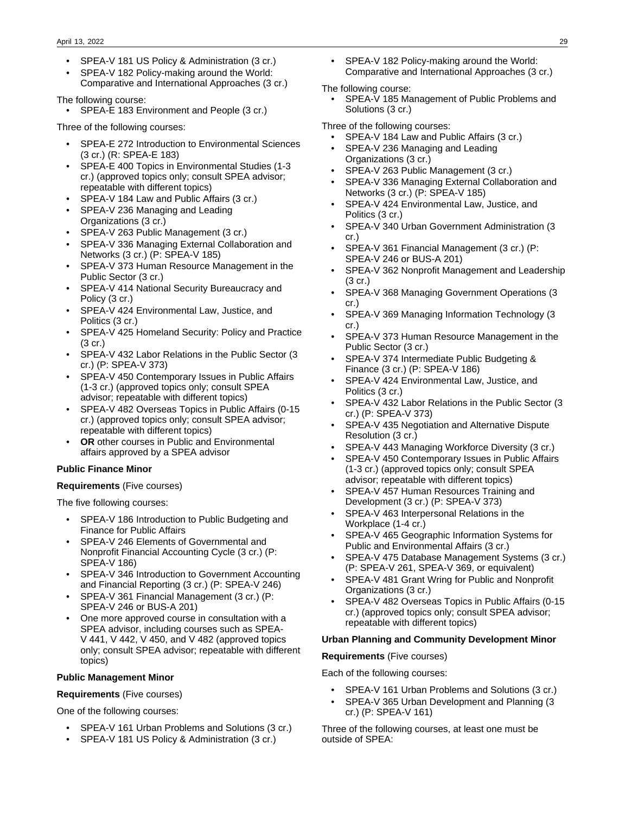- SPEA-V 181 US Policy & Administration (3 cr.)
- SPEA-V 182 Policy-making around the World: Comparative and International Approaches (3 cr.)

The following course:

• SPEA-E 183 Environment and People (3 cr.)

Three of the following courses:

- SPEA-E 272 Introduction to Environmental Sciences (3 cr.) (R: SPEA-E 183)
- SPEA-E 400 Topics in Environmental Studies (1-3 cr.) (approved topics only; consult SPEA advisor; repeatable with different topics)
- SPEA-V 184 Law and Public Affairs (3 cr.)
- SPEA-V 236 Managing and Leading Organizations (3 cr.)
- SPEA-V 263 Public Management (3 cr.)
- SPEA-V 336 Managing External Collaboration and Networks (3 cr.) (P: SPEA-V 185)
- SPEA-V 373 Human Resource Management in the Public Sector (3 cr.)
- SPEA-V 414 National Security Bureaucracy and Policy (3 cr.)
- SPEA-V 424 Environmental Law, Justice, and Politics (3 cr.)
- SPEA-V 425 Homeland Security: Policy and Practice (3 cr.)
- SPEA-V 432 Labor Relations in the Public Sector (3 cr.) (P: SPEA-V 373)
- SPEA-V 450 Contemporary Issues in Public Affairs (1-3 cr.) (approved topics only; consult SPEA advisor; repeatable with different topics)
- SPEA-V 482 Overseas Topics in Public Affairs (0-15 cr.) (approved topics only; consult SPEA advisor; repeatable with different topics)
- **OR** other courses in Public and Environmental affairs approved by a SPEA advisor

#### **Public Finance Minor**

#### **Requirements** (Five courses)

The five following courses:

- SPEA-V 186 Introduction to Public Budgeting and Finance for Public Affairs
- SPEA-V 246 Elements of Governmental and Nonprofit Financial Accounting Cycle (3 cr.) (P: SPEA-V 186)
- SPEA-V 346 Introduction to Government Accounting and Financial Reporting (3 cr.) (P: SPEA-V 246)
- SPEA-V 361 Financial Management (3 cr.) (P: SPEA-V 246 or BUS-A 201)
- One more approved course in consultation with a SPEA advisor, including courses such as SPEA-V 441, V 442, V 450, and V 482 (approved topics only; consult SPEA advisor; repeatable with different topics)

#### **Public Management Minor**

#### **Requirements** (Five courses)

One of the following courses:

- SPEA-V 161 Urban Problems and Solutions (3 cr.)
- SPEA-V 181 US Policy & Administration (3 cr.)

• SPEA-V 182 Policy-making around the World: Comparative and International Approaches (3 cr.)

#### The following course:

• SPEA-V 185 Management of Public Problems and Solutions (3 cr.)

Three of the following courses:

- SPEA-V 184 Law and Public Affairs (3 cr.)
- SPEA-V 236 Managing and Leading Organizations (3 cr.)
- SPEA-V 263 Public Management (3 cr.)
- SPEA-V 336 Managing External Collaboration and Networks (3 cr.) (P: SPEA-V 185)
- SPEA-V 424 Environmental Law, Justice, and Politics (3 cr.)
- SPEA-V 340 Urban Government Administration (3 cr.)
- SPEA-V 361 Financial Management (3 cr.) (P: SPEA-V 246 or BUS-A 201)
- SPEA-V 362 Nonprofit Management and Leadership (3 cr.)
- SPEA-V 368 Managing Government Operations (3 cr.)
- SPEA-V 369 Managing Information Technology (3 cr.)
- SPEA-V 373 Human Resource Management in the Public Sector (3 cr.)
- SPEA-V 374 Intermediate Public Budgeting & Finance (3 cr.) (P: SPEA-V 186)
- SPEA-V 424 Environmental Law, Justice, and Politics (3 cr.)
- SPEA-V 432 Labor Relations in the Public Sector (3 cr.) (P: SPEA-V 373)
- SPEA-V 435 Negotiation and Alternative Dispute Resolution (3 cr.)
- SPEA-V 443 Managing Workforce Diversity (3 cr.)
- SPEA-V 450 Contemporary Issues in Public Affairs (1-3 cr.) (approved topics only; consult SPEA advisor; repeatable with different topics)
- SPEA-V 457 Human Resources Training and Development (3 cr.) (P: SPEA-V 373)
- SPEA-V 463 Interpersonal Relations in the Workplace (1-4 cr.)
- SPEA-V 465 Geographic Information Systems for Public and Environmental Affairs (3 cr.)
- SPEA-V 475 Database Management Systems (3 cr.) (P: SPEA-V 261, SPEA-V 369, or equivalent)
- SPEA-V 481 Grant Wring for Public and Nonprofit Organizations (3 cr.)
- SPEA-V 482 Overseas Topics in Public Affairs (0-15 cr.) (approved topics only; consult SPEA advisor; repeatable with different topics)

#### **Urban Planning and Community Development Minor**

#### **Requirements** (Five courses)

Each of the following courses:

- SPEA-V 161 Urban Problems and Solutions (3 cr.)
- SPEA-V 365 Urban Development and Planning (3 cr.) (P: SPEA-V 161)

Three of the following courses, at least one must be outside of SPEA: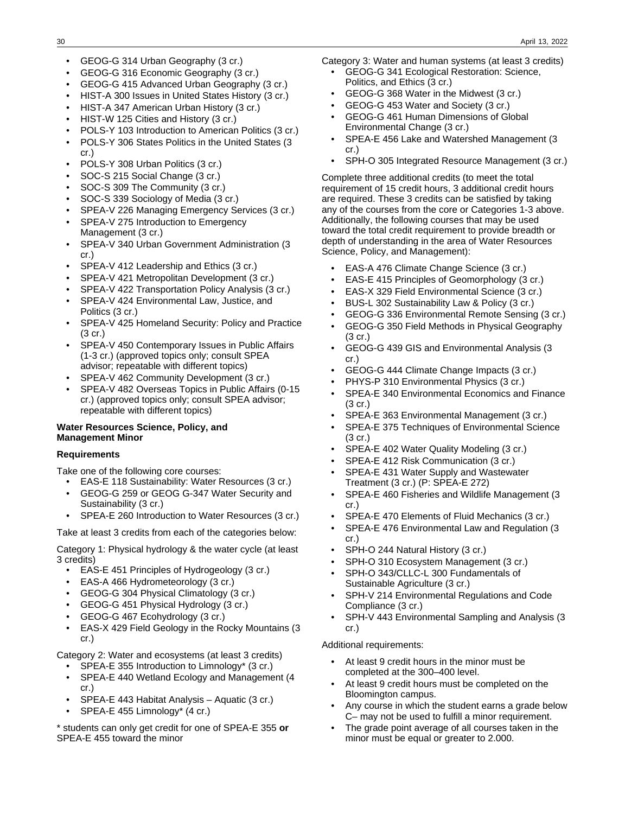- GEOG-G 314 Urban Geography (3 cr.)
- GEOG-G 316 Economic Geography (3 cr.)
- GEOG-G 415 Advanced Urban Geography (3 cr.)
- HIST-A 300 Issues in United States History (3 cr.)
- HIST-A 347 American Urban History (3 cr.)
- HIST-W 125 Cities and History (3 cr.)
- POLS-Y 103 Introduction to American Politics (3 cr.)
- POLS-Y 306 States Politics in the United States (3 cr.)
- POLS-Y 308 Urban Politics (3 cr.)
- SOC-S 215 Social Change (3 cr.)
- SOC-S 309 The Community (3 cr.)
- SOC-S 339 Sociology of Media (3 cr.)
- SPEA-V 226 Managing Emergency Services (3 cr.)
- SPEA-V 275 Introduction to Emergency Management (3 cr.)
- SPEA-V 340 Urban Government Administration (3 cr.)
- SPEA-V 412 Leadership and Ethics (3 cr.)
- SPEA-V 421 Metropolitan Development (3 cr.)
- SPEA-V 422 Transportation Policy Analysis (3 cr.)
- SPEA-V 424 Environmental Law, Justice, and Politics (3 cr.)
- SPEA-V 425 Homeland Security: Policy and Practice (3 cr.)
- SPEA-V 450 Contemporary Issues in Public Affairs (1-3 cr.) (approved topics only; consult SPEA advisor; repeatable with different topics)
- SPEA-V 462 Community Development (3 cr.)
- SPEA-V 482 Overseas Topics in Public Affairs (0-15 cr.) (approved topics only; consult SPEA advisor; repeatable with different topics)

#### **Water Resources Science, Policy, and Management Minor**

#### **Requirements**

Take one of the following core courses:

- EAS-E 118 Sustainability: Water Resources (3 cr.) • GEOG-G 259 or GEOG G-347 Water Security and Sustainability (3 cr.)
- SPEA-E 260 Introduction to Water Resources (3 cr.)

Take at least 3 credits from each of the categories below:

Category 1: Physical hydrology & the water cycle (at least 3 credits)

- EAS-E 451 Principles of Hydrogeology (3 cr.)
- EAS-A 466 Hydrometeorology (3 cr.)
- GEOG-G 304 Physical Climatology (3 cr.)
- GEOG-G 451 Physical Hydrology (3 cr.)
- GEOG-G 467 Ecohydrology (3 cr.)
- EAS-X 429 Field Geology in the Rocky Mountains (3 cr.)

Category 2: Water and ecosystems (at least 3 credits)

- SPEA-E 355 Introduction to Limnology\* (3 cr.)
- SPEA-E 440 Wetland Ecology and Management (4 cr.)
- SPEA-E 443 Habitat Analysis Aquatic (3 cr.)
- SPEA-E 455 Limnology\* (4 cr.)

\* students can only get credit for one of SPEA-E 355 **or** SPEA-E 455 toward the minor

Category 3: Water and human systems (at least 3 credits)

- GEOG-G 341 Ecological Restoration: Science, Politics, and Ethics (3 cr.)
- GEOG-G 368 Water in the Midwest (3 cr.)
- GEOG-G 453 Water and Society (3 cr.)
- GEOG-G 461 Human Dimensions of Global Environmental Change (3 cr.)
- SPEA-E 456 Lake and Watershed Management (3 cr.)
- SPH-O 305 Integrated Resource Management (3 cr.)

Complete three additional credits (to meet the total requirement of 15 credit hours, 3 additional credit hours are required. These 3 credits can be satisfied by taking any of the courses from the core or Categories 1-3 above. Additionally, the following courses that may be used toward the total credit requirement to provide breadth or depth of understanding in the area of Water Resources Science, Policy, and Management):

- EAS-A 476 Climate Change Science (3 cr.)
- EAS-E 415 Principles of Geomorphology (3 cr.)
- EAS-X 329 Field Environmental Science (3 cr.)
- BUS-L 302 Sustainability Law & Policy (3 cr.)
- GEOG-G 336 Environmental Remote Sensing (3 cr.)
- GEOG-G 350 Field Methods in Physical Geography  $(3 \text{ cr.})$
- GEOG-G 439 GIS and Environmental Analysis (3 cr.)
- GEOG-G 444 Climate Change Impacts (3 cr.)
- PHYS-P 310 Environmental Physics (3 cr.)
- SPEA-E 340 Environmental Economics and Finance (3 cr.)
- SPEA-E 363 Environmental Management (3 cr.)
- SPEA-E 375 Techniques of Environmental Science (3 cr.)
- SPEA-E 402 Water Quality Modeling (3 cr.)
- SPEA-E 412 Risk Communication (3 cr.)
- SPEA-E 431 Water Supply and Wastewater Treatment (3 cr.) (P: SPEA-E 272)
- SPEA-E 460 Fisheries and Wildlife Management (3 cr.)
- SPEA-E 470 Elements of Fluid Mechanics (3 cr.)
- SPEA-E 476 Environmental Law and Regulation (3 cr.)
- SPH-O 244 Natural History (3 cr.)
- SPH-O 310 Ecosystem Management (3 cr.)
- SPH-O 343/CLLC-L 300 Fundamentals of Sustainable Agriculture (3 cr.)
- SPH-V 214 Environmental Regulations and Code Compliance (3 cr.)
- SPH-V 443 Environmental Sampling and Analysis (3 cr.)

#### Additional requirements:

- At least 9 credit hours in the minor must be completed at the 300–400 level.
- At least 9 credit hours must be completed on the Bloomington campus.
- Any course in which the student earns a grade below C– may not be used to fulfill a minor requirement.
- The grade point average of all courses taken in the minor must be equal or greater to 2.000.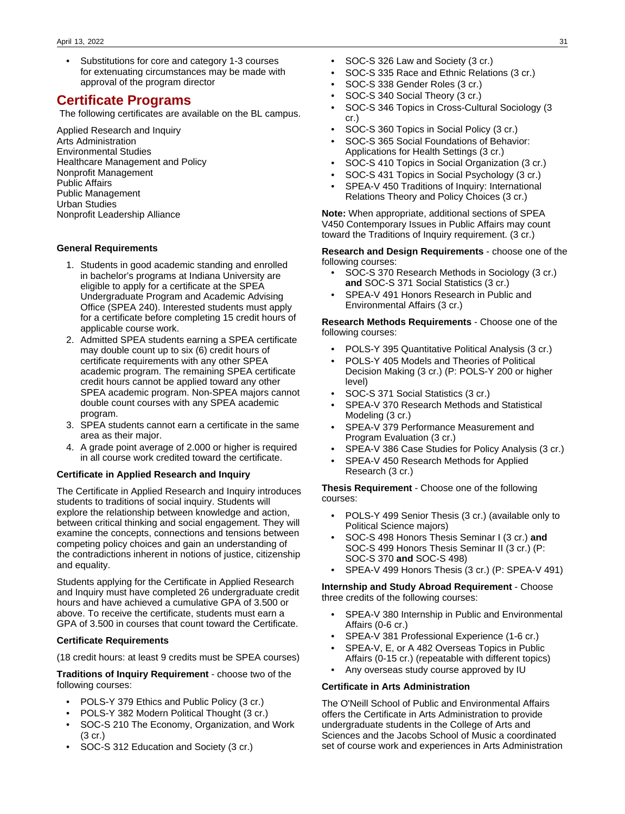• Substitutions for core and category 1-3 courses for extenuating circumstances may be made with approval of the program director

# **Certificate Programs**

The following certificates are available on the BL campus.

Applied Research and Inquiry Arts Administration Environmental Studies Healthcare Management and Policy Nonprofit Management Public Affairs Public Management Urban Studies Nonprofit Leadership Alliance

#### **General Requirements**

- 1. Students in good academic standing and enrolled in bachelor's programs at Indiana University are eligible to apply for a certificate at the SPEA Undergraduate Program and Academic Advising Office (SPEA 240). Interested students must apply for a certificate before completing 15 credit hours of applicable course work.
- 2. Admitted SPEA students earning a SPEA certificate may double count up to six (6) credit hours of certificate requirements with any other SPEA academic program. The remaining SPEA certificate credit hours cannot be applied toward any other SPEA academic program. Non-SPEA majors cannot double count courses with any SPEA academic program.
- 3. SPEA students cannot earn a certificate in the same area as their major.
- 4. A grade point average of 2.000 or higher is required in all course work credited toward the certificate.

#### **Certificate in Applied Research and Inquiry**

The Certificate in Applied Research and Inquiry introduces students to traditions of social inquiry. Students will explore the relationship between knowledge and action, between critical thinking and social engagement. They will examine the concepts, connections and tensions between competing policy choices and gain an understanding of the contradictions inherent in notions of justice, citizenship and equality.

Students applying for the Certificate in Applied Research and Inquiry must have completed 26 undergraduate credit hours and have achieved a cumulative GPA of 3.500 or above. To receive the certificate, students must earn a GPA of 3.500 in courses that count toward the Certificate.

#### **Certificate Requirements**

(18 credit hours: at least 9 credits must be SPEA courses)

**Traditions of Inquiry Requirement** - choose two of the following courses:

- POLS-Y 379 Ethics and Public Policy (3 cr.)
- POLS-Y 382 Modern Political Thought (3 cr.)
- SOC-S 210 The Economy, Organization, and Work (3 cr.)
- SOC-S 312 Education and Society (3 cr.)
- SOC-S 326 Law and Society (3 cr.)
- SOC-S 335 Race and Ethnic Relations (3 cr.)
- SOC-S 338 Gender Roles (3 cr.)
- SOC-S 340 Social Theory (3 cr.)
- SOC-S 346 Topics in Cross-Cultural Sociology (3 cr.)
- SOC-S 360 Topics in Social Policy (3 cr.)
- SOC-S 365 Social Foundations of Behavior: Applications for Health Settings (3 cr.)
- SOC-S 410 Topics in Social Organization (3 cr.)
- SOC-S 431 Topics in Social Psychology (3 cr.)
- SPEA-V 450 Traditions of Inquiry: International Relations Theory and Policy Choices (3 cr.)

**Note:** When appropriate, additional sections of SPEA V450 Contemporary Issues in Public Affairs may count toward the Traditions of Inquiry requirement. (3 cr.)

**Research and Design Requirements** - choose one of the following courses:

- SOC-S 370 Research Methods in Sociology (3 cr.) **and** SOC-S 371 Social Statistics (3 cr.)
- SPEA-V 491 Honors Research in Public and Environmental Affairs (3 cr.)

**Research Methods Requirements** - Choose one of the following courses:

- POLS-Y 395 Quantitative Political Analysis (3 cr.)
- POLS-Y 405 Models and Theories of Political Decision Making (3 cr.) (P: POLS-Y 200 or higher level)
- SOC-S 371 Social Statistics (3 cr.)
- SPEA-V 370 Research Methods and Statistical Modeling (3 cr.)
- SPEA-V 379 Performance Measurement and Program Evaluation (3 cr.)
- SPEA-V 386 Case Studies for Policy Analysis (3 cr.)
- SPEA-V 450 Research Methods for Applied Research (3 cr.)

**Thesis Requirement** - Choose one of the following courses:

- POLS-Y 499 Senior Thesis (3 cr.) (available only to Political Science majors)
- SOC-S 498 Honors Thesis Seminar I (3 cr.) **and** SOC-S 499 Honors Thesis Seminar II (3 cr.) (P: SOC-S 370 **and** SOC-S 498)
- SPEA-V 499 Honors Thesis (3 cr.) (P: SPEA-V 491)

**Internship and Study Abroad Requirement** - Choose three credits of the following courses:

- SPEA-V 380 Internship in Public and Environmental Affairs (0-6 cr.)
- SPEA-V 381 Professional Experience (1-6 cr.)
- SPEA-V, E, or A 482 Overseas Topics in Public Affairs (0-15 cr.) (repeatable with different topics)
- Any overseas study course approved by IU

#### **Certificate in Arts Administration**

The O'Neill School of Public and Environmental Affairs offers the Certificate in Arts Administration to provide undergraduate students in the College of Arts and Sciences and the Jacobs School of Music a coordinated set of course work and experiences in Arts Administration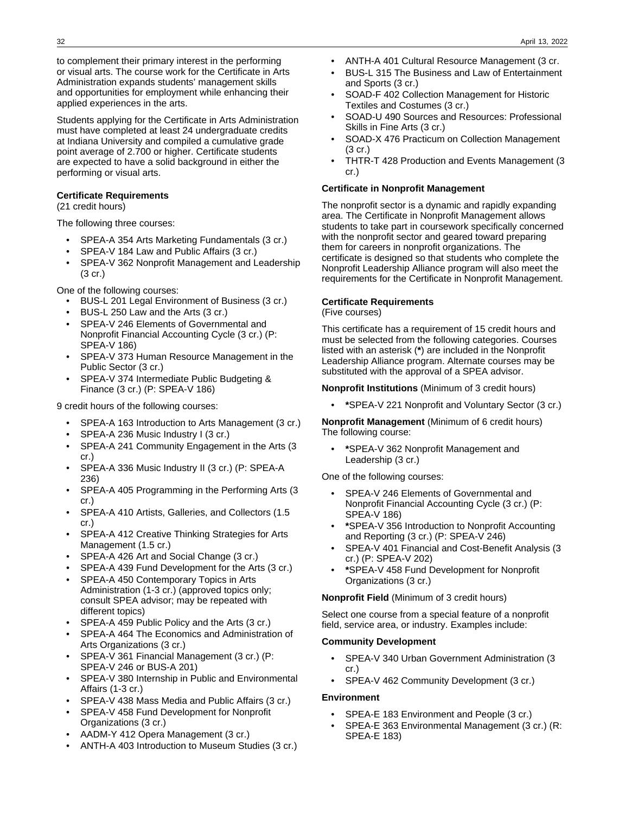to complement their primary interest in the performing or visual arts. The course work for the Certificate in Arts Administration expands students' management skills and opportunities for employment while enhancing their applied experiences in the arts.

Students applying for the Certificate in Arts Administration must have completed at least 24 undergraduate credits at Indiana University and compiled a cumulative grade point average of 2.700 or higher. Certificate students are expected to have a solid background in either the performing or visual arts.

#### **Certificate Requirements**

(21 credit hours)

The following three courses:

- SPEA-A 354 Arts Marketing Fundamentals (3 cr.)
- SPEA-V 184 Law and Public Affairs (3 cr.)
- SPEA-V 362 Nonprofit Management and Leadership (3 cr.)

One of the following courses:

- BUS-L 201 Legal Environment of Business (3 cr.)
- BUS-L 250 Law and the Arts (3 cr.)
- SPEA-V 246 Elements of Governmental and Nonprofit Financial Accounting Cycle (3 cr.) (P: SPEA-V 186)
- SPEA-V 373 Human Resource Management in the Public Sector (3 cr.)
- SPEA-V 374 Intermediate Public Budgeting & Finance (3 cr.) (P: SPEA-V 186)

9 credit hours of the following courses:

- SPEA-A 163 Introduction to Arts Management (3 cr.)
- SPEA-A 236 Music Industry I (3 cr.)
- SPEA-A 241 Community Engagement in the Arts (3 cr.)
- SPEA-A 336 Music Industry II (3 cr.) (P: SPEA-A 236)
- SPEA-A 405 Programming in the Performing Arts (3 cr.)
- SPEA-A 410 Artists, Galleries, and Collectors (1.5 cr.)
- SPEA-A 412 Creative Thinking Strategies for Arts Management (1.5 cr.)
- SPEA-A 426 Art and Social Change (3 cr.)
- SPEA-A 439 Fund Development for the Arts (3 cr.)
- SPEA-A 450 Contemporary Topics in Arts Administration (1-3 cr.) (approved topics only; consult SPEA advisor; may be repeated with different topics)
- SPEA-A 459 Public Policy and the Arts (3 cr.)
- SPEA-A 464 The Economics and Administration of Arts Organizations (3 cr.)
- SPEA-V 361 Financial Management (3 cr.) (P: SPEA-V 246 or BUS-A 201)
- SPEA-V 380 Internship in Public and Environmental Affairs (1-3 cr.)
- SPEA-V 438 Mass Media and Public Affairs (3 cr.)
- SPEA-V 458 Fund Development for Nonprofit Organizations (3 cr.)
- AADM-Y 412 Opera Management (3 cr.)
- ANTH-A 403 Introduction to Museum Studies (3 cr.)
- ANTH-A 401 Cultural Resource Management (3 cr.
- BUS-L 315 The Business and Law of Entertainment and Sports (3 cr.)
- SOAD-F 402 Collection Management for Historic Textiles and Costumes (3 cr.)
- SOAD-U 490 Sources and Resources: Professional Skills in Fine Arts (3 cr.)
- SOAD-X 476 Practicum on Collection Management (3 cr.)
- THTR-T 428 Production and Events Management (3 cr.)

#### **Certificate in Nonprofit Management**

The nonprofit sector is a dynamic and rapidly expanding area. The Certificate in Nonprofit Management allows students to take part in coursework specifically concerned with the nonprofit sector and geared toward preparing them for careers in nonprofit organizations. The certificate is designed so that students who complete the Nonprofit Leadership Alliance program will also meet the requirements for the Certificate in Nonprofit Management.

#### **Certificate Requirements**

(Five courses)

This certificate has a requirement of 15 credit hours and must be selected from the following categories. Courses listed with an asterisk (**\***) are included in the Nonprofit Leadership Alliance program. Alternate courses may be substituted with the approval of a SPEA advisor.

#### **Nonprofit Institutions** (Minimum of 3 credit hours)

• **\***SPEA-V 221 Nonprofit and Voluntary Sector (3 cr.)

**Nonprofit Management** (Minimum of 6 credit hours) The following course:

• **\***SPEA-V 362 Nonprofit Management and Leadership (3 cr.)

One of the following courses:

- SPEA-V 246 Elements of Governmental and Nonprofit Financial Accounting Cycle (3 cr.) (P: SPEA-V 186)
- **\***SPEA-V 356 Introduction to Nonprofit Accounting and Reporting (3 cr.) (P: SPEA-V 246)
- SPEA-V 401 Financial and Cost-Benefit Analysis (3 cr.) (P: SPEA-V 202)
- **\***SPEA-V 458 Fund Development for Nonprofit Organizations (3 cr.)

**Nonprofit Field** (Minimum of 3 credit hours)

Select one course from a special feature of a nonprofit field, service area, or industry. Examples include:

#### **Community Development**

- SPEA-V 340 Urban Government Administration (3 cr.)
- SPEA-V 462 Community Development (3 cr.)

#### **Environment**

- SPEA-E 183 Environment and People (3 cr.)
- SPEA-E 363 Environmental Management (3 cr.) (R: SPEA-E 183)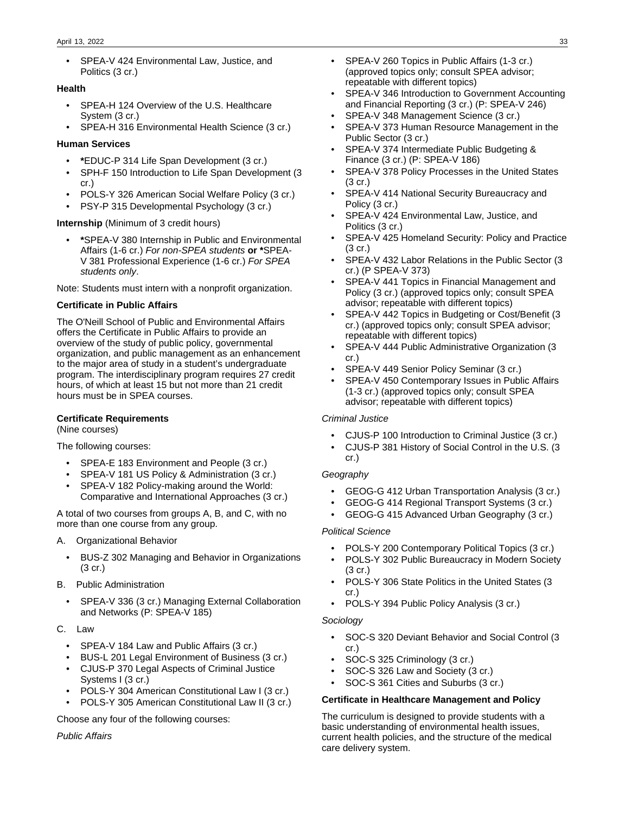#### April 13, 2022 33

• SPEA-V 424 Environmental Law, Justice, and Politics (3 cr.)

#### **Health**

- SPEA-H 124 Overview of the U.S. Healthcare System (3 cr.)
- SPEA-H 316 Environmental Health Science (3 cr.)

#### **Human Services**

- **\***EDUC-P 314 Life Span Development (3 cr.)
- SPH-F 150 Introduction to Life Span Development (3 cr.)
- POLS-Y 326 American Social Welfare Policy (3 cr.)
- PSY-P 315 Developmental Psychology (3 cr.)

#### **Internship** (Minimum of 3 credit hours)

• **\***SPEA-V 380 Internship in Public and Environmental Affairs (1-6 cr.) For non-SPEA students **or \***SPEA-V 381 Professional Experience (1-6 cr.) For SPEA students only.

Note: Students must intern with a nonprofit organization.

#### **Certificate in Public Affairs**

The O'Neill School of Public and Environmental Affairs offers the Certificate in Public Affairs to provide an overview of the study of public policy, governmental organization, and public management as an enhancement to the major area of study in a student's undergraduate program. The interdisciplinary program requires 27 credit hours, of which at least 15 but not more than 21 credit hours must be in SPEA courses.

#### **Certificate Requirements**

(Nine courses)

The following courses:

- SPEA-E 183 Environment and People (3 cr.)
- SPEA-V 181 US Policy & Administration (3 cr.)
- SPEA-V 182 Policy-making around the World: Comparative and International Approaches (3 cr.)

A total of two courses from groups A, B, and C, with no more than one course from any group.

- A. Organizational Behavior
	- BUS-Z 302 Managing and Behavior in Organizations (3 cr.)
- B. Public Administration
	- SPEA-V 336 (3 cr.) Managing External Collaboration and Networks (P: SPEA-V 185)
- C. Law
	- SPEA-V 184 Law and Public Affairs (3 cr.)
	- BUS-L 201 Legal Environment of Business (3 cr.)
	- CJUS-P 370 Legal Aspects of Criminal Justice Systems I (3 cr.)
	- POLS-Y 304 American Constitutional Law I (3 cr.)
	- POLS-Y 305 American Constitutional Law II (3 cr.)

Choose any four of the following courses:

Public Affairs

- SPEA-V 260 Topics in Public Affairs (1-3 cr.) (approved topics only; consult SPEA advisor; repeatable with different topics)
- SPEA-V 346 Introduction to Government Accounting and Financial Reporting (3 cr.) (P: SPEA-V 246)
- SPEA-V 348 Management Science (3 cr.)
- SPEA-V 373 Human Resource Management in the Public Sector (3 cr.)
- SPEA-V 374 Intermediate Public Budgeting & Finance (3 cr.) (P: SPEA-V 186)
- SPEA-V 378 Policy Processes in the United States (3 cr.)
- SPEA-V 414 National Security Bureaucracy and Policy (3 cr.)
- SPEA-V 424 Environmental Law, Justice, and Politics (3 cr.)
- SPEA-V 425 Homeland Security: Policy and Practice (3 cr.)
- SPEA-V 432 Labor Relations in the Public Sector (3 cr.) (P SPEA-V 373)
- SPEA-V 441 Topics in Financial Management and Policy (3 cr.) (approved topics only; consult SPEA advisor; repeatable with different topics)
- SPEA-V 442 Topics in Budgeting or Cost/Benefit (3 cr.) (approved topics only; consult SPEA advisor; repeatable with different topics)
- SPEA-V 444 Public Administrative Organization (3 cr.)
- SPEA-V 449 Senior Policy Seminar (3 cr.)
- SPEA-V 450 Contemporary Issues in Public Affairs (1-3 cr.) (approved topics only; consult SPEA advisor; repeatable with different topics)

#### Criminal Justice

- CJUS-P 100 Introduction to Criminal Justice (3 cr.)
- CJUS-P 381 History of Social Control in the U.S. (3 cr.)

#### Geography

- GEOG-G 412 Urban Transportation Analysis (3 cr.)
- GEOG-G 414 Regional Transport Systems (3 cr.)
- GEOG-G 415 Advanced Urban Geography (3 cr.)

#### Political Science

- POLS-Y 200 Contemporary Political Topics (3 cr.)
- POLS-Y 302 Public Bureaucracy in Modern Society (3 cr.)
- POLS-Y 306 State Politics in the United States (3 cr.)
- POLS-Y 394 Public Policy Analysis (3 cr.)

#### Sociology

- SOC-S 320 Deviant Behavior and Social Control (3 cr.)
- SOC-S 325 Criminology (3 cr.)
- SOC-S 326 Law and Society (3 cr.)
- SOC-S 361 Cities and Suburbs (3 cr.)

#### **Certificate in Healthcare Management and Policy**

The curriculum is designed to provide students with a basic understanding of environmental health issues, current health policies, and the structure of the medical care delivery system.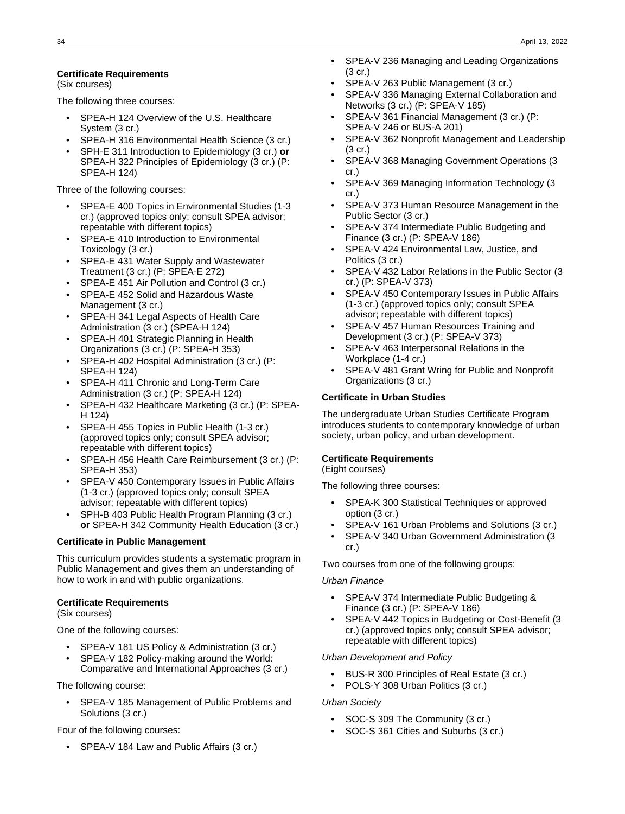#### **Certificate Requirements**

(Six courses)

The following three courses:

- SPEA-H 124 Overview of the U.S. Healthcare System (3 cr.)
- SPEA-H 316 Environmental Health Science (3 cr.)
- SPH-E 311 Introduction to Epidemiology (3 cr.) **or** SPEA-H 322 Principles of Epidemiology (3 cr.) (P: SPEA-H 124)

Three of the following courses:

- SPEA-E 400 Topics in Environmental Studies (1-3 cr.) (approved topics only; consult SPEA advisor; repeatable with different topics)
- SPEA-E 410 Introduction to Environmental Toxicology (3 cr.)
- SPEA-E 431 Water Supply and Wastewater Treatment (3 cr.) (P: SPEA-E 272)
- SPEA-E 451 Air Pollution and Control (3 cr.)
- SPEA-E 452 Solid and Hazardous Waste Management (3 cr.)
- SPEA-H 341 Legal Aspects of Health Care Administration (3 cr.) (SPEA-H 124)
- SPEA-H 401 Strategic Planning in Health Organizations (3 cr.) (P: SPEA-H 353)
- SPEA-H 402 Hospital Administration (3 cr.) (P: SPEA-H 124)
- SPEA-H 411 Chronic and Long-Term Care Administration (3 cr.) (P: SPEA-H 124)
- SPEA-H 432 Healthcare Marketing (3 cr.) (P: SPEA-H 124)
- SPEA-H 455 Topics in Public Health (1-3 cr.) (approved topics only; consult SPEA advisor; repeatable with different topics)
- SPEA-H 456 Health Care Reimbursement (3 cr.) (P: SPEA-H 353)
- SPEA-V 450 Contemporary Issues in Public Affairs (1-3 cr.) (approved topics only; consult SPEA advisor; repeatable with different topics)
- SPH-B 403 Public Health Program Planning (3 cr.) **or** SPEA-H 342 Community Health Education (3 cr.)

#### **Certificate in Public Management**

This curriculum provides students a systematic program in Public Management and gives them an understanding of how to work in and with public organizations.

#### **Certificate Requirements**

(Six courses)

One of the following courses:

- SPEA-V 181 US Policy & Administration (3 cr.)
- SPEA-V 182 Policy-making around the World: Comparative and International Approaches (3 cr.)

The following course:

• SPEA-V 185 Management of Public Problems and Solutions (3 cr.)

Four of the following courses:

• SPEA-V 184 Law and Public Affairs (3 cr.)

- SPEA-V 236 Managing and Leading Organizations (3 cr.)
- SPEA-V 263 Public Management (3 cr.)
- SPEA-V 336 Managing External Collaboration and Networks (3 cr.) (P: SPEA-V 185)
- SPEA-V 361 Financial Management (3 cr.) (P: SPEA-V 246 or BUS-A 201)
- SPEA-V 362 Nonprofit Management and Leadership (3 cr.)
- SPEA-V 368 Managing Government Operations (3 cr.)
- SPEA-V 369 Managing Information Technology (3 cr.)
- SPEA-V 373 Human Resource Management in the Public Sector (3 cr.)
- SPEA-V 374 Intermediate Public Budgeting and Finance (3 cr.) (P: SPEA-V 186)
- SPEA-V 424 Environmental Law, Justice, and Politics (3 cr.)
- SPEA-V 432 Labor Relations in the Public Sector (3 cr.) (P: SPEA-V 373)
- SPEA-V 450 Contemporary Issues in Public Affairs (1-3 cr.) (approved topics only; consult SPEA advisor; repeatable with different topics)
- SPEA-V 457 Human Resources Training and Development (3 cr.) (P: SPEA-V 373)
- SPEA-V 463 Interpersonal Relations in the Workplace (1-4 cr.)
- SPEA-V 481 Grant Wring for Public and Nonprofit Organizations (3 cr.)

#### **Certificate in Urban Studies**

The undergraduate Urban Studies Certificate Program introduces students to contemporary knowledge of urban society, urban policy, and urban development.

#### **Certificate Requirements**

(Eight courses)

The following three courses:

- SPEA-K 300 Statistical Techniques or approved option (3 cr.)
- SPEA-V 161 Urban Problems and Solutions (3 cr.)
- SPEA-V 340 Urban Government Administration (3 cr.)

Two courses from one of the following groups:

#### Urban Finance

- SPEA-V 374 Intermediate Public Budgeting & Finance (3 cr.) (P: SPEA-V 186)
- SPEA-V 442 Topics in Budgeting or Cost-Benefit (3 cr.) (approved topics only; consult SPEA advisor; repeatable with different topics)

#### Urban Development and Policy

- BUS-R 300 Principles of Real Estate (3 cr.)
- POLS-Y 308 Urban Politics (3 cr.)

#### Urban Society

- SOC-S 309 The Community (3 cr.)
- SOC-S 361 Cities and Suburbs (3 cr.)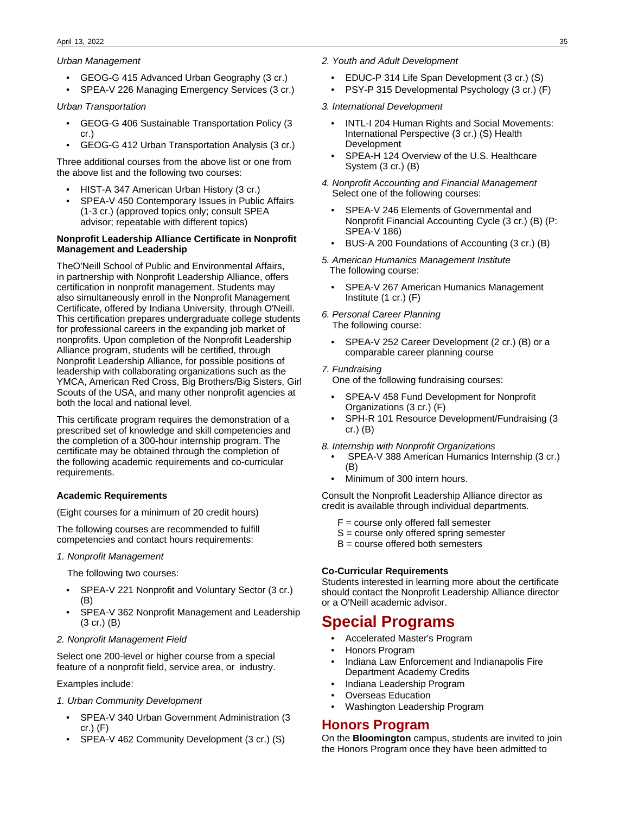#### Urban Management

- GEOG-G 415 Advanced Urban Geography (3 cr.)
- SPEA-V 226 Managing Emergency Services (3 cr.)

#### Urban Transportation

- GEOG-G 406 Sustainable Transportation Policy (3 cr.)
- GEOG-G 412 Urban Transportation Analysis (3 cr.)

Three additional courses from the above list or one from the above list and the following two courses:

- HIST-A 347 American Urban History (3 cr.)
- SPEA-V 450 Contemporary Issues in Public Affairs (1-3 cr.) (approved topics only; consult SPEA advisor; repeatable with different topics)

#### **Nonprofit Leadership Alliance Certificate in Nonprofit Management and Leadership**

TheO'Neill School of Public and Environmental Affairs, in partnership with Nonprofit Leadership Alliance, offers certification in nonprofit management. Students may also simultaneously enroll in the Nonprofit Management Certificate, offered by Indiana University, through O'Neill. This certification prepares undergraduate college students for professional careers in the expanding job market of nonprofits. Upon completion of the Nonprofit Leadership Alliance program, students will be certified, through Nonprofit Leadership Alliance, for possible positions of leadership with collaborating organizations such as the YMCA, American Red Cross, Big Brothers/Big Sisters, Girl Scouts of the USA, and many other nonprofit agencies at both the local and national level.

This certificate program requires the demonstration of a prescribed set of knowledge and skill competencies and the completion of a 300-hour internship program. The certificate may be obtained through the completion of the following academic requirements and co-curricular requirements.

#### **Academic Requirements**

(Eight courses for a minimum of 20 credit hours)

The following courses are recommended to fulfill competencies and contact hours requirements:

#### 1. Nonprofit Management

The following two courses:

- SPEA-V 221 Nonprofit and Voluntary Sector (3 cr.) (B)
- SPEA-V 362 Nonprofit Management and Leadership (3 cr.) (B)

#### 2. Nonprofit Management Field

Select one 200-level or higher course from a special feature of a nonprofit field, service area, or industry.

Examples include:

#### 1. Urban Community Development

- SPEA-V 340 Urban Government Administration (3 cr.) (F)
- SPEA-V 462 Community Development (3 cr.) (S)
- 2. Youth and Adult Development
	- EDUC-P 314 Life Span Development (3 cr.) (S)
	- PSY-P 315 Developmental Psychology (3 cr.) (F)

#### 3. International Development

- INTL-I 204 Human Rights and Social Movements: International Perspective (3 cr.) (S) Health Development
- SPEA-H 124 Overview of the U.S. Healthcare System (3 cr.) (B)
- 4. Nonprofit Accounting and Financial Management Select one of the following courses:
	- SPEA-V 246 Elements of Governmental and Nonprofit Financial Accounting Cycle (3 cr.) (B) (P: SPEA-V 186)
	- BUS-A 200 Foundations of Accounting (3 cr.) (B)

#### 5. American Humanics Management Institute The following course:

- SPEA-V 267 American Humanics Management Institute (1 cr.) (F)
- 6. Personal Career Planning The following course:
	- SPEA-V 252 Career Development (2 cr.) (B) or a comparable career planning course

#### 7. Fundraising

One of the following fundraising courses:

- SPEA-V 458 Fund Development for Nonprofit Organizations (3 cr.) (F)
- SPH-R 101 Resource Development/Fundraising (3 cr.) (B)
- 8. Internship with Nonprofit Organizations
	- SPEA-V 388 American Humanics Internship (3 cr.) (B)
	- Minimum of 300 intern hours.

Consult the Nonprofit Leadership Alliance director as credit is available through individual departments.

- $F = \text{course only offered fall semester}$
- S = course only offered spring semester
- $B = \text{course}$  offered both semesters

#### **Co-Curricular Requirements**

Students interested in learning more about the certificate should contact the Nonprofit Leadership Alliance director or a O'Neill academic advisor.

# **Special Programs**

- Accelerated Master's Program
- Honors Program
- Indiana Law Enforcement and Indianapolis Fire Department Academy Credits
- Indiana Leadership Program
- Overseas Education
- Washington Leadership Program

# **Honors Program**

On the **Bloomington** campus, students are invited to join the Honors Program once they have been admitted to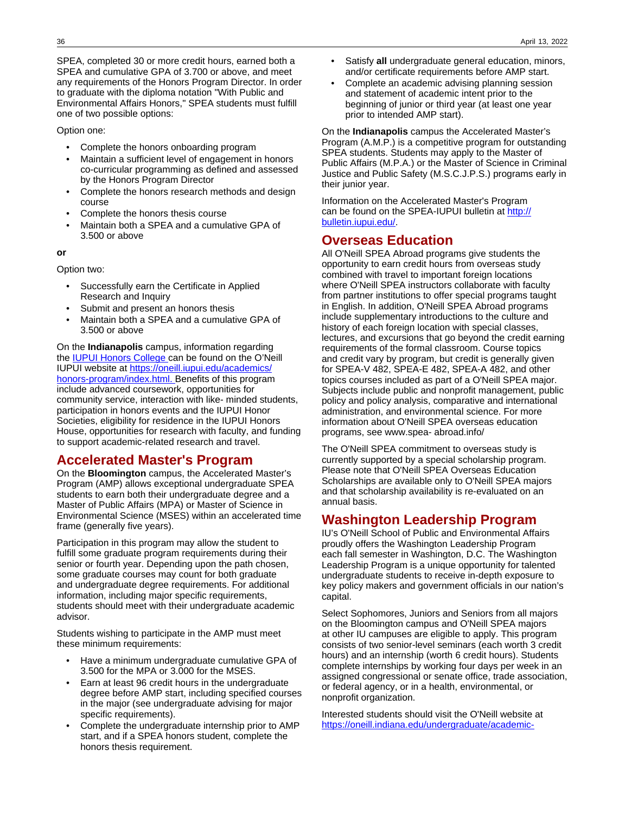SPEA, completed 30 or more credit hours, earned both a SPEA and cumulative GPA of 3.700 or above, and meet any requirements of the Honors Program Director. In order to graduate with the diploma notation "With Public and Environmental Affairs Honors," SPEA students must fulfill one of two possible options:

#### Option one:

- Complete the honors onboarding program
- Maintain a sufficient level of engagement in honors co-curricular programming as defined and assessed by the Honors Program Director
- Complete the honors research methods and design course
- Complete the honors thesis course
- Maintain both a SPEA and a cumulative GPA of 3.500 or above

**or**

Option two:

- Successfully earn the Certificate in Applied Research and Inquiry
- Submit and present an honors thesis
- Maintain both a SPEA and a cumulative GPA of 3.500 or above

On the **Indianapolis** campus, information regarding the [IUPUI Honors College](http://honorscollege.iupui.edu/) can be found on the O'Neill IUPUI website at https://oneill.iupui.edu/academics [honors-program/index.html.](https://oneill.iupui.edu/academics/honors-program/index.html.#https://oneill.iupui.edu/academics/honors-program/index.html.) [B](https://oneill.iupui.edu/academics/honors-program/index.html)enefits of this program include advanced coursework, opportunities for community service, interaction with like- minded students, participation in honors events and the IUPUI Honor Societies, eligibility for residence in the IUPUI Honors House, opportunities for research with faculty, and funding to support academic-related research and travel.

# **Accelerated Master's Program**

On the **Bloomington** campus, the Accelerated Master's Program (AMP) allows exceptional undergraduate SPEA students to earn both their undergraduate degree and a Master of Public Affairs (MPA) or Master of Science in Environmental Science (MSES) within an accelerated time frame (generally five years).

Participation in this program may allow the student to fulfill some graduate program requirements during their senior or fourth year. Depending upon the path chosen, some graduate courses may count for both graduate and undergraduate degree requirements. For additional information, including major specific requirements, students should meet with their undergraduate academic advisor.

Students wishing to participate in the AMP must meet these minimum requirements:

- Have a minimum undergraduate cumulative GPA of 3.500 for the MPA or 3.000 for the MSES.
- Earn at least 96 credit hours in the undergraduate degree before AMP start, including specified courses in the major (see undergraduate advising for major specific requirements).
- Complete the undergraduate internship prior to AMP start, and if a SPEA honors student, complete the honors thesis requirement.
- Satisfy **all** undergraduate general education, minors, and/or certificate requirements before AMP start.
- Complete an academic advising planning session and statement of academic intent prior to the beginning of junior or third year (at least one year prior to intended AMP start).

On the **Indianapolis** campus the Accelerated Master's Program (A.M.P.) is a competitive program for outstanding SPEA students. Students may apply to the Master of Public Affairs (M.P.A.) or the Master of Science in Criminal Justice and Public Safety (M.S.C.J.P.S.) programs early in their junior year.

Information on the Accelerated Master's Program can be found on the SPEA-IUPUI bulletin at [http://](http://bulletin.iupui.edu/) [bulletin.iupui.edu/](http://bulletin.iupui.edu/).

### **Overseas Education**

All O'Neill SPEA Abroad programs give students the opportunity to earn credit hours from overseas study combined with travel to important foreign locations where O'Neill SPEA instructors collaborate with faculty from partner institutions to offer special programs taught in English. In addition, O'Neill SPEA Abroad programs include supplementary introductions to the culture and history of each foreign location with special classes, lectures, and excursions that go beyond the credit earning requirements of the formal classroom. Course topics and credit vary by program, but credit is generally given for SPEA-V 482, SPEA-E 482, SPEA-A 482, and other topics courses included as part of a O'Neill SPEA major. Subjects include public and nonprofit management, public policy and policy analysis, comparative and international administration, and environmental science. For more information about O'Neill SPEA overseas education programs, see www.spea- abroad.info/

The O'Neill SPEA commitment to overseas study is currently supported by a special scholarship program. Please note that O'Neill SPEA Overseas Education Scholarships are available only to O'Neill SPEA majors and that scholarship availability is re-evaluated on an annual basis.

### **Washington Leadership Program**

IU's O'Neill School of Public and Environmental Affairs proudly offers the Washington Leadership Program each fall semester in Washington, D.C. The Washington Leadership Program is a unique opportunity for talented undergraduate students to receive in-depth exposure to key policy makers and government officials in our nation's capital.

Select Sophomores, Juniors and Seniors from all majors on the Bloomington campus and O'Neill SPEA majors at other IU campuses are eligible to apply. This program consists of two senior-level seminars (each worth 3 credit hours) and an internship (worth 6 credit hours). Students complete internships by working four days per week in an assigned congressional or senate office, trade association, or federal agency, or in a health, environmental, or nonprofit organization.

Interested students should visit the O'Neill website at [https://oneill.indiana.edu/undergraduate/academic-](https://oneill.indiana.edu/undergraduate/academic-enrichment/wlp/index.html)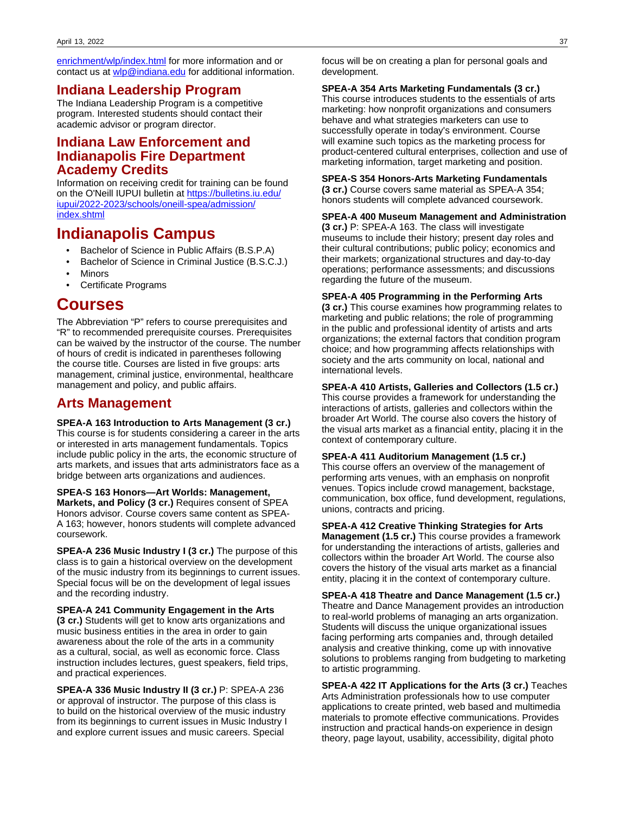[enrichment/wlp/index.html](https://oneill.indiana.edu/undergraduate/academic-enrichment/wlp/index.html) for more information and or contact us at [wlp@indiana.edu](mailto:wlp@indiana.edu) for additional information.

# **Indiana Leadership Program**

The Indiana Leadership Program is a competitive program. Interested students should contact their academic advisor or program director.

# **Indiana Law Enforcement and Indianapolis Fire Department Academy Credits**

Information on receiving credit for training can be found on the O'Neill IUPUI bulletin at [https://bulletins.iu.edu/](https://bulletins.iu.edu/iupui/2022-2023/schools/oneill-spea/admission/index.shtml#https://bulletins.iu.edu/iupui/2022-2023/schools/oneill-spea/admission/index.shtml) [iupui/2022-2023/schools/oneill-spea/admission/](https://bulletins.iu.edu/iupui/2022-2023/schools/oneill-spea/admission/index.shtml#https://bulletins.iu.edu/iupui/2022-2023/schools/oneill-spea/admission/index.shtml) [index.shtml](https://bulletins.iu.edu/iupui/2022-2023/schools/oneill-spea/admission/index.shtml#https://bulletins.iu.edu/iupui/2022-2023/schools/oneill-spea/admission/index.shtml)

# **Indianapolis Campus**

- Bachelor of Science in Public Affairs (B.S.P.A)
- Bachelor of Science in Criminal Justice (B.S.C.J.)
- **Minors**
- Certificate Programs

# **Courses**

The Abbreviation "P" refers to course prerequisites and "R" to recommended prerequisite courses. Prerequisites can be waived by the instructor of the course. The number of hours of credit is indicated in parentheses following the course title. Courses are listed in five groups: arts management, criminal justice, environmental, healthcare management and policy, and public affairs.

# **Arts Management**

#### **SPEA-A 163 Introduction to Arts Management (3 cr.)**

This course is for students considering a career in the arts or interested in arts management fundamentals. Topics include public policy in the arts, the economic structure of arts markets, and issues that arts administrators face as a bridge between arts organizations and audiences.

**SPEA-S 163 Honors—Art Worlds: Management, Markets, and Policy (3 cr.)** Requires consent of SPEA Honors advisor. Course covers same content as SPEA-A 163; however, honors students will complete advanced coursework.

**SPEA-A 236 Music Industry I (3 cr.)** The purpose of this class is to gain a historical overview on the development of the music industry from its beginnings to current issues. Special focus will be on the development of legal issues and the recording industry.

**SPEA-A 241 Community Engagement in the Arts (3 cr.)** Students will get to know arts organizations and music business entities in the area in order to gain awareness about the role of the arts in a community as a cultural, social, as well as economic force. Class instruction includes lectures, guest speakers, field trips, and practical experiences.

**SPEA-A 336 Music Industry II (3 cr.)** P: SPEA-A 236 or approval of instructor. The purpose of this class is to build on the historical overview of the music industry from its beginnings to current issues in Music Industry I and explore current issues and music careers. Special

focus will be on creating a plan for personal goals and development.

#### **SPEA-A 354 Arts Marketing Fundamentals (3 cr.)**

This course introduces students to the essentials of arts marketing: how nonprofit organizations and consumers behave and what strategies marketers can use to successfully operate in today's environment. Course will examine such topics as the marketing process for product-centered cultural enterprises, collection and use of marketing information, target marketing and position.

### **SPEA-S 354 Honors-Arts Marketing Fundamentals**

**(3 cr.)** Course covers same material as SPEA-A 354; honors students will complete advanced coursework.

#### **SPEA-A 400 Museum Management and Administration**

**(3 cr.)** P: SPEA-A 163. The class will investigate museums to include their history; present day roles and their cultural contributions; public policy; economics and their markets; organizational structures and day-to-day operations; performance assessments; and discussions regarding the future of the museum.

#### **SPEA-A 405 Programming in the Performing Arts**

**(3 cr.)** This course examines how programming relates to marketing and public relations; the role of programming in the public and professional identity of artists and arts organizations; the external factors that condition program choice; and how programming affects relationships with society and the arts community on local, national and international levels.

**SPEA-A 410 Artists, Galleries and Collectors (1.5 cr.)** This course provides a framework for understanding the interactions of artists, galleries and collectors within the broader Art World. The course also covers the history of the visual arts market as a financial entity, placing it in the context of contemporary culture.

**SPEA-A 411 Auditorium Management (1.5 cr.)** This course offers an overview of the management of performing arts venues, with an emphasis on nonprofit venues. Topics include crowd management, backstage, communication, box office, fund development, regulations, unions, contracts and pricing.

**SPEA-A 412 Creative Thinking Strategies for Arts Management (1.5 cr.)** This course provides a framework for understanding the interactions of artists, galleries and collectors within the broader Art World. The course also covers the history of the visual arts market as a financial entity, placing it in the context of contemporary culture.

**SPEA-A 418 Theatre and Dance Management (1.5 cr.)** Theatre and Dance Management provides an introduction to real-world problems of managing an arts organization. Students will discuss the unique organizational issues facing performing arts companies and, through detailed analysis and creative thinking, come up with innovative solutions to problems ranging from budgeting to marketing to artistic programming.

**SPEA-A 422 IT Applications for the Arts (3 cr.)** Teaches Arts Administration professionals how to use computer applications to create printed, web based and multimedia materials to promote effective communications. Provides instruction and practical hands-on experience in design theory, page layout, usability, accessibility, digital photo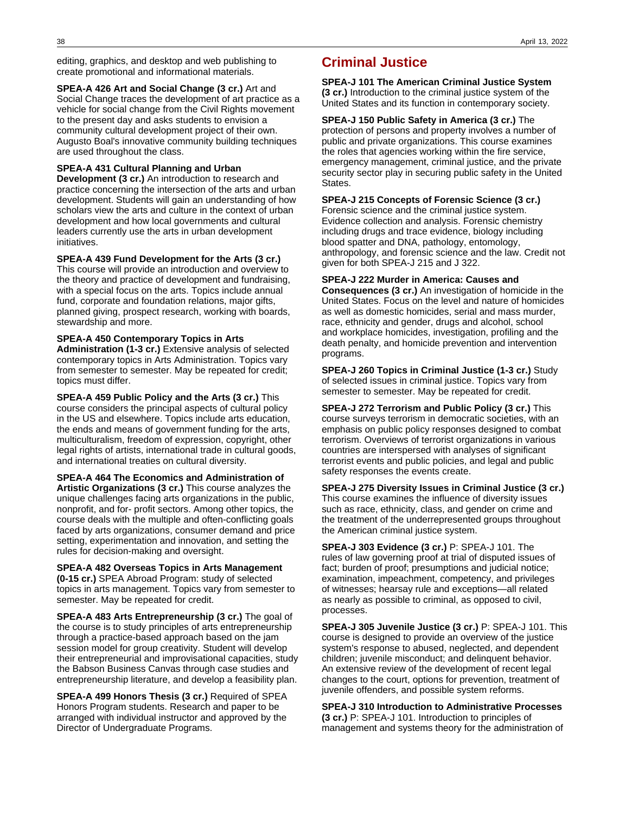editing, graphics, and desktop and web publishing to create promotional and informational materials.

**SPEA-A 426 Art and Social Change (3 cr.)** Art and Social Change traces the development of art practice as a vehicle for social change from the Civil Rights movement to the present day and asks students to envision a community cultural development project of their own. Augusto Boal's innovative community building techniques are used throughout the class.

#### **SPEA-A 431 Cultural Planning and Urban**

**Development (3 cr.)** An introduction to research and practice concerning the intersection of the arts and urban development. Students will gain an understanding of how scholars view the arts and culture in the context of urban development and how local governments and cultural leaders currently use the arts in urban development initiatives.

#### **SPEA-A 439 Fund Development for the Arts (3 cr.)**

This course will provide an introduction and overview to the theory and practice of development and fundraising, with a special focus on the arts. Topics include annual fund, corporate and foundation relations, major gifts, planned giving, prospect research, working with boards, stewardship and more.

#### **SPEA-A 450 Contemporary Topics in Arts**

**Administration (1-3 cr.)** Extensive analysis of selected contemporary topics in Arts Administration. Topics vary from semester to semester. May be repeated for credit; topics must differ.

**SPEA-A 459 Public Policy and the Arts (3 cr.)** This course considers the principal aspects of cultural policy in the US and elsewhere. Topics include arts education, the ends and means of government funding for the arts, multiculturalism, freedom of expression, copyright, other legal rights of artists, international trade in cultural goods, and international treaties on cultural diversity.

#### **SPEA-A 464 The Economics and Administration of**

**Artistic Organizations (3 cr.)** This course analyzes the unique challenges facing arts organizations in the public, nonprofit, and for- profit sectors. Among other topics, the course deals with the multiple and often-conflicting goals faced by arts organizations, consumer demand and price setting, experimentation and innovation, and setting the rules for decision-making and oversight.

**SPEA-A 482 Overseas Topics in Arts Management (0-15 cr.)** SPEA Abroad Program: study of selected topics in arts management. Topics vary from semester to semester. May be repeated for credit.

**SPEA-A 483 Arts Entrepreneurship (3 cr.)** The goal of the course is to study principles of arts entrepreneurship through a practice-based approach based on the jam session model for group creativity. Student will develop their entrepreneurial and improvisational capacities, study the Babson Business Canvas through case studies and entrepreneurship literature, and develop a feasibility plan.

**SPEA-A 499 Honors Thesis (3 cr.)** Required of SPEA Honors Program students. Research and paper to be arranged with individual instructor and approved by the Director of Undergraduate Programs.

# **Criminal Justice**

**SPEA-J 101 The American Criminal Justice System (3 cr.)** Introduction to the criminal justice system of the United States and its function in contemporary society.

**SPEA-J 150 Public Safety in America (3 cr.)** The protection of persons and property involves a number of public and private organizations. This course examines the roles that agencies working within the fire service, emergency management, criminal justice, and the private security sector play in securing public safety in the United States.

#### **SPEA-J 215 Concepts of Forensic Science (3 cr.)**

Forensic science and the criminal justice system. Evidence collection and analysis. Forensic chemistry including drugs and trace evidence, biology including blood spatter and DNA, pathology, entomology, anthropology, and forensic science and the law. Credit not given for both SPEA-J 215 and J 322.

#### **SPEA-J 222 Murder in America: Causes and**

**Consequences (3 cr.)** An investigation of homicide in the United States. Focus on the level and nature of homicides as well as domestic homicides, serial and mass murder, race, ethnicity and gender, drugs and alcohol, school and workplace homicides, investigation, profiling and the death penalty, and homicide prevention and intervention programs.

**SPEA-J 260 Topics in Criminal Justice (1-3 cr.)** Study of selected issues in criminal justice. Topics vary from semester to semester. May be repeated for credit.

**SPEA-J 272 Terrorism and Public Policy (3 cr.)** This course surveys terrorism in democratic societies, with an emphasis on public policy responses designed to combat terrorism. Overviews of terrorist organizations in various countries are interspersed with analyses of significant terrorist events and public policies, and legal and public safety responses the events create.

#### **SPEA-J 275 Diversity Issues in Criminal Justice (3 cr.)** This course examines the influence of diversity issues such as race, ethnicity, class, and gender on crime and the treatment of the underrepresented groups throughout the American criminal justice system.

**SPEA-J 303 Evidence (3 cr.)** P: SPEA-J 101. The rules of law governing proof at trial of disputed issues of fact; burden of proof; presumptions and judicial notice; examination, impeachment, competency, and privileges of witnesses; hearsay rule and exceptions—all related as nearly as possible to criminal, as opposed to civil, processes.

**SPEA-J 305 Juvenile Justice (3 cr.)** P: SPEA-J 101. This course is designed to provide an overview of the justice system's response to abused, neglected, and dependent children; juvenile misconduct; and delinquent behavior. An extensive review of the development of recent legal changes to the court, options for prevention, treatment of juvenile offenders, and possible system reforms.

#### **SPEA-J 310 Introduction to Administrative Processes (3 cr.)** P: SPEA-J 101. Introduction to principles of management and systems theory for the administration of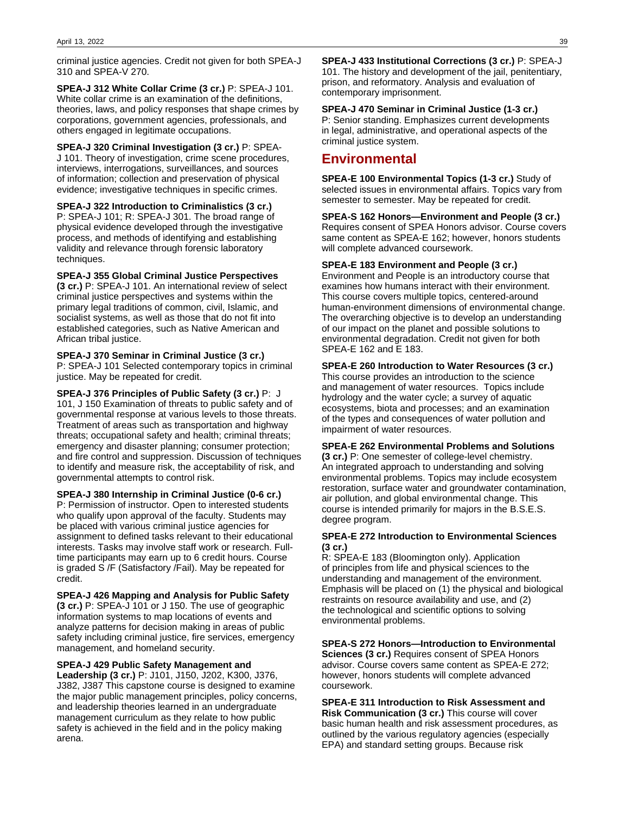criminal justice agencies. Credit not given for both SPEA-J 310 and SPEA-V 270.

**SPEA-J 312 White Collar Crime (3 cr.)** P: SPEA-J 101. White collar crime is an examination of the definitions, theories, laws, and policy responses that shape crimes by corporations, government agencies, professionals, and others engaged in legitimate occupations.

**SPEA-J 320 Criminal Investigation (3 cr.)** P: SPEA-J 101. Theory of investigation, crime scene procedures, interviews, interrogations, surveillances, and sources of information; collection and preservation of physical evidence; investigative techniques in specific crimes.

**SPEA-J 322 Introduction to Criminalistics (3 cr.)** P: SPEA-J 101; R: SPEA-J 301. The broad range of physical evidence developed through the investigative process, and methods of identifying and establishing validity and relevance through forensic laboratory techniques.

**SPEA-J 355 Global Criminal Justice Perspectives (3 cr.)** P: SPEA-J 101. An international review of select criminal justice perspectives and systems within the primary legal traditions of common, civil, Islamic, and socialist systems, as well as those that do not fit into established categories, such as Native American and African tribal justice.

**SPEA-J 370 Seminar in Criminal Justice (3 cr.)** P: SPEA-J 101 Selected contemporary topics in criminal justice. May be repeated for credit.

**SPEA-J 376 Principles of Public Safety (3 cr.)** P: J 101, J 150 Examination of threats to public safety and of governmental response at various levels to those threats. Treatment of areas such as transportation and highway threats; occupational safety and health; criminal threats; emergency and disaster planning; consumer protection; and fire control and suppression. Discussion of techniques to identify and measure risk, the acceptability of risk, and governmental attempts to control risk.

**SPEA-J 380 Internship in Criminal Justice (0-6 cr.)** P: Permission of instructor. Open to interested students who qualify upon approval of the faculty. Students may be placed with various criminal justice agencies for assignment to defined tasks relevant to their educational interests. Tasks may involve staff work or research. Fulltime participants may earn up to 6 credit hours. Course is graded S /F (Satisfactory /Fail). May be repeated for credit.

**SPEA-J 426 Mapping and Analysis for Public Safety (3 cr.)** P: SPEA-J 101 or J 150. The use of geographic information systems to map locations of events and analyze patterns for decision making in areas of public safety including criminal justice, fire services, emergency management, and homeland security.

#### **SPEA-J 429 Public Safety Management and**

**Leadership (3 cr.)** P: J101, J150, J202, K300, J376, J382, J387 This capstone course is designed to examine the major public management principles, policy concerns, and leadership theories learned in an undergraduate management curriculum as they relate to how public safety is achieved in the field and in the policy making arena.

**SPEA-J 433 Institutional Corrections (3 cr.)** P: SPEA-J 101. The history and development of the jail, penitentiary, prison, and reformatory. Analysis and evaluation of contemporary imprisonment.

**SPEA-J 470 Seminar in Criminal Justice (1-3 cr.)** P: Senior standing. Emphasizes current developments in legal, administrative, and operational aspects of the criminal justice system.

# **Environmental**

**SPEA-E 100 Environmental Topics (1-3 cr.)** Study of selected issues in environmental affairs. Topics vary from semester to semester. May be repeated for credit.

**SPEA-S 162 Honors—Environment and People (3 cr.)** Requires consent of SPEA Honors advisor. Course covers same content as SPEA-E 162; however, honors students will complete advanced coursework.

#### **SPEA-E 183 Environment and People (3 cr.)**

Environment and People is an introductory course that examines how humans interact with their environment. This course covers multiple topics, centered-around human-environment dimensions of environmental change. The overarching objective is to develop an understanding of our impact on the planet and possible solutions to environmental degradation. Credit not given for both SPEA-E 162 and E 183.

#### **SPEA-E 260 Introduction to Water Resources (3 cr.)**

This course provides an introduction to the science and management of water resources. Topics include hydrology and the water cycle; a survey of aquatic ecosystems, biota and processes; and an examination of the types and consequences of water pollution and impairment of water resources.

#### **SPEA-E 262 Environmental Problems and Solutions**

**(3 cr.)** P: One semester of college-level chemistry. An integrated approach to understanding and solving environmental problems. Topics may include ecosystem restoration, surface water and groundwater contamination, air pollution, and global environmental change. This course is intended primarily for majors in the B.S.E.S. degree program.

#### **SPEA-E 272 Introduction to Environmental Sciences (3 cr.)**

R: SPEA-E 183 (Bloomington only). Application of principles from life and physical sciences to the understanding and management of the environment. Emphasis will be placed on (1) the physical and biological restraints on resource availability and use, and (2) the technological and scientific options to solving environmental problems.

### **SPEA-S 272 Honors—Introduction to Environmental**

**Sciences (3 cr.)** Requires consent of SPEA Honors advisor. Course covers same content as SPEA-E 272; however, honors students will complete advanced coursework.

**SPEA-E 311 Introduction to Risk Assessment and Risk Communication (3 cr.)** This course will cover basic human health and risk assessment procedures, as outlined by the various regulatory agencies (especially EPA) and standard setting groups. Because risk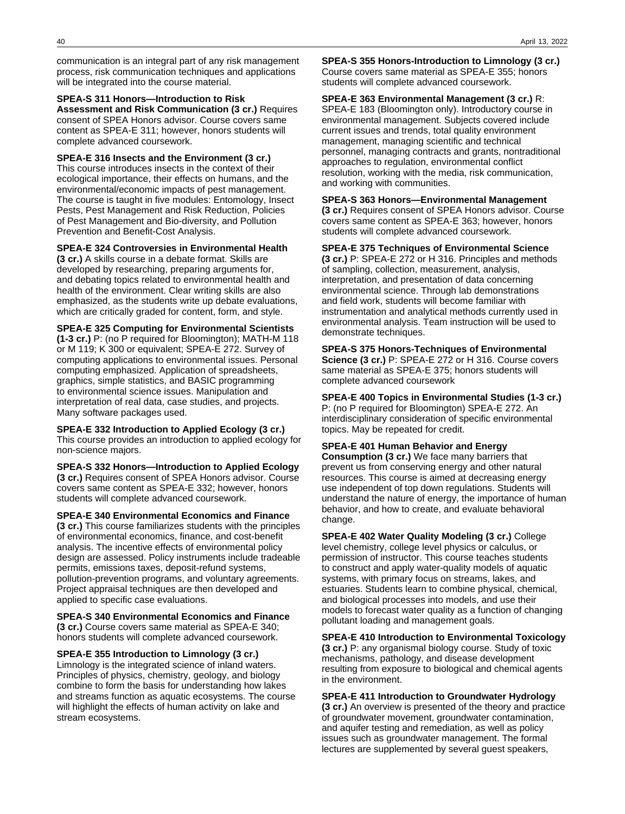communication is an integral part of any risk management process, risk communication techniques and applications will be integrated into the course material.

**SPEA-S 311 Honors—Introduction to Risk Assessment and Risk Communication (3 cr.)** Requires consent of SPEA Honors advisor. Course covers same content as SPEA-E 311; however, honors students will complete advanced coursework.

**SPEA-E 316 Insects and the Environment (3 cr.)** This course introduces insects in the context of their ecological importance, their effects on humans, and the environmental/economic impacts of pest management. The course is taught in five modules: Entomology, Insect Pests, Pest Management and Risk Reduction, Policies of Pest Management and Bio-diversity, and Pollution Prevention and Benefit-Cost Analysis.

**SPEA-E 324 Controversies in Environmental Health (3 cr.)** A skills course in a debate format. Skills are developed by researching, preparing arguments for, and debating topics related to environmental health and health of the environment. Clear writing skills are also emphasized, as the students write up debate evaluations,

which are critically graded for content, form, and style.

**SPEA-E 325 Computing for Environmental Scientists (1-3 cr.)** P: (no P required for Bloomington); MATH-M 118 or M 119; K 300 or equivalent; SPEA-E 272. Survey of computing applications to environmental issues. Personal computing emphasized. Application of spreadsheets, graphics, simple statistics, and BASIC programming to environmental science issues. Manipulation and interpretation of real data, case studies, and projects. Many software packages used.

**SPEA-E 332 Introduction to Applied Ecology (3 cr.)** This course provides an introduction to applied ecology for non-science majors.

**SPEA-S 332 Honors—Introduction to Applied Ecology (3 cr.)** Requires consent of SPEA Honors advisor. Course covers same content as SPEA-E 332; however, honors students will complete advanced coursework.

**SPEA-E 340 Environmental Economics and Finance (3 cr.)** This course familiarizes students with the principles of environmental economics, finance, and cost-benefit analysis. The incentive effects of environmental policy design are assessed. Policy instruments include tradeable permits, emissions taxes, deposit-refund systems, pollution-prevention programs, and voluntary agreements. Project appraisal techniques are then developed and applied to specific case evaluations.

**SPEA-S 340 Environmental Economics and Finance (3 cr.)** Course covers same material as SPEA-E 340; honors students will complete advanced coursework.

**SPEA-E 355 Introduction to Limnology (3 cr.)** Limnology is the integrated science of inland waters. Principles of physics, chemistry, geology, and biology combine to form the basis for understanding how lakes and streams function as aquatic ecosystems. The course will highlight the effects of human activity on lake and stream ecosystems.

**SPEA-S 355 Honors-Introduction to Limnology (3 cr.)** Course covers same material as SPEA-E 355; honors students will complete advanced coursework.

**SPEA-E 363 Environmental Management (3 cr.)** R: SPEA-E 183 (Bloomington only). Introductory course in environmental management. Subjects covered include current issues and trends, total quality environment management, managing scientific and technical personnel, managing contracts and grants, nontraditional approaches to regulation, environmental conflict resolution, working with the media, risk communication, and working with communities.

**SPEA-S 363 Honors—Environmental Management (3 cr.)** Requires consent of SPEA Honors advisor. Course covers same content as SPEA-E 363; however, honors students will complete advanced coursework.

**SPEA-E 375 Techniques of Environmental Science (3 cr.)** P: SPEA-E 272 or H 316. Principles and methods of sampling, collection, measurement, analysis, interpretation, and presentation of data concerning environmental science. Through lab demonstrations and field work, students will become familiar with instrumentation and analytical methods currently used in environmental analysis. Team instruction will be used to demonstrate techniques.

**SPEA-S 375 Honors-Techniques of Environmental Science (3 cr.)** P: SPEA-E 272 or H 316. Course covers same material as SPEA-E 375; honors students will complete advanced coursework

**SPEA-E 400 Topics in Environmental Studies (1-3 cr.)** P: (no P required for Bloomington) SPEA-E 272. An interdisciplinary consideration of specific environmental topics. May be repeated for credit.

#### **SPEA-E 401 Human Behavior and Energy**

**Consumption (3 cr.)** We face many barriers that prevent us from conserving energy and other natural resources. This course is aimed at decreasing energy use independent of top down regulations. Students will understand the nature of energy, the importance of human behavior, and how to create, and evaluate behavioral change.

**SPEA-E 402 Water Quality Modeling (3 cr.)** College level chemistry, college level physics or calculus, or permission of instructor. This course teaches students to construct and apply water-quality models of aquatic systems, with primary focus on streams, lakes, and estuaries. Students learn to combine physical, chemical, and biological processes into models, and use their models to forecast water quality as a function of changing pollutant loading and management goals.

**SPEA-E 410 Introduction to Environmental Toxicology (3 cr.)** P: any organismal biology course. Study of toxic mechanisms, pathology, and disease development resulting from exposure to biological and chemical agents in the environment.

**SPEA-E 411 Introduction to Groundwater Hydrology (3 cr.)** An overview is presented of the theory and practice of groundwater movement, groundwater contamination, and aquifer testing and remediation, as well as policy issues such as groundwater management. The formal lectures are supplemented by several guest speakers,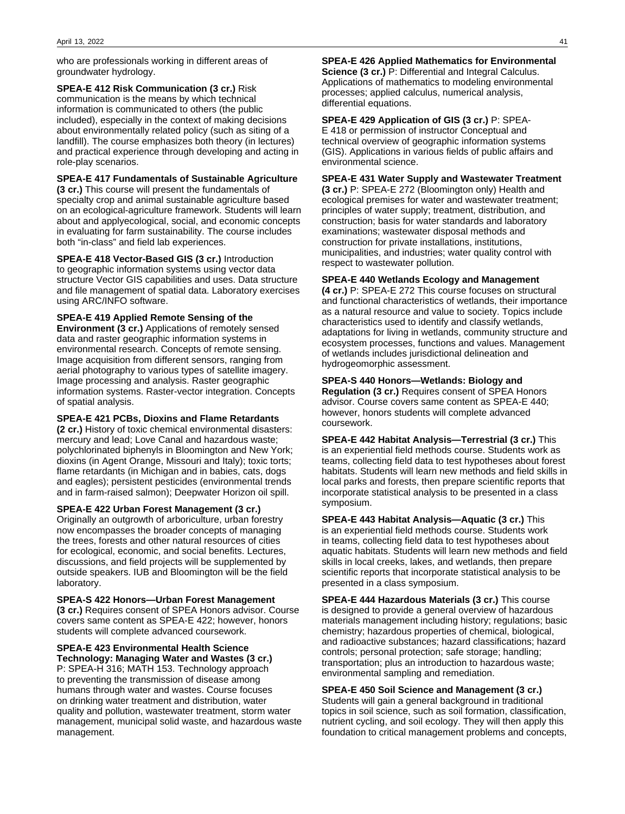who are professionals working in different areas of groundwater hydrology.

**SPEA-E 412 Risk Communication (3 cr.)** Risk communication is the means by which technical information is communicated to others (the public included), especially in the context of making decisions about environmentally related policy (such as siting of a landfill). The course emphasizes both theory (in lectures) and practical experience through developing and acting in role-play scenarios.

**SPEA-E 417 Fundamentals of Sustainable Agriculture (3 cr.)** This course will present the fundamentals of specialty crop and animal sustainable agriculture based on an ecological-agriculture framework. Students will learn about and applyecological, social, and economic concepts in evaluating for farm sustainability. The course includes both "in-class" and field lab experiences.

**SPEA-E 418 Vector-Based GIS (3 cr.)** Introduction to geographic information systems using vector data structure Vector GIS capabilities and uses. Data structure and file management of spatial data. Laboratory exercises using ARC/INFO software.

**SPEA-E 419 Applied Remote Sensing of the Environment (3 cr.)** Applications of remotely sensed data and raster geographic information systems in environmental research. Concepts of remote sensing. Image acquisition from different sensors, ranging from aerial photography to various types of satellite imagery. Image processing and analysis. Raster geographic information systems. Raster-vector integration. Concepts of spatial analysis.

#### **SPEA-E 421 PCBs, Dioxins and Flame Retardants**

**(2 cr.)** History of toxic chemical environmental disasters: mercury and lead; Love Canal and hazardous waste; polychlorinated biphenyls in Bloomington and New York; dioxins (in Agent Orange, Missouri and Italy); toxic torts; flame retardants (in Michigan and in babies, cats, dogs and eagles); persistent pesticides (environmental trends and in farm-raised salmon); Deepwater Horizon oil spill.

**SPEA-E 422 Urban Forest Management (3 cr.)**

Originally an outgrowth of arboriculture, urban forestry now encompasses the broader concepts of managing the trees, forests and other natural resources of cities for ecological, economic, and social benefits. Lectures, discussions, and field projects will be supplemented by outside speakers. IUB and Bloomington will be the field laboratory.

**SPEA-S 422 Honors—Urban Forest Management (3 cr.)** Requires consent of SPEA Honors advisor. Course covers same content as SPEA-E 422; however, honors students will complete advanced coursework.

**SPEA-E 423 Environmental Health Science Technology: Managing Water and Wastes (3 cr.)** P: SPEA-H 316; MATH 153. Technology approach to preventing the transmission of disease among humans through water and wastes. Course focuses on drinking water treatment and distribution, water quality and pollution, wastewater treatment, storm water management, municipal solid waste, and hazardous waste management.

**SPEA-E 426 Applied Mathematics for Environmental Science (3 cr.)** P: Differential and Integral Calculus. Applications of mathematics to modeling environmental processes; applied calculus, numerical analysis, differential equations.

**SPEA-E 429 Application of GIS (3 cr.)** P: SPEA-E 418 or permission of instructor Conceptual and technical overview of geographic information systems (GIS). Applications in various fields of public affairs and environmental science.

**SPEA-E 431 Water Supply and Wastewater Treatment**

**(3 cr.)** P: SPEA-E 272 (Bloomington only) Health and ecological premises for water and wastewater treatment; principles of water supply; treatment, distribution, and construction; basis for water standards and laboratory examinations; wastewater disposal methods and construction for private installations, institutions, municipalities, and industries; water quality control with respect to wastewater pollution.

#### **SPEA-E 440 Wetlands Ecology and Management**

**(4 cr.)** P: SPEA-E 272 This course focuses on structural and functional characteristics of wetlands, their importance as a natural resource and value to society. Topics include characteristics used to identify and classify wetlands, adaptations for living in wetlands, community structure and ecosystem processes, functions and values. Management of wetlands includes jurisdictional delineation and hydrogeomorphic assessment.

#### **SPEA-S 440 Honors—Wetlands: Biology and**

**Regulation (3 cr.)** Requires consent of SPEA Honors advisor. Course covers same content as SPEA-E 440; however, honors students will complete advanced coursework.

**SPEA-E 442 Habitat Analysis—Terrestrial (3 cr.)** This is an experiential field methods course. Students work as teams, collecting field data to test hypotheses about forest habitats. Students will learn new methods and field skills in local parks and forests, then prepare scientific reports that incorporate statistical analysis to be presented in a class symposium.

**SPEA-E 443 Habitat Analysis—Aquatic (3 cr.)** This is an experiential field methods course. Students work in teams, collecting field data to test hypotheses about aquatic habitats. Students will learn new methods and field skills in local creeks, lakes, and wetlands, then prepare scientific reports that incorporate statistical analysis to be presented in a class symposium.

**SPEA-E 444 Hazardous Materials (3 cr.)** This course is designed to provide a general overview of hazardous materials management including history; regulations; basic chemistry; hazardous properties of chemical, biological, and radioactive substances; hazard classifications; hazard controls; personal protection; safe storage; handling; transportation; plus an introduction to hazardous waste; environmental sampling and remediation.

#### **SPEA-E 450 Soil Science and Management (3 cr.)**

Students will gain a general background in traditional topics in soil science, such as soil formation, classification, nutrient cycling, and soil ecology. They will then apply this foundation to critical management problems and concepts,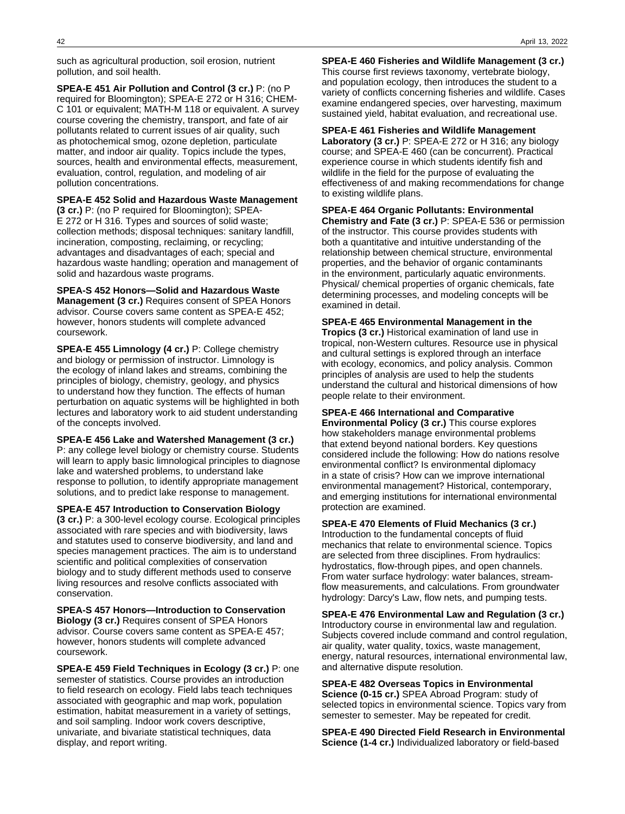such as agricultural production, soil erosion, nutrient pollution, and soil health.

**SPEA-E 451 Air Pollution and Control (3 cr.)** P: (no P required for Bloomington); SPEA-E 272 or H 316; CHEM-C 101 or equivalent; MATH-M 118 or equivalent. A survey course covering the chemistry, transport, and fate of air pollutants related to current issues of air quality, such as photochemical smog, ozone depletion, particulate matter, and indoor air quality. Topics include the types, sources, health and environmental effects, measurement, evaluation, control, regulation, and modeling of air pollution concentrations.

#### **SPEA-E 452 Solid and Hazardous Waste Management**

**(3 cr.)** P: (no P required for Bloomington); SPEA-E 272 or H 316. Types and sources of solid waste; collection methods; disposal techniques: sanitary landfill, incineration, composting, reclaiming, or recycling; advantages and disadvantages of each; special and hazardous waste handling; operation and management of solid and hazardous waste programs.

**SPEA-S 452 Honors—Solid and Hazardous Waste Management (3 cr.)** Requires consent of SPEA Honors advisor. Course covers same content as SPEA-E 452; however, honors students will complete advanced coursework.

**SPEA-E 455 Limnology (4 cr.)** P: College chemistry and biology or permission of instructor. Limnology is the ecology of inland lakes and streams, combining the principles of biology, chemistry, geology, and physics to understand how they function. The effects of human perturbation on aquatic systems will be highlighted in both lectures and laboratory work to aid student understanding of the concepts involved.

**SPEA-E 456 Lake and Watershed Management (3 cr.)** P: any college level biology or chemistry course. Students will learn to apply basic limnological principles to diagnose lake and watershed problems, to understand lake response to pollution, to identify appropriate management solutions, and to predict lake response to management.

**SPEA-E 457 Introduction to Conservation Biology (3 cr.)** P: a 300-level ecology course. Ecological principles associated with rare species and with biodiversity, laws and statutes used to conserve biodiversity, and land and species management practices. The aim is to understand scientific and political complexities of conservation biology and to study different methods used to conserve

living resources and resolve conflicts associated with conservation. **SPEA-S 457 Honors—Introduction to Conservation Biology (3 cr.)** Requires consent of SPEA Honors advisor. Course covers same content as SPEA-E 457;

however, honors students will complete advanced coursework.

**SPEA-E 459 Field Techniques in Ecology (3 cr.)** P: one semester of statistics. Course provides an introduction to field research on ecology. Field labs teach techniques associated with geographic and map work, population estimation, habitat measurement in a variety of settings, and soil sampling. Indoor work covers descriptive, univariate, and bivariate statistical techniques, data display, and report writing.

**SPEA-E 460 Fisheries and Wildlife Management (3 cr.)** This course first reviews taxonomy, vertebrate biology, and population ecology, then introduces the student to a variety of conflicts concerning fisheries and wildlife. Cases examine endangered species, over harvesting, maximum sustained yield, habitat evaluation, and recreational use.

**SPEA-E 461 Fisheries and Wildlife Management Laboratory (3 cr.)** P: SPEA-E 272 or H 316; any biology course; and SPEA-E 460 (can be concurrent). Practical experience course in which students identify fish and wildlife in the field for the purpose of evaluating the effectiveness of and making recommendations for change to existing wildlife plans.

**SPEA-E 464 Organic Pollutants: Environmental Chemistry and Fate (3 cr.)** P: SPEA-E 536 or permission of the instructor. This course provides students with both a quantitative and intuitive understanding of the relationship between chemical structure, environmental properties, and the behavior of organic contaminants in the environment, particularly aquatic environments. Physical/ chemical properties of organic chemicals, fate determining processes, and modeling concepts will be examined in detail.

**SPEA-E 465 Environmental Management in the Tropics (3 cr.)** Historical examination of land use in tropical, non-Western cultures. Resource use in physical and cultural settings is explored through an interface with ecology, economics, and policy analysis. Common principles of analysis are used to help the students understand the cultural and historical dimensions of how people relate to their environment.

**SPEA-E 466 International and Comparative Environmental Policy (3 cr.)** This course explores how stakeholders manage environmental problems that extend beyond national borders. Key questions considered include the following: How do nations resolve environmental conflict? Is environmental diplomacy in a state of crisis? How can we improve international environmental management? Historical, contemporary, and emerging institutions for international environmental protection are examined.

**SPEA-E 470 Elements of Fluid Mechanics (3 cr.)** Introduction to the fundamental concepts of fluid mechanics that relate to environmental science. Topics are selected from three disciplines. From hydraulics: hydrostatics, flow-through pipes, and open channels. From water surface hydrology: water balances, streamflow measurements, and calculations. From groundwater hydrology: Darcy's Law, flow nets, and pumping tests.

**SPEA-E 476 Environmental Law and Regulation (3 cr.)** Introductory course in environmental law and regulation. Subjects covered include command and control regulation, air quality, water quality, toxics, waste management, energy, natural resources, international environmental law, and alternative dispute resolution.

**SPEA-E 482 Overseas Topics in Environmental Science (0-15 cr.)** SPEA Abroad Program: study of selected topics in environmental science. Topics vary from semester to semester. May be repeated for credit.

**SPEA-E 490 Directed Field Research in Environmental Science (1-4 cr.)** Individualized laboratory or field-based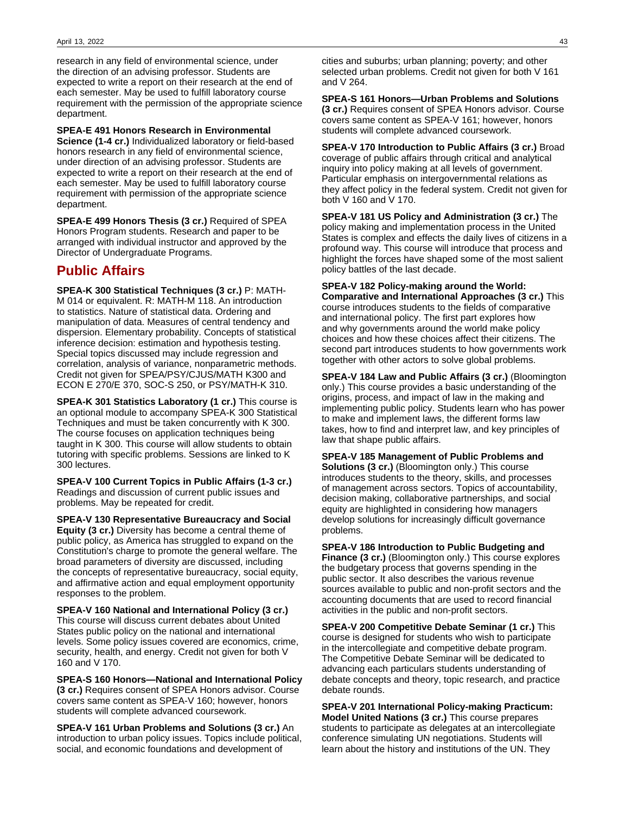research in any field of environmental science, under the direction of an advising professor. Students are expected to write a report on their research at the end of each semester. May be used to fulfill laboratory course requirement with the permission of the appropriate science department.

**SPEA-E 491 Honors Research in Environmental Science (1-4 cr.)** Individualized laboratory or field-based honors research in any field of environmental science, under direction of an advising professor. Students are expected to write a report on their research at the end of each semester. May be used to fulfill laboratory course requirement with permission of the appropriate science department.

**SPEA-E 499 Honors Thesis (3 cr.)** Required of SPEA Honors Program students. Research and paper to be arranged with individual instructor and approved by the Director of Undergraduate Programs.

# **Public Affairs**

**SPEA-K 300 Statistical Techniques (3 cr.)** P: MATH-M 014 or equivalent. R: MATH-M 118. An introduction to statistics. Nature of statistical data. Ordering and manipulation of data. Measures of central tendency and dispersion. Elementary probability. Concepts of statistical inference decision: estimation and hypothesis testing. Special topics discussed may include regression and correlation, analysis of variance, nonparametric methods. Credit not given for SPEA/PSY/CJUS/MATH K300 and ECON E 270/E 370, SOC-S 250, or PSY/MATH-K 310.

**SPEA-K 301 Statistics Laboratory (1 cr.)** This course is an optional module to accompany SPEA-K 300 Statistical Techniques and must be taken concurrently with K 300. The course focuses on application techniques being taught in K 300. This course will allow students to obtain tutoring with specific problems. Sessions are linked to K 300 lectures.

**SPEA-V 100 Current Topics in Public Affairs (1-3 cr.)** Readings and discussion of current public issues and problems. May be repeated for credit.

**SPEA-V 130 Representative Bureaucracy and Social Equity (3 cr.)** Diversity has become a central theme of public policy, as America has struggled to expand on the Constitution's charge to promote the general welfare. The broad parameters of diversity are discussed, including the concepts of representative bureaucracy, social equity, and affirmative action and equal employment opportunity responses to the problem.

**SPEA-V 160 National and International Policy (3 cr.)** This course will discuss current debates about United States public policy on the national and international levels. Some policy issues covered are economics, crime, security, health, and energy. Credit not given for both V 160 and V 170.

**SPEA-S 160 Honors—National and International Policy (3 cr.)** Requires consent of SPEA Honors advisor. Course covers same content as SPEA-V 160; however, honors students will complete advanced coursework.

**SPEA-V 161 Urban Problems and Solutions (3 cr.)** An introduction to urban policy issues. Topics include political, social, and economic foundations and development of

cities and suburbs; urban planning; poverty; and other selected urban problems. Credit not given for both V 161 and V 264.

**SPEA-S 161 Honors—Urban Problems and Solutions (3 cr.)** Requires consent of SPEA Honors advisor. Course covers same content as SPEA-V 161; however, honors students will complete advanced coursework.

**SPEA-V 170 Introduction to Public Affairs (3 cr.)** Broad coverage of public affairs through critical and analytical inquiry into policy making at all levels of government. Particular emphasis on intergovernmental relations as they affect policy in the federal system. Credit not given for both V 160 and V 170.

**SPEA-V 181 US Policy and Administration (3 cr.)** The policy making and implementation process in the United States is complex and effects the daily lives of citizens in a profound way. This course will introduce that process and highlight the forces have shaped some of the most salient policy battles of the last decade.

**SPEA-V 182 Policy-making around the World: Comparative and International Approaches (3 cr.)** This course introduces students to the fields of comparative and international policy. The first part explores how and why governments around the world make policy choices and how these choices affect their citizens. The second part introduces students to how governments work together with other actors to solve global problems.

**SPEA-V 184 Law and Public Affairs (3 cr.)** (Bloomington only.) This course provides a basic understanding of the origins, process, and impact of law in the making and implementing public policy. Students learn who has power to make and implement laws, the different forms law takes, how to find and interpret law, and key principles of law that shape public affairs.

**SPEA-V 185 Management of Public Problems and Solutions (3 cr.)** (Bloomington only.) This course introduces students to the theory, skills, and processes of management across sectors. Topics of accountability, decision making, collaborative partnerships, and social equity are highlighted in considering how managers develop solutions for increasingly difficult governance problems.

**SPEA-V 186 Introduction to Public Budgeting and Finance (3 cr.)** (Bloomington only.) This course explores the budgetary process that governs spending in the public sector. It also describes the various revenue sources available to public and non-profit sectors and the accounting documents that are used to record financial activities in the public and non-profit sectors.

**SPEA-V 200 Competitive Debate Seminar (1 cr.)** This course is designed for students who wish to participate in the intercollegiate and competitive debate program. The Competitive Debate Seminar will be dedicated to advancing each particulars students understanding of debate concepts and theory, topic research, and practice debate rounds.

**SPEA-V 201 International Policy-making Practicum: Model United Nations (3 cr.)** This course prepares students to participate as delegates at an intercollegiate conference simulating UN negotiations. Students will learn about the history and institutions of the UN. They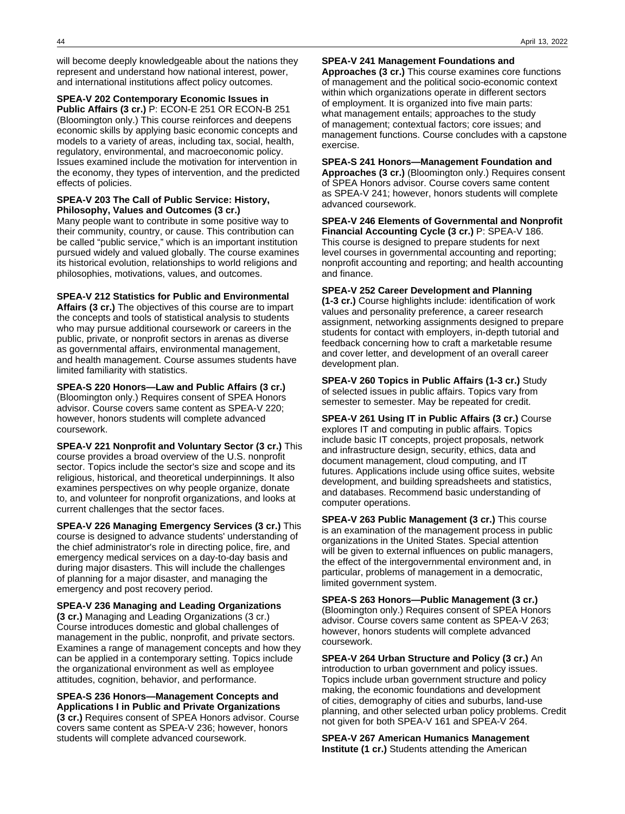will become deeply knowledgeable about the nations they represent and understand how national interest, power, and international institutions affect policy outcomes.

**SPEA-V 202 Contemporary Economic Issues in Public Affairs (3 cr.)** P: ECON-E 251 OR ECON-B 251 (Bloomington only.) This course reinforces and deepens economic skills by applying basic economic concepts and models to a variety of areas, including tax, social, health, regulatory, environmental, and macroeconomic policy. Issues examined include the motivation for intervention in the economy, they types of intervention, and the predicted effects of policies.

#### **SPEA-V 203 The Call of Public Service: History, Philosophy, Values and Outcomes (3 cr.)**

Many people want to contribute in some positive way to their community, country, or cause. This contribution can be called "public service," which is an important institution pursued widely and valued globally. The course examines its historical evolution, relationships to world religions and philosophies, motivations, values, and outcomes.

**SPEA-V 212 Statistics for Public and Environmental**

**Affairs (3 cr.)** The objectives of this course are to impart the concepts and tools of statistical analysis to students who may pursue additional coursework or careers in the public, private, or nonprofit sectors in arenas as diverse as governmental affairs, environmental management, and health management. Course assumes students have limited familiarity with statistics.

**SPEA-S 220 Honors—Law and Public Affairs (3 cr.)** (Bloomington only.) Requires consent of SPEA Honors advisor. Course covers same content as SPEA-V 220; however, honors students will complete advanced coursework.

**SPEA-V 221 Nonprofit and Voluntary Sector (3 cr.)** This course provides a broad overview of the U.S. nonprofit sector. Topics include the sector's size and scope and its religious, historical, and theoretical underpinnings. It also examines perspectives on why people organize, donate to, and volunteer for nonprofit organizations, and looks at current challenges that the sector faces.

**SPEA-V 226 Managing Emergency Services (3 cr.)** This course is designed to advance students' understanding of the chief administrator's role in directing police, fire, and emergency medical services on a day-to-day basis and during major disasters. This will include the challenges of planning for a major disaster, and managing the emergency and post recovery period.

#### **SPEA-V 236 Managing and Leading Organizations**

**(3 cr.)** Managing and Leading Organizations (3 cr.) Course introduces domestic and global challenges of management in the public, nonprofit, and private sectors. Examines a range of management concepts and how they can be applied in a contemporary setting. Topics include the organizational environment as well as employee attitudes, cognition, behavior, and performance.

#### **SPEA-S 236 Honors—Management Concepts and Applications I in Public and Private Organizations**

**(3 cr.)** Requires consent of SPEA Honors advisor. Course covers same content as SPEA-V 236; however, honors students will complete advanced coursework.

**SPEA-V 241 Management Foundations and**

**Approaches (3 cr.)** This course examines core functions of management and the political socio-economic context within which organizations operate in different sectors of employment. It is organized into five main parts: what management entails; approaches to the study of management; contextual factors; core issues; and management functions. Course concludes with a capstone exercise.

#### **SPEA-S 241 Honors—Management Foundation and Approaches (3 cr.)** (Bloomington only.) Requires consent of SPEA Honors advisor. Course covers same content as SPEA-V 241; however, honors students will complete advanced coursework.

**SPEA-V 246 Elements of Governmental and Nonprofit Financial Accounting Cycle (3 cr.)** P: SPEA-V 186. This course is designed to prepare students for next level courses in governmental accounting and reporting; nonprofit accounting and reporting; and health accounting and finance.

#### **SPEA-V 252 Career Development and Planning**

**(1-3 cr.)** Course highlights include: identification of work values and personality preference, a career research assignment, networking assignments designed to prepare students for contact with employers, in-depth tutorial and feedback concerning how to craft a marketable resume and cover letter, and development of an overall career development plan.

**SPEA-V 260 Topics in Public Affairs (1-3 cr.)** Study of selected issues in public affairs. Topics vary from semester to semester. May be repeated for credit.

**SPEA-V 261 Using IT in Public Affairs (3 cr.)** Course explores IT and computing in public affairs. Topics include basic IT concepts, project proposals, network and infrastructure design, security, ethics, data and document management, cloud computing, and IT futures. Applications include using office suites, website development, and building spreadsheets and statistics, and databases. Recommend basic understanding of computer operations.

**SPEA-V 263 Public Management (3 cr.)** This course is an examination of the management process in public organizations in the United States. Special attention will be given to external influences on public managers, the effect of the intergovernmental environment and, in particular, problems of management in a democratic, limited government system.

**SPEA-S 263 Honors—Public Management (3 cr.)** (Bloomington only.) Requires consent of SPEA Honors advisor. Course covers same content as SPEA-V 263; however, honors students will complete advanced coursework.

**SPEA-V 264 Urban Structure and Policy (3 cr.)** An introduction to urban government and policy issues. Topics include urban government structure and policy making, the economic foundations and development of cities, demography of cities and suburbs, land-use planning, and other selected urban policy problems. Credit not given for both SPEA-V 161 and SPEA-V 264.

**SPEA-V 267 American Humanics Management Institute (1 cr.)** Students attending the American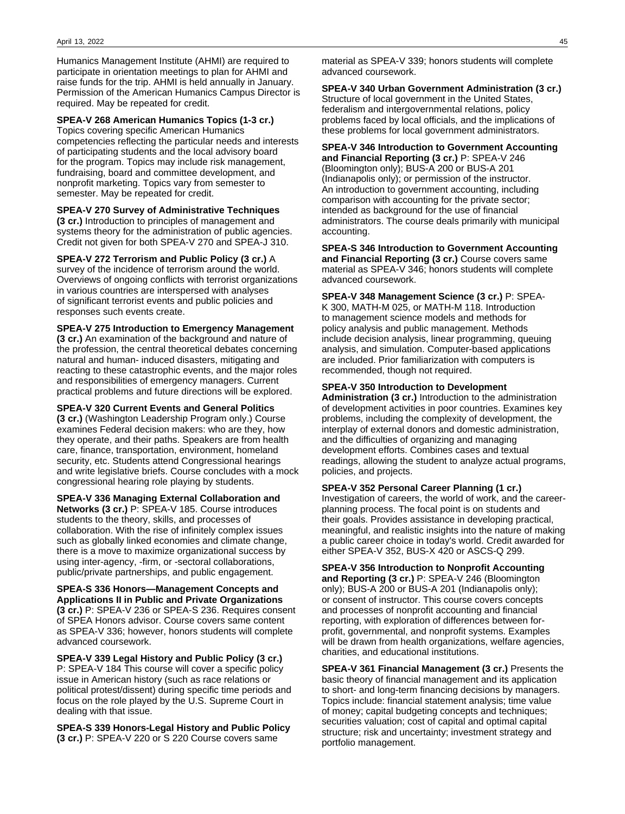Humanics Management Institute (AHMI) are required to participate in orientation meetings to plan for AHMI and raise funds for the trip. AHMI is held annually in January. Permission of the American Humanics Campus Director is required. May be repeated for credit.

**SPEA-V 268 American Humanics Topics (1-3 cr.)** Topics covering specific American Humanics competencies reflecting the particular needs and interests of participating students and the local advisory board for the program. Topics may include risk management, fundraising, board and committee development, and nonprofit marketing. Topics vary from semester to semester. May be repeated for credit.

**SPEA-V 270 Survey of Administrative Techniques (3 cr.)** Introduction to principles of management and systems theory for the administration of public agencies. Credit not given for both SPEA-V 270 and SPEA-J 310.

**SPEA-V 272 Terrorism and Public Policy (3 cr.)** A survey of the incidence of terrorism around the world. Overviews of ongoing conflicts with terrorist organizations in various countries are interspersed with analyses of significant terrorist events and public policies and responses such events create.

**SPEA-V 275 Introduction to Emergency Management (3 cr.)** An examination of the background and nature of the profession, the central theoretical debates concerning natural and human- induced disasters, mitigating and reacting to these catastrophic events, and the major roles and responsibilities of emergency managers. Current practical problems and future directions will be explored.

**SPEA-V 320 Current Events and General Politics (3 cr.)** (Washington Leadership Program only.) Course examines Federal decision makers: who are they, how they operate, and their paths. Speakers are from health care, finance, transportation, environment, homeland security, etc. Students attend Congressional hearings and write legislative briefs. Course concludes with a mock congressional hearing role playing by students.

**SPEA-V 336 Managing External Collaboration and Networks (3 cr.)** P: SPEA-V 185. Course introduces students to the theory, skills, and processes of collaboration. With the rise of infinitely complex issues such as globally linked economies and climate change, there is a move to maximize organizational success by using inter-agency, -firm, or -sectoral collaborations, public/private partnerships, and public engagement.

**SPEA-S 336 Honors—Management Concepts and Applications II in Public and Private Organizations (3 cr.)** P: SPEA-V 236 or SPEA-S 236. Requires consent of SPEA Honors advisor. Course covers same content as SPEA-V 336; however, honors students will complete advanced coursework.

**SPEA-V 339 Legal History and Public Policy (3 cr.)** P: SPEA-V 184 This course will cover a specific policy issue in American history (such as race relations or political protest/dissent) during specific time periods and focus on the role played by the U.S. Supreme Court in dealing with that issue.

**SPEA-S 339 Honors-Legal History and Public Policy (3 cr.)** P: SPEA-V 220 or S 220 Course covers same

material as SPEA-V 339; honors students will complete advanced coursework.

**SPEA-V 340 Urban Government Administration (3 cr.)** Structure of local government in the United States, federalism and intergovernmental relations, policy problems faced by local officials, and the implications of these problems for local government administrators.

**SPEA-V 346 Introduction to Government Accounting and Financial Reporting (3 cr.)** P: SPEA-V 246 (Bloomington only); BUS-A 200 or BUS-A 201 (Indianapolis only); or permission of the instructor. An introduction to government accounting, including comparison with accounting for the private sector; intended as background for the use of financial administrators. The course deals primarily with municipal accounting.

**SPEA-S 346 Introduction to Government Accounting and Financial Reporting (3 cr.)** Course covers same material as SPEA-V 346; honors students will complete advanced coursework.

**SPEA-V 348 Management Science (3 cr.)** P: SPEA-K 300, MATH-M 025, or MATH-M 118. Introduction to management science models and methods for policy analysis and public management. Methods include decision analysis, linear programming, queuing analysis, and simulation. Computer-based applications are included. Prior familiarization with computers is recommended, though not required.

#### **SPEA-V 350 Introduction to Development**

**Administration (3 cr.)** Introduction to the administration of development activities in poor countries. Examines key problems, including the complexity of development, the interplay of external donors and domestic administration, and the difficulties of organizing and managing development efforts. Combines cases and textual readings, allowing the student to analyze actual programs, policies, and projects.

**SPEA-V 352 Personal Career Planning (1 cr.)** Investigation of careers, the world of work, and the careerplanning process. The focal point is on students and their goals. Provides assistance in developing practical, meaningful, and realistic insights into the nature of making a public career choice in today's world. Credit awarded for either SPEA-V 352, BUS-X 420 or ASCS-Q 299.

**SPEA-V 356 Introduction to Nonprofit Accounting and Reporting (3 cr.)** P: SPEA-V 246 (Bloomington only); BUS-A 200 or BUS-A 201 (Indianapolis only); or consent of instructor. This course covers concepts and processes of nonprofit accounting and financial reporting, with exploration of differences between forprofit, governmental, and nonprofit systems. Examples will be drawn from health organizations, welfare agencies, charities, and educational institutions.

**SPEA-V 361 Financial Management (3 cr.)** Presents the basic theory of financial management and its application to short- and long-term financing decisions by managers. Topics include: financial statement analysis; time value of money; capital budgeting concepts and techniques; securities valuation; cost of capital and optimal capital structure; risk and uncertainty; investment strategy and portfolio management.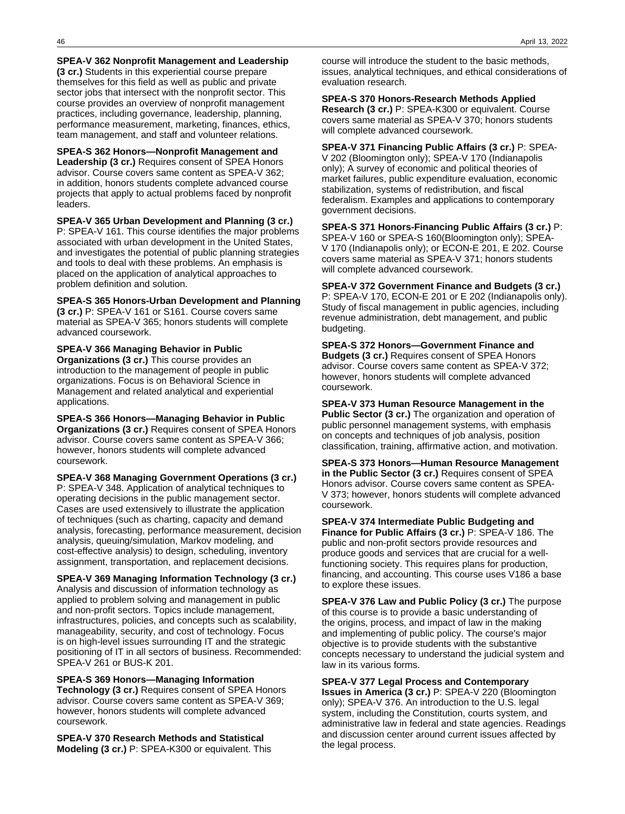**SPEA-V 362 Nonprofit Management and Leadership**

**(3 cr.)** Students in this experiential course prepare themselves for this field as well as public and private sector jobs that intersect with the nonprofit sector. This course provides an overview of nonprofit management practices, including governance, leadership, planning, performance measurement, marketing, finances, ethics, team management, and staff and volunteer relations.

**SPEA-S 362 Honors—Nonprofit Management and Leadership (3 cr.)** Requires consent of SPEA Honors advisor. Course covers same content as SPEA-V 362; in addition, honors students complete advanced course projects that apply to actual problems faced by nonprofit leaders.

**SPEA-V 365 Urban Development and Planning (3 cr.)** P: SPEA-V 161. This course identifies the major problems associated with urban development in the United States, and investigates the potential of public planning strategies and tools to deal with these problems. An emphasis is placed on the application of analytical approaches to problem definition and solution.

**SPEA-S 365 Honors-Urban Development and Planning (3 cr.)** P: SPEA-V 161 or S161. Course covers same material as SPEA-V 365; honors students will complete advanced coursework.

**SPEA-V 366 Managing Behavior in Public Organizations (3 cr.)** This course provides an introduction to the management of people in public organizations. Focus is on Behavioral Science in Management and related analytical and experiential applications.

**SPEA-S 366 Honors—Managing Behavior in Public Organizations (3 cr.)** Requires consent of SPEA Honors advisor. Course covers same content as SPEA-V 366; however, honors students will complete advanced coursework.

**SPEA-V 368 Managing Government Operations (3 cr.)** P: SPEA-V 348. Application of analytical techniques to operating decisions in the public management sector. Cases are used extensively to illustrate the application of techniques (such as charting, capacity and demand analysis, forecasting, performance measurement, decision analysis, queuing/simulation, Markov modeling, and cost-effective analysis) to design, scheduling, inventory assignment, transportation, and replacement decisions.

**SPEA-V 369 Managing Information Technology (3 cr.)** Analysis and discussion of information technology as applied to problem solving and management in public and non-profit sectors. Topics include management, infrastructures, policies, and concepts such as scalability, manageability, security, and cost of technology. Focus is on high-level issues surrounding IT and the strategic positioning of IT in all sectors of business. Recommended: SPEA-V 261 or BUS-K 201.

**SPEA-S 369 Honors—Managing Information Technology (3 cr.)** Requires consent of SPEA Honors advisor. Course covers same content as SPEA-V 369; however, honors students will complete advanced coursework.

**SPEA-V 370 Research Methods and Statistical Modeling (3 cr.)** P: SPEA-K300 or equivalent. This

course will introduce the student to the basic methods, issues, analytical techniques, and ethical considerations of evaluation research.

**SPEA-S 370 Honors-Research Methods Applied Research (3 cr.)** P: SPEA-K300 or equivalent. Course covers same material as SPEA-V 370; honors students will complete advanced coursework.

**SPEA-V 371 Financing Public Affairs (3 cr.)** P: SPEA-V 202 (Bloomington only); SPEA-V 170 (Indianapolis only); A survey of economic and political theories of market failures, public expenditure evaluation, economic stabilization, systems of redistribution, and fiscal federalism. Examples and applications to contemporary government decisions.

**SPEA-S 371 Honors-Financing Public Affairs (3 cr.)** P: SPEA-V 160 or SPEA-S 160(Bloomington only); SPEA-V 170 (Indianapolis only); or ECON-E 201, E 202. Course covers same material as SPEA-V 371; honors students will complete advanced coursework.

**SPEA-V 372 Government Finance and Budgets (3 cr.)** P: SPEA-V 170, ECON-E 201 or E 202 (Indianapolis only). Study of fiscal management in public agencies, including revenue administration, debt management, and public budgeting.

**SPEA-S 372 Honors—Government Finance and Budgets (3 cr.)** Requires consent of SPEA Honors advisor. Course covers same content as SPEA-V 372; however, honors students will complete advanced coursework.

**SPEA-V 373 Human Resource Management in the Public Sector (3 cr.)** The organization and operation of public personnel management systems, with emphasis on concepts and techniques of job analysis, position classification, training, affirmative action, and motivation.

**SPEA-S 373 Honors—Human Resource Management in the Public Sector (3 cr.)** Requires consent of SPEA Honors advisor. Course covers same content as SPEA-V 373; however, honors students will complete advanced coursework.

**SPEA-V 374 Intermediate Public Budgeting and Finance for Public Affairs (3 cr.)** P: SPEA-V 186. The public and non-profit sectors provide resources and produce goods and services that are crucial for a wellfunctioning society. This requires plans for production, financing, and accounting. This course uses V186 a base to explore these issues.

**SPEA-V 376 Law and Public Policy (3 cr.)** The purpose of this course is to provide a basic understanding of the origins, process, and impact of law in the making and implementing of public policy. The course's major objective is to provide students with the substantive concepts necessary to understand the judicial system and law in its various forms.

**SPEA-V 377 Legal Process and Contemporary**

**Issues in America (3 cr.)** P: SPEA-V 220 (Bloomington only); SPEA-V 376. An introduction to the U.S. legal system, including the Constitution, courts system, and administrative law in federal and state agencies. Readings and discussion center around current issues affected by the legal process.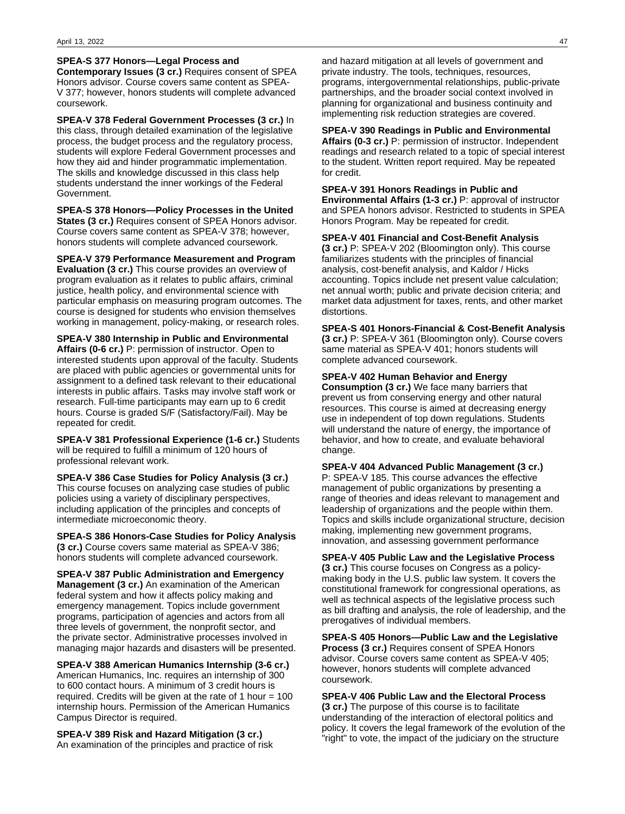#### **SPEA-S 377 Honors—Legal Process and**

**Contemporary Issues (3 cr.)** Requires consent of SPEA Honors advisor. Course covers same content as SPEA-V 377; however, honors students will complete advanced coursework.

**SPEA-V 378 Federal Government Processes (3 cr.)** In this class, through detailed examination of the legislative process, the budget process and the regulatory process, students will explore Federal Government processes and how they aid and hinder programmatic implementation. The skills and knowledge discussed in this class help students understand the inner workings of the Federal Government.

**SPEA-S 378 Honors—Policy Processes in the United States (3 cr.)** Requires consent of SPEA Honors advisor. Course covers same content as SPEA-V 378; however, honors students will complete advanced coursework.

**SPEA-V 379 Performance Measurement and Program Evaluation (3 cr.)** This course provides an overview of program evaluation as it relates to public affairs, criminal justice, health policy, and environmental science with particular emphasis on measuring program outcomes. The course is designed for students who envision themselves working in management, policy-making, or research roles.

**SPEA-V 380 Internship in Public and Environmental Affairs (0-6 cr.)** P: permission of instructor. Open to interested students upon approval of the faculty. Students are placed with public agencies or governmental units for assignment to a defined task relevant to their educational interests in public affairs. Tasks may involve staff work or research. Full-time participants may earn up to 6 credit hours. Course is graded S/F (Satisfactory/Fail). May be repeated for credit.

**SPEA-V 381 Professional Experience (1-6 cr.)** Students will be required to fulfill a minimum of 120 hours of professional relevant work.

**SPEA-V 386 Case Studies for Policy Analysis (3 cr.)** This course focuses on analyzing case studies of public policies using a variety of disciplinary perspectives, including application of the principles and concepts of intermediate microeconomic theory.

**SPEA-S 386 Honors-Case Studies for Policy Analysis (3 cr.)** Course covers same material as SPEA-V 386; honors students will complete advanced coursework.

**SPEA-V 387 Public Administration and Emergency Management (3 cr.)** An examination of the American federal system and how it affects policy making and emergency management. Topics include government programs, participation of agencies and actors from all three levels of government, the nonprofit sector, and the private sector. Administrative processes involved in managing major hazards and disasters will be presented.

**SPEA-V 388 American Humanics Internship (3-6 cr.)** American Humanics, Inc. requires an internship of 300 to 600 contact hours. A minimum of 3 credit hours is required. Credits will be given at the rate of 1 hour = 100 internship hours. Permission of the American Humanics Campus Director is required.

**SPEA-V 389 Risk and Hazard Mitigation (3 cr.)** An examination of the principles and practice of risk

and hazard mitigation at all levels of government and private industry. The tools, techniques, resources, programs, intergovernmental relationships, public-private partnerships, and the broader social context involved in planning for organizational and business continuity and implementing risk reduction strategies are covered.

**SPEA-V 390 Readings in Public and Environmental Affairs (0-3 cr.)** P: permission of instructor. Independent readings and research related to a topic of special interest to the student. Written report required. May be repeated for credit.

#### **SPEA-V 391 Honors Readings in Public and**

**Environmental Affairs (1-3 cr.)** P: approval of instructor and SPEA honors advisor. Restricted to students in SPEA Honors Program. May be repeated for credit.

**SPEA-V 401 Financial and Cost-Benefit Analysis**

**(3 cr.)** P: SPEA-V 202 (Bloomington only). This course familiarizes students with the principles of financial analysis, cost-benefit analysis, and Kaldor / Hicks accounting. Topics include net present value calculation; net annual worth; public and private decision criteria; and market data adjustment for taxes, rents, and other market distortions.

**SPEA-S 401 Honors-Financial & Cost-Benefit Analysis (3 cr.)** P: SPEA-V 361 (Bloomington only). Course covers same material as SPEA-V 401; honors students will complete advanced coursework.

#### **SPEA-V 402 Human Behavior and Energy**

**Consumption (3 cr.)** We face many barriers that prevent us from conserving energy and other natural resources. This course is aimed at decreasing energy use in independent of top down regulations. Students will understand the nature of energy, the importance of behavior, and how to create, and evaluate behavioral change.

#### **SPEA-V 404 Advanced Public Management (3 cr.)**

P: SPEA-V 185. This course advances the effective management of public organizations by presenting a range of theories and ideas relevant to management and leadership of organizations and the people within them. Topics and skills include organizational structure, decision making, implementing new government programs, innovation, and assessing government performance

**SPEA-V 405 Public Law and the Legislative Process (3 cr.)** This course focuses on Congress as a policymaking body in the U.S. public law system. It covers the constitutional framework for congressional operations, as well as technical aspects of the legislative process such as bill drafting and analysis, the role of leadership, and the prerogatives of individual members.

**SPEA-S 405 Honors—Public Law and the Legislative Process (3 cr.)** Requires consent of SPEA Honors advisor. Course covers same content as SPEA-V 405; however, honors students will complete advanced coursework.

**SPEA-V 406 Public Law and the Electoral Process (3 cr.)** The purpose of this course is to facilitate understanding of the interaction of electoral politics and policy. It covers the legal framework of the evolution of the "right" to vote, the impact of the judiciary on the structure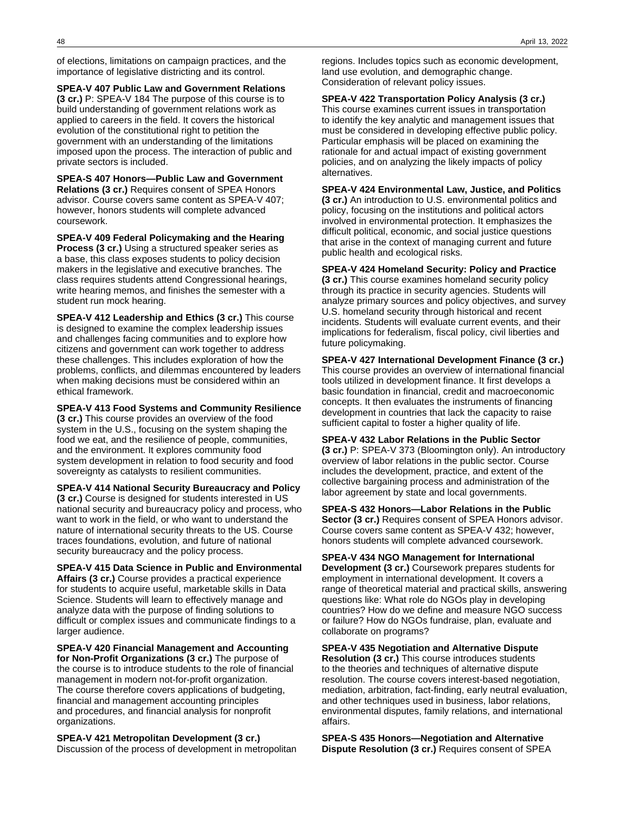of elections, limitations on campaign practices, and the importance of legislative districting and its control.

**SPEA-V 407 Public Law and Government Relations (3 cr.)** P: SPEA-V 184 The purpose of this course is to build understanding of government relations work as applied to careers in the field. It covers the historical evolution of the constitutional right to petition the government with an understanding of the limitations imposed upon the process. The interaction of public and private sectors is included.

**SPEA-S 407 Honors—Public Law and Government Relations (3 cr.)** Requires consent of SPEA Honors advisor. Course covers same content as SPEA-V 407; however, honors students will complete advanced coursework.

**SPEA-V 409 Federal Policymaking and the Hearing Process (3 cr.)** Using a structured speaker series as a base, this class exposes students to policy decision makers in the legislative and executive branches. The class requires students attend Congressional hearings, write hearing memos, and finishes the semester with a student run mock hearing.

**SPEA-V 412 Leadership and Ethics (3 cr.)** This course is designed to examine the complex leadership issues and challenges facing communities and to explore how citizens and government can work together to address these challenges. This includes exploration of how the problems, conflicts, and dilemmas encountered by leaders when making decisions must be considered within an ethical framework.

**SPEA-V 413 Food Systems and Community Resilience (3 cr.)** This course provides an overview of the food system in the U.S., focusing on the system shaping the food we eat, and the resilience of people, communities, and the environment. It explores community food system development in relation to food security and food sovereignty as catalysts to resilient communities.

**SPEA-V 414 National Security Bureaucracy and Policy (3 cr.)** Course is designed for students interested in US national security and bureaucracy policy and process, who want to work in the field, or who want to understand the nature of international security threats to the US. Course traces foundations, evolution, and future of national security bureaucracy and the policy process.

**SPEA-V 415 Data Science in Public and Environmental Affairs (3 cr.)** Course provides a practical experience for students to acquire useful, marketable skills in Data Science. Students will learn to effectively manage and analyze data with the purpose of finding solutions to difficult or complex issues and communicate findings to a larger audience.

**SPEA-V 420 Financial Management and Accounting for Non-Profit Organizations (3 cr.)** The purpose of the course is to introduce students to the role of financial management in modern not-for-profit organization. The course therefore covers applications of budgeting, financial and management accounting principles and procedures, and financial analysis for nonprofit organizations.

**SPEA-V 421 Metropolitan Development (3 cr.)** Discussion of the process of development in metropolitan regions. Includes topics such as economic development, land use evolution, and demographic change. Consideration of relevant policy issues.

**SPEA-V 422 Transportation Policy Analysis (3 cr.)** This course examines current issues in transportation to identify the key analytic and management issues that must be considered in developing effective public policy. Particular emphasis will be placed on examining the rationale for and actual impact of existing government policies, and on analyzing the likely impacts of policy alternatives.

**SPEA-V 424 Environmental Law, Justice, and Politics (3 cr.)** An introduction to U.S. environmental politics and policy, focusing on the institutions and political actors involved in environmental protection. It emphasizes the difficult political, economic, and social justice questions that arise in the context of managing current and future public health and ecological risks.

**SPEA-V 424 Homeland Security: Policy and Practice (3 cr.)** This course examines homeland security policy through its practice in security agencies. Students will analyze primary sources and policy objectives, and survey U.S. homeland security through historical and recent incidents. Students will evaluate current events, and their implications for federalism, fiscal policy, civil liberties and future policymaking.

**SPEA-V 427 International Development Finance (3 cr.)** This course provides an overview of international financial tools utilized in development finance. It first develops a basic foundation in financial, credit and macroeconomic concepts. It then evaluates the instruments of financing development in countries that lack the capacity to raise sufficient capital to foster a higher quality of life.

**SPEA-V 432 Labor Relations in the Public Sector (3 cr.)** P: SPEA-V 373 (Bloomington only). An introductory overview of labor relations in the public sector. Course includes the development, practice, and extent of the collective bargaining process and administration of the labor agreement by state and local governments.

**SPEA-S 432 Honors—Labor Relations in the Public Sector (3 cr.)** Requires consent of SPEA Honors advisor. Course covers same content as SPEA-V 432; however, honors students will complete advanced coursework.

**SPEA-V 434 NGO Management for International Development (3 cr.)** Coursework prepares students for employment in international development. It covers a range of theoretical material and practical skills, answering questions like: What role do NGOs play in developing countries? How do we define and measure NGO success or failure? How do NGOs fundraise, plan, evaluate and collaborate on programs?

**SPEA-V 435 Negotiation and Alternative Dispute Resolution (3 cr.)** This course introduces students to the theories and techniques of alternative dispute resolution. The course covers interest-based negotiation, mediation, arbitration, fact-finding, early neutral evaluation, and other techniques used in business, labor relations, environmental disputes, family relations, and international affairs.

**SPEA-S 435 Honors—Negotiation and Alternative Dispute Resolution (3 cr.)** Requires consent of SPEA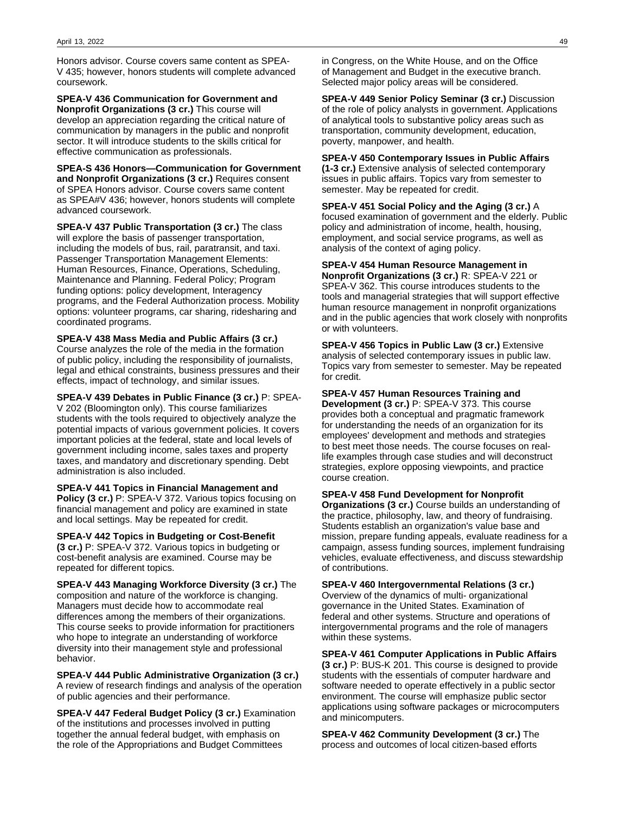Honors advisor. Course covers same content as SPEA-V 435; however, honors students will complete advanced coursework.

**SPEA-V 436 Communication for Government and Nonprofit Organizations (3 cr.)** This course will develop an appreciation regarding the critical nature of communication by managers in the public and nonprofit sector. It will introduce students to the skills critical for effective communication as professionals.

**SPEA-S 436 Honors—Communication for Government and Nonprofit Organizations (3 cr.)** Requires consent of SPEA Honors advisor. Course covers same content as SPEA#V 436; however, honors students will complete advanced coursework.

**SPEA-V 437 Public Transportation (3 cr.)** The class will explore the basis of passenger transportation, including the models of bus, rail, paratransit, and taxi. Passenger Transportation Management Elements: Human Resources, Finance, Operations, Scheduling, Maintenance and Planning. Federal Policy; Program funding options: policy development, Interagency programs, and the Federal Authorization process. Mobility options: volunteer programs, car sharing, ridesharing and coordinated programs.

**SPEA-V 438 Mass Media and Public Affairs (3 cr.)** Course analyzes the role of the media in the formation of public policy, including the responsibility of journalists, legal and ethical constraints, business pressures and their effects, impact of technology, and similar issues.

**SPEA-V 439 Debates in Public Finance (3 cr.)** P: SPEA-V 202 (Bloomington only). This course familiarizes students with the tools required to objectively analyze the potential impacts of various government policies. It covers important policies at the federal, state and local levels of government including income, sales taxes and property taxes, and mandatory and discretionary spending. Debt administration is also included.

**SPEA-V 441 Topics in Financial Management and Policy (3 cr.)** P: SPEA-V 372. Various topics focusing on financial management and policy are examined in state and local settings. May be repeated for credit.

**SPEA-V 442 Topics in Budgeting or Cost-Benefit (3 cr.)** P: SPEA-V 372. Various topics in budgeting or cost-benefit analysis are examined. Course may be repeated for different topics.

**SPEA-V 443 Managing Workforce Diversity (3 cr.)** The composition and nature of the workforce is changing. Managers must decide how to accommodate real differences among the members of their organizations. This course seeks to provide information for practitioners who hope to integrate an understanding of workforce diversity into their management style and professional behavior.

**SPEA-V 444 Public Administrative Organization (3 cr.)** A review of research findings and analysis of the operation of public agencies and their performance.

**SPEA-V 447 Federal Budget Policy (3 cr.)** Examination of the institutions and processes involved in putting together the annual federal budget, with emphasis on the role of the Appropriations and Budget Committees

in Congress, on the White House, and on the Office of Management and Budget in the executive branch. Selected major policy areas will be considered.

**SPEA-V 449 Senior Policy Seminar (3 cr.)** Discussion of the role of policy analysts in government. Applications of analytical tools to substantive policy areas such as transportation, community development, education, poverty, manpower, and health.

**SPEA-V 450 Contemporary Issues in Public Affairs (1-3 cr.)** Extensive analysis of selected contemporary issues in public affairs. Topics vary from semester to semester. May be repeated for credit.

**SPEA-V 451 Social Policy and the Aging (3 cr.)** A focused examination of government and the elderly. Public policy and administration of income, health, housing, employment, and social service programs, as well as analysis of the context of aging policy.

**SPEA-V 454 Human Resource Management in Nonprofit Organizations (3 cr.)** R: SPEA-V 221 or SPEA-V 362. This course introduces students to the tools and managerial strategies that will support effective human resource management in nonprofit organizations and in the public agencies that work closely with nonprofits or with volunteers.

**SPEA-V 456 Topics in Public Law (3 cr.)** Extensive analysis of selected contemporary issues in public law. Topics vary from semester to semester. May be repeated for credit.

**SPEA-V 457 Human Resources Training and**

**Development (3 cr.)** P: SPEA-V 373. This course provides both a conceptual and pragmatic framework for understanding the needs of an organization for its employees' development and methods and strategies to best meet those needs. The course focuses on reallife examples through case studies and will deconstruct strategies, explore opposing viewpoints, and practice course creation.

**SPEA-V 458 Fund Development for Nonprofit**

**Organizations (3 cr.)** Course builds an understanding of the practice, philosophy, law, and theory of fundraising. Students establish an organization's value base and mission, prepare funding appeals, evaluate readiness for a campaign, assess funding sources, implement fundraising vehicles, evaluate effectiveness, and discuss stewardship of contributions.

**SPEA-V 460 Intergovernmental Relations (3 cr.)** Overview of the dynamics of multi- organizational governance in the United States. Examination of federal and other systems. Structure and operations of intergovernmental programs and the role of managers within these systems.

**SPEA-V 461 Computer Applications in Public Affairs (3 cr.)** P: BUS-K 201. This course is designed to provide students with the essentials of computer hardware and software needed to operate effectively in a public sector environment. The course will emphasize public sector applications using software packages or microcomputers and minicomputers.

**SPEA-V 462 Community Development (3 cr.)** The process and outcomes of local citizen-based efforts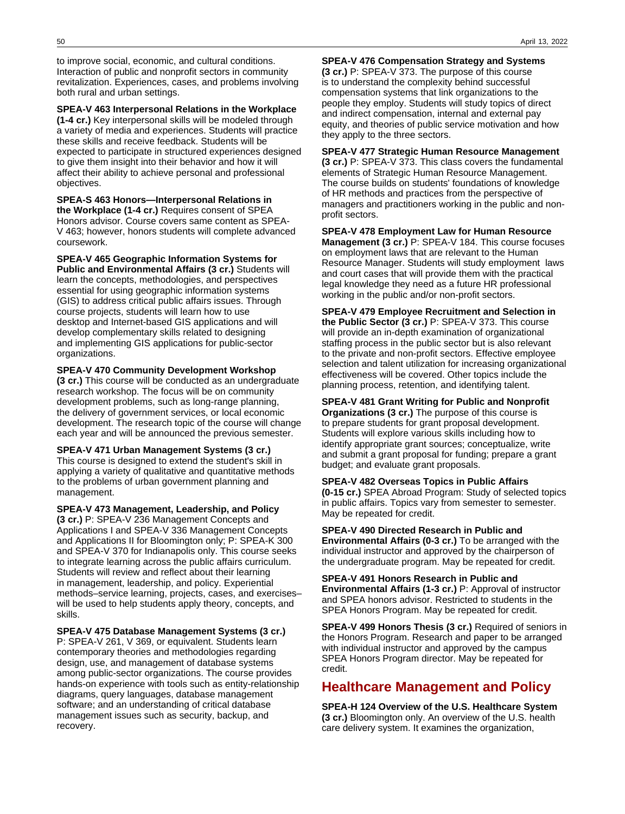to improve social, economic, and cultural conditions. Interaction of public and nonprofit sectors in community revitalization. Experiences, cases, and problems involving both rural and urban settings.

**SPEA-V 463 Interpersonal Relations in the Workplace (1-4 cr.)** Key interpersonal skills will be modeled through a variety of media and experiences. Students will practice these skills and receive feedback. Students will be expected to participate in structured experiences designed to give them insight into their behavior and how it will affect their ability to achieve personal and professional objectives.

**SPEA-S 463 Honors—Interpersonal Relations in the Workplace (1-4 cr.)** Requires consent of SPEA Honors advisor. Course covers same content as SPEA-V 463; however, honors students will complete advanced coursework.

**SPEA-V 465 Geographic Information Systems for Public and Environmental Affairs (3 cr.)** Students will learn the concepts, methodologies, and perspectives essential for using geographic information systems (GIS) to address critical public affairs issues. Through course projects, students will learn how to use desktop and Internet-based GIS applications and will develop complementary skills related to designing and implementing GIS applications for public-sector organizations.

**SPEA-V 470 Community Development Workshop**

**(3 cr.)** This course will be conducted as an undergraduate research workshop. The focus will be on community development problems, such as long-range planning, the delivery of government services, or local economic development. The research topic of the course will change each year and will be announced the previous semester.

**SPEA-V 471 Urban Management Systems (3 cr.)** This course is designed to extend the student's skill in applying a variety of qualitative and quantitative methods to the problems of urban government planning and management.

**SPEA-V 473 Management, Leadership, and Policy (3 cr.)** P: SPEA-V 236 Management Concepts and Applications I and SPEA-V 336 Management Concepts and Applications II for Bloomington only; P: SPEA-K 300 and SPEA-V 370 for Indianapolis only. This course seeks to integrate learning across the public affairs curriculum. Students will review and reflect about their learning in management, leadership, and policy. Experiential methods–service learning, projects, cases, and exercises– will be used to help students apply theory, concepts, and skills.

**SPEA-V 475 Database Management Systems (3 cr.)** P: SPEA-V 261, V 369, or equivalent. Students learn contemporary theories and methodologies regarding design, use, and management of database systems among public-sector organizations. The course provides hands-on experience with tools such as entity-relationship diagrams, query languages, database management software; and an understanding of critical database management issues such as security, backup, and recovery.

**SPEA-V 476 Compensation Strategy and Systems (3 cr.)** P: SPEA-V 373. The purpose of this course is to understand the complexity behind successful compensation systems that link organizations to the people they employ. Students will study topics of direct and indirect compensation, internal and external pay equity, and theories of public service motivation and how they apply to the three sectors.

#### **SPEA-V 477 Strategic Human Resource Management**

**(3 cr.)** P: SPEA-V 373. This class covers the fundamental elements of Strategic Human Resource Management. The course builds on students' foundations of knowledge of HR methods and practices from the perspective of managers and practitioners working in the public and nonprofit sectors.

**SPEA-V 478 Employment Law for Human Resource Management (3 cr.)** P: SPEA-V 184. This course focuses on employment laws that are relevant to the Human Resource Manager. Students will study employment laws and court cases that will provide them with the practical legal knowledge they need as a future HR professional working in the public and/or non-profit sectors.

**SPEA-V 479 Employee Recruitment and Selection in the Public Sector (3 cr.)** P: SPEA-V 373. This course will provide an in-depth examination of organizational staffing process in the public sector but is also relevant to the private and non-profit sectors. Effective employee selection and talent utilization for increasing organizational effectiveness will be covered. Other topics include the planning process, retention, and identifying talent.

**SPEA-V 481 Grant Writing for Public and Nonprofit Organizations (3 cr.)** The purpose of this course is to prepare students for grant proposal development. Students will explore various skills including how to identify appropriate grant sources; conceptualize, write and submit a grant proposal for funding; prepare a grant budget; and evaluate grant proposals.

**SPEA-V 482 Overseas Topics in Public Affairs (0-15 cr.)** SPEA Abroad Program: Study of selected topics in public affairs. Topics vary from semester to semester. May be repeated for credit.

**SPEA-V 490 Directed Research in Public and Environmental Affairs (0-3 cr.)** To be arranged with the individual instructor and approved by the chairperson of the undergraduate program. May be repeated for credit.

**SPEA-V 491 Honors Research in Public and Environmental Affairs (1-3 cr.)** P: Approval of instructor and SPEA honors advisor. Restricted to students in the SPEA Honors Program. May be repeated for credit.

**SPEA-V 499 Honors Thesis (3 cr.)** Required of seniors in the Honors Program. Research and paper to be arranged with individual instructor and approved by the campus SPEA Honors Program director. May be repeated for credit.

# **Healthcare Management and Policy**

**SPEA-H 124 Overview of the U.S. Healthcare System (3 cr.)** Bloomington only. An overview of the U.S. health care delivery system. It examines the organization,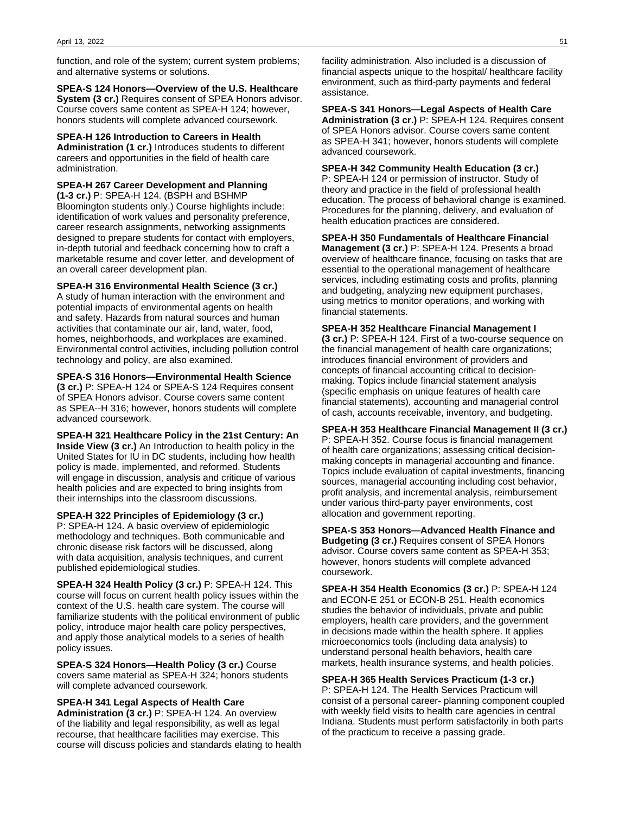function, and role of the system; current system problems; and alternative systems or solutions.

**SPEA-S 124 Honors—Overview of the U.S. Healthcare System (3 cr.)** Requires consent of SPEA Honors advisor. Course covers same content as SPEA-H 124; however, honors students will complete advanced coursework.

**SPEA-H 126 Introduction to Careers in Health Administration (1 cr.)** Introduces students to different careers and opportunities in the field of health care administration.

**SPEA-H 267 Career Development and Planning (1-3 cr.)** P: SPEA-H 124. (BSPH and BSHMP Bloomington students only.) Course highlights include: identification of work values and personality preference, career research assignments, networking assignments designed to prepare students for contact with employers, in-depth tutorial and feedback concerning how to craft a marketable resume and cover letter, and development of an overall career development plan.

**SPEA-H 316 Environmental Health Science (3 cr.)** A study of human interaction with the environment and potential impacts of environmental agents on health and safety. Hazards from natural sources and human activities that contaminate our air, land, water, food, homes, neighborhoods, and workplaces are examined. Environmental control activities, including pollution control technology and policy, are also examined.

**SPEA-S 316 Honors—Environmental Health Science (3 cr.)** P: SPEA-H 124 or SPEA-S 124 Requires consent of SPEA Honors advisor. Course covers same content as SPEA--H 316; however, honors students will complete advanced coursework.

**SPEA-H 321 Healthcare Policy in the 21st Century: An Inside View (3 cr.)** An Introduction to health policy in the United States for IU in DC students, including how health policy is made, implemented, and reformed. Students will engage in discussion, analysis and critique of various health policies and are expected to bring insights from their internships into the classroom discussions.

**SPEA-H 322 Principles of Epidemiology (3 cr.)**

P: SPEA-H 124. A basic overview of epidemiologic methodology and techniques. Both communicable and chronic disease risk factors will be discussed, along with data acquisition, analysis techniques, and current published epidemiological studies.

**SPEA-H 324 Health Policy (3 cr.)** P: SPEA-H 124. This course will focus on current health policy issues within the context of the U.S. health care system. The course will familiarize students with the political environment of public policy, introduce major health care policy perspectives, and apply those analytical models to a series of health policy issues.

**SPEA-S 324 Honors—Health Policy (3 cr.)** Course covers same material as SPEA-H 324; honors students will complete advanced coursework.

**SPEA-H 341 Legal Aspects of Health Care Administration (3 cr.)** P: SPEA-H 124. An overview of the liability and legal responsibility, as well as legal recourse, that healthcare facilities may exercise. This course will discuss policies and standards elating to health

facility administration. Also included is a discussion of financial aspects unique to the hospital/ healthcare facility environment, such as third-party payments and federal assistance.

**SPEA-S 341 Honors—Legal Aspects of Health Care Administration (3 cr.)** P: SPEA-H 124. Requires consent of SPEA Honors advisor. Course covers same content as SPEA-H 341; however, honors students will complete advanced coursework.

**SPEA-H 342 Community Health Education (3 cr.)** P: SPEA-H 124 or permission of instructor. Study of theory and practice in the field of professional health education. The process of behavioral change is examined. Procedures for the planning, delivery, and evaluation of health education practices are considered.

**SPEA-H 350 Fundamentals of Healthcare Financial**

**Management (3 cr.)** P: SPEA-H 124. Presents a broad overview of healthcare finance, focusing on tasks that are essential to the operational management of healthcare services, including estimating costs and profits, planning and budgeting, analyzing new equipment purchases, using metrics to monitor operations, and working with financial statements.

#### **SPEA-H 352 Healthcare Financial Management I**

**(3 cr.)** P: SPEA-H 124. First of a two-course sequence on the financial management of health care organizations; introduces financial environment of providers and concepts of financial accounting critical to decisionmaking. Topics include financial statement analysis (specific emphasis on unique features of health care financial statements), accounting and managerial control of cash, accounts receivable, inventory, and budgeting.

**SPEA-H 353 Healthcare Financial Management II (3 cr.)** P: SPEA-H 352. Course focus is financial management of health care organizations; assessing critical decisionmaking concepts in managerial accounting and finance. Topics include evaluation of capital investments, financing sources, managerial accounting including cost behavior, profit analysis, and incremental analysis, reimbursement under various third-party payer environments, cost allocation and government reporting.

**SPEA-S 353 Honors—Advanced Health Finance and Budgeting (3 cr.)** Requires consent of SPEA Honors advisor. Course covers same content as SPEA-H 353; however, honors students will complete advanced coursework.

**SPEA-H 354 Health Economics (3 cr.)** P: SPEA-H 124 and ECON-E 251 or ECON-B 251. Health economics studies the behavior of individuals, private and public employers, health care providers, and the government in decisions made within the health sphere. It applies microeconomics tools (including data analysis) to understand personal health behaviors, health care markets, health insurance systems, and health policies.

**SPEA-H 365 Health Services Practicum (1-3 cr.)** P: SPEA-H 124. The Health Services Practicum will consist of a personal career- planning component coupled with weekly field visits to health care agencies in central Indiana. Students must perform satisfactorily in both parts of the practicum to receive a passing grade.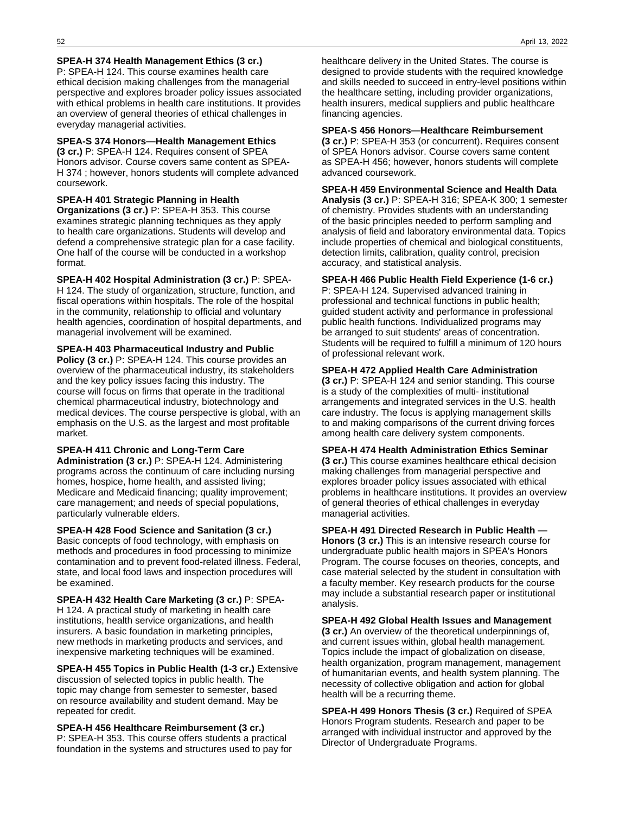#### **SPEA-H 374 Health Management Ethics (3 cr.)**

P: SPEA-H 124. This course examines health care ethical decision making challenges from the managerial perspective and explores broader policy issues associated with ethical problems in health care institutions. It provides an overview of general theories of ethical challenges in everyday managerial activities.

#### **SPEA-S 374 Honors—Health Management Ethics**

**(3 cr.)** P: SPEA-H 124. Requires consent of SPEA Honors advisor. Course covers same content as SPEA-H 374 ; however, honors students will complete advanced coursework.

#### **SPEA-H 401 Strategic Planning in Health**

**Organizations (3 cr.)** P: SPEA-H 353. This course examines strategic planning techniques as they apply to health care organizations. Students will develop and defend a comprehensive strategic plan for a case facility. One half of the course will be conducted in a workshop format.

**SPEA-H 402 Hospital Administration (3 cr.)** P: SPEA-H 124. The study of organization, structure, function, and fiscal operations within hospitals. The role of the hospital in the community, relationship to official and voluntary health agencies, coordination of hospital departments, and managerial involvement will be examined.

**SPEA-H 403 Pharmaceutical Industry and Public Policy (3 cr.)** P: SPEA-H 124. This course provides an overview of the pharmaceutical industry, its stakeholders and the key policy issues facing this industry. The course will focus on firms that operate in the traditional chemical pharmaceutical industry, biotechnology and medical devices. The course perspective is global, with an emphasis on the U.S. as the largest and most profitable market.

#### **SPEA-H 411 Chronic and Long-Term Care**

**Administration (3 cr.)** P: SPEA-H 124. Administering programs across the continuum of care including nursing homes, hospice, home health, and assisted living; Medicare and Medicaid financing; quality improvement; care management; and needs of special populations, particularly vulnerable elders.

**SPEA-H 428 Food Science and Sanitation (3 cr.)** Basic concepts of food technology, with emphasis on methods and procedures in food processing to minimize contamination and to prevent food-related illness. Federal, state, and local food laws and inspection procedures will be examined.

**SPEA-H 432 Health Care Marketing (3 cr.)** P: SPEA-H 124. A practical study of marketing in health care institutions, health service organizations, and health insurers. A basic foundation in marketing principles, new methods in marketing products and services, and inexpensive marketing techniques will be examined.

**SPEA-H 455 Topics in Public Health (1-3 cr.)** Extensive discussion of selected topics in public health. The topic may change from semester to semester, based on resource availability and student demand. May be repeated for credit.

#### **SPEA-H 456 Healthcare Reimbursement (3 cr.)**

P: SPEA-H 353. This course offers students a practical foundation in the systems and structures used to pay for healthcare delivery in the United States. The course is designed to provide students with the required knowledge and skills needed to succeed in entry-level positions within the healthcare setting, including provider organizations, health insurers, medical suppliers and public healthcare financing agencies.

#### **SPEA-S 456 Honors—Healthcare Reimbursement**

**(3 cr.)** P: SPEA-H 353 (or concurrent). Requires consent of SPEA Honors advisor. Course covers same content as SPEA-H 456; however, honors students will complete advanced coursework.

**SPEA-H 459 Environmental Science and Health Data Analysis (3 cr.)** P: SPEA-H 316; SPEA-K 300; 1 semester of chemistry. Provides students with an understanding of the basic principles needed to perform sampling and analysis of field and laboratory environmental data. Topics include properties of chemical and biological constituents, detection limits, calibration, quality control, precision accuracy, and statistical analysis.

#### **SPEA-H 466 Public Health Field Experience (1-6 cr.)**

P: SPEA-H 124. Supervised advanced training in professional and technical functions in public health; guided student activity and performance in professional public health functions. Individualized programs may be arranged to suit students' areas of concentration. Students will be required to fulfill a minimum of 120 hours of professional relevant work.

#### **SPEA-H 472 Applied Health Care Administration**

**(3 cr.)** P: SPEA-H 124 and senior standing. This course is a study of the complexities of multi- institutional arrangements and integrated services in the U.S. health care industry. The focus is applying management skills to and making comparisons of the current driving forces among health care delivery system components.

#### **SPEA-H 474 Health Administration Ethics Seminar (3 cr.)** This course examines healthcare ethical decision

making challenges from managerial perspective and explores broader policy issues associated with ethical problems in healthcare institutions. It provides an overview of general theories of ethical challenges in everyday managerial activities.

**SPEA-H 491 Directed Research in Public Health — Honors (3 cr.)** This is an intensive research course for undergraduate public health majors in SPEA's Honors Program. The course focuses on theories, concepts, and case material selected by the student in consultation with a faculty member. Key research products for the course may include a substantial research paper or institutional analysis.

**SPEA-H 492 Global Health Issues and Management (3 cr.)** An overview of the theoretical underpinnings of, and current issues within, global health management. Topics include the impact of globalization on disease, health organization, program management, management of humanitarian events, and health system planning. The necessity of collective obligation and action for global health will be a recurring theme.

**SPEA-H 499 Honors Thesis (3 cr.)** Required of SPEA Honors Program students. Research and paper to be arranged with individual instructor and approved by the Director of Undergraduate Programs.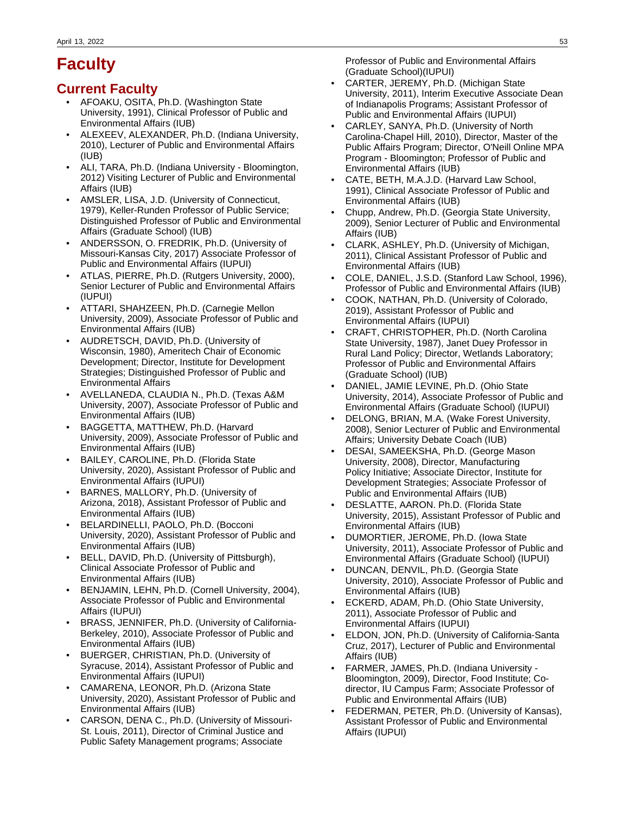# **Faculty**

# **Current Faculty**

- AFOAKU, OSITA, Ph.D. (Washington State University, 1991), Clinical Professor of Public and Environmental Affairs (IUB)
- ALEXEEV, ALEXANDER, Ph.D. (Indiana University, 2010), Lecturer of Public and Environmental Affairs (IUB)
- ALI, TARA, Ph.D. (Indiana University Bloomington, 2012) Visiting Lecturer of Public and Environmental Affairs (IUB)
- AMSLER, LISA, J.D. (University of Connecticut, 1979), Keller-Runden Professor of Public Service; Distinguished Professor of Public and Environmental Affairs (Graduate School) (IUB)
- ANDERSSON, O. FREDRIK, Ph.D. (University of Missouri-Kansas City, 2017) Associate Professor of Public and Environmental Affairs (IUPUI)
- ATLAS, PIERRE, Ph.D. (Rutgers University, 2000), Senior Lecturer of Public and Environmental Affairs (IUPUI)
- ATTARI, SHAHZEEN, Ph.D. (Carnegie Mellon University, 2009), Associate Professor of Public and Environmental Affairs (IUB)
- AUDRETSCH, DAVID, Ph.D. (University of Wisconsin, 1980), Ameritech Chair of Economic Development; Director, Institute for Development Strategies; Distinguished Professor of Public and Environmental Affairs
- AVELLANEDA, CLAUDIA N., Ph.D. (Texas A&M University, 2007), Associate Professor of Public and Environmental Affairs (IUB)
- BAGGETTA, MATTHEW, Ph.D. (Harvard University, 2009), Associate Professor of Public and Environmental Affairs (IUB)
- BAILEY, CAROLINE, Ph.D. (Florida State University, 2020), Assistant Professor of Public and Environmental Affairs (IUPUI)
- BARNES, MALLORY, Ph.D. (University of Arizona, 2018), Assistant Professor of Public and Environmental Affairs (IUB)
- BELARDINELLI, PAOLO, Ph.D. (Bocconi University, 2020), Assistant Professor of Public and Environmental Affairs (IUB)
- BELL, DAVID, Ph.D. (University of Pittsburgh), Clinical Associate Professor of Public and Environmental Affairs (IUB)
- BENJAMIN, LEHN, Ph.D. (Cornell University, 2004), Associate Professor of Public and Environmental Affairs (IUPUI)
- BRASS, JENNIFER, Ph.D. (University of California-Berkeley, 2010), Associate Professor of Public and Environmental Affairs (IUB)
- BUERGER, CHRISTIAN, Ph.D. (University of Syracuse, 2014), Assistant Professor of Public and Environmental Affairs (IUPUI)
- CAMARENA, LEONOR, Ph.D. (Arizona State University, 2020), Assistant Professor of Public and Environmental Affairs (IUB)
- CARSON, DENA C., Ph.D. (University of Missouri-St. Louis, 2011), Director of Criminal Justice and Public Safety Management programs; Associate

Professor of Public and Environmental Affairs (Graduate School)(IUPUI)

- CARTER, JEREMY, Ph.D. (Michigan State University, 2011), Interim Executive Associate Dean of Indianapolis Programs; Assistant Professor of Public and Environmental Affairs (IUPUI)
- CARLEY, SANYA, Ph.D. (University of North Carolina-Chapel Hill, 2010), Director, Master of the Public Affairs Program; Director, O'Neill Online MPA Program - Bloomington; Professor of Public and Environmental Affairs (IUB)
- CATE, BETH, M.A.J.D. (Harvard Law School, 1991), Clinical Associate Professor of Public and Environmental Affairs (IUB)
- Chupp, Andrew, Ph.D. (Georgia State University, 2009), Senior Lecturer of Public and Environmental Affairs (IUB)
- CLARK, ASHLEY, Ph.D. (University of Michigan, 2011), Clinical Assistant Professor of Public and Environmental Affairs (IUB)
- COLE, DANIEL, J.S.D. (Stanford Law School, 1996), Professor of Public and Environmental Affairs (IUB)
- COOK, NATHAN, Ph.D. (University of Colorado, 2019), Assistant Professor of Public and Environmental Affairs (IUPUI)
- CRAFT, CHRISTOPHER, Ph.D. (North Carolina State University, 1987), Janet Duey Professor in Rural Land Policy; Director, Wetlands Laboratory; Professor of Public and Environmental Affairs (Graduate School) (IUB)
- DANIEL, JAMIE LEVINE, Ph.D. (Ohio State University, 2014), Associate Professor of Public and Environmental Affairs (Graduate School) (IUPUI)
- DELONG, BRIAN, M.A. (Wake Forest University, 2008), Senior Lecturer of Public and Environmental Affairs; University Debate Coach (IUB)
- DESAI, SAMEEKSHA, Ph.D. (George Mason University, 2008), Director, Manufacturing Policy Initiative; Associate Director, Institute for Development Strategies; Associate Professor of Public and Environmental Affairs (IUB)
- DESLATTE, AARON. Ph.D. (Florida State University, 2015), Assistant Professor of Public and Environmental Affairs (IUB)
- DUMORTIER, JEROME, Ph.D. (Iowa State University, 2011), Associate Professor of Public and Environmental Affairs (Graduate School) (IUPUI)
- DUNCAN, DENVIL, Ph.D. (Georgia State University, 2010), Associate Professor of Public and Environmental Affairs (IUB)
- ECKERD, ADAM, Ph.D. (Ohio State University, 2011), Associate Professor of Public and Environmental Affairs (IUPUI)
- ELDON, JON, Ph.D. (University of California-Santa Cruz, 2017), Lecturer of Public and Environmental Affairs (IUB)
- FARMER, JAMES, Ph.D. (Indiana University Bloomington, 2009), Director, Food Institute; Codirector, IU Campus Farm; Associate Professor of Public and Environmental Affairs (IUB)
- FEDERMAN, PETER, Ph.D. (University of Kansas), Assistant Professor of Public and Environmental Affairs (IUPUI)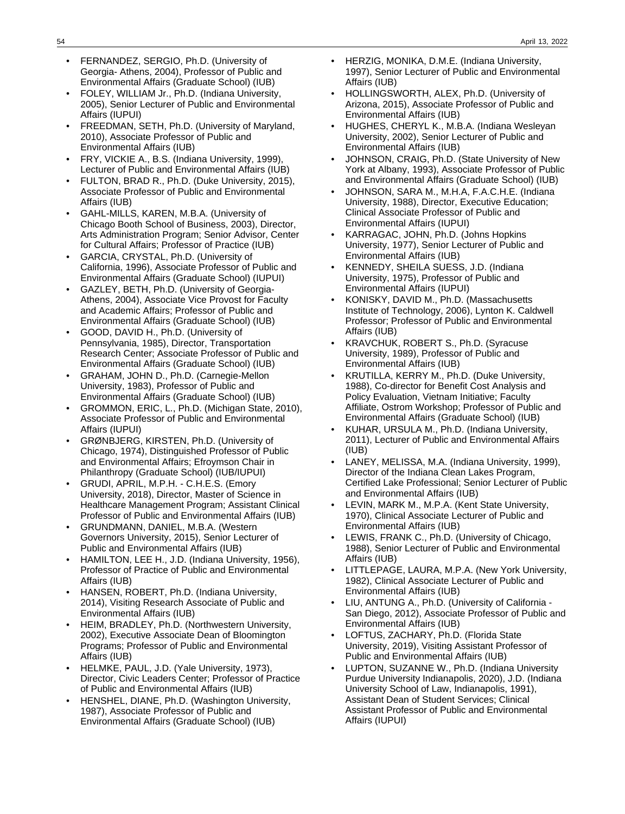- FERNANDEZ, SERGIO, Ph.D. (University of Georgia- Athens, 2004), Professor of Public and Environmental Affairs (Graduate School) (IUB)
- FOLEY, WILLIAM Jr., Ph.D. (Indiana University, 2005), Senior Lecturer of Public and Environmental Affairs (IUPUI)
- FREEDMAN, SETH, Ph.D. (University of Maryland, 2010), Associate Professor of Public and Environmental Affairs (IUB)
- FRY, VICKIE A., B.S. (Indiana University, 1999), Lecturer of Public and Environmental Affairs (IUB)
- FULTON, BRAD R., Ph.D. (Duke University, 2015), Associate Professor of Public and Environmental Affairs (IUB)
- GAHL-MILLS, KAREN, M.B.A. (University of Chicago Booth School of Business, 2003), Director, Arts Administration Program; Senior Advisor, Center for Cultural Affairs; Professor of Practice (IUB)
- GARCIA, CRYSTAL, Ph.D. (University of California, 1996), Associate Professor of Public and Environmental Affairs (Graduate School) (IUPUI)
- GAZLEY, BETH, Ph.D. (University of Georgia-Athens, 2004), Associate Vice Provost for Faculty and Academic Affairs; Professor of Public and Environmental Affairs (Graduate School) (IUB)
- GOOD, DAVID H., Ph.D. (University of Pennsylvania, 1985), Director, Transportation Research Center; Associate Professor of Public and Environmental Affairs (Graduate School) (IUB)
- GRAHAM, JOHN D., Ph.D. (Carnegie-Mellon University, 1983), Professor of Public and Environmental Affairs (Graduate School) (IUB)
- GROMMON, ERIC, L., Ph.D. (Michigan State, 2010), Associate Professor of Public and Environmental Affairs (IUPUI)
- GRØNBJERG, KIRSTEN, Ph.D. (University of Chicago, 1974), Distinguished Professor of Public and Environmental Affairs; Efroymson Chair in Philanthropy (Graduate School) (IUB/IUPUI)
- GRUDI, APRIL, M.P.H. C.H.E.S. (Emory University, 2018), Director, Master of Science in Healthcare Management Program; Assistant Clinical Professor of Public and Environmental Affairs (IUB)
- GRUNDMANN, DANIEL, M.B.A. (Western Governors University, 2015), Senior Lecturer of Public and Environmental Affairs (IUB)
- HAMILTON, LEE H., J.D. (Indiana University, 1956), Professor of Practice of Public and Environmental Affairs (IUB)
- HANSEN, ROBERT, Ph.D. (Indiana University, 2014), Visiting Research Associate of Public and Environmental Affairs (IUB)
- HEIM, BRADLEY, Ph.D. (Northwestern University, 2002), Executive Associate Dean of Bloomington Programs; Professor of Public and Environmental Affairs (IUB)
- HELMKE, PAUL, J.D. (Yale University, 1973), Director, Civic Leaders Center; Professor of Practice of Public and Environmental Affairs (IUB)
- HENSHEL, DIANE, Ph.D. (Washington University, 1987), Associate Professor of Public and Environmental Affairs (Graduate School) (IUB)
- HERZIG, MONIKA, D.M.E. (Indiana University, 1997), Senior Lecturer of Public and Environmental Affairs (IUB)
- HOLLINGSWORTH, ALEX, Ph.D. (University of Arizona, 2015), Associate Professor of Public and Environmental Affairs (IUB)
- HUGHES, CHERYL K., M.B.A. (Indiana Wesleyan University, 2002), Senior Lecturer of Public and Environmental Affairs (IUB)
- JOHNSON, CRAIG, Ph.D. (State University of New York at Albany, 1993), Associate Professor of Public and Environmental Affairs (Graduate School) (IUB)
- JOHNSON, SARA M., M.H.A, F.A.C.H.E. (Indiana University, 1988), Director, Executive Education; Clinical Associate Professor of Public and Environmental Affairs (IUPUI)
- KARRAGAC, JOHN, Ph.D. (Johns Hopkins University, 1977), Senior Lecturer of Public and Environmental Affairs (IUB)
- KENNEDY, SHEILA SUESS, J.D. (Indiana University, 1975), Professor of Public and Environmental Affairs (IUPUI)
- KONISKY, DAVID M., Ph.D. (Massachusetts Institute of Technology, 2006), Lynton K. Caldwell Professor; Professor of Public and Environmental Affairs (IUB)
- KRAVCHUK, ROBERT S., Ph.D. (Syracuse University, 1989), Professor of Public and Environmental Affairs (IUB)
- KRUTILLA, KERRY M., Ph.D. (Duke University, 1988), Co-director for Benefit Cost Analysis and Policy Evaluation, Vietnam Initiative; Faculty Affiliate, Ostrom Workshop; Professor of Public and Environmental Affairs (Graduate School) (IUB)
- KUHAR, URSULA M., Ph.D. (Indiana University, 2011), Lecturer of Public and Environmental Affairs (IUB)
- LANEY, MELISSA, M.A. (Indiana University, 1999), Director of the Indiana Clean Lakes Program, Certified Lake Professional; Senior Lecturer of Public and Environmental Affairs (IUB)
- LEVIN, MARK M., M.P.A. (Kent State University, 1970), Clinical Associate Lecturer of Public and Environmental Affairs (IUB)
- LEWIS, FRANK C., Ph.D. (University of Chicago, 1988), Senior Lecturer of Public and Environmental Affairs (IUB)
- LITTLEPAGE, LAURA, M.P.A. (New York University, 1982), Clinical Associate Lecturer of Public and Environmental Affairs (IUB)
- LIU, ANTUNG A., Ph.D. (University of California San Diego, 2012), Associate Professor of Public and Environmental Affairs (IUB)
- LOFTUS, ZACHARY, Ph.D. (Florida State University, 2019), Visiting Assistant Professor of Public and Environmental Affairs (IUB)
- LUPTON, SUZANNE W., Ph.D. (Indiana University Purdue University Indianapolis, 2020), J.D. (Indiana University School of Law, Indianapolis, 1991), Assistant Dean of Student Services; Clinical Assistant Professor of Public and Environmental Affairs (IUPUI)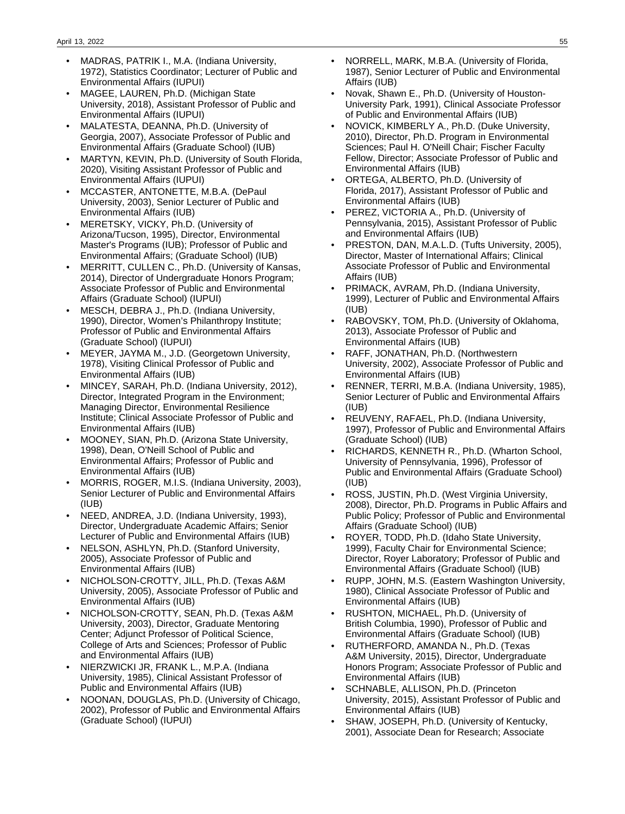- MADRAS, PATRIK I., M.A. (Indiana University, 1972), Statistics Coordinator; Lecturer of Public and Environmental Affairs (IUPUI)
- MAGEE, LAUREN, Ph.D. (Michigan State University, 2018), Assistant Professor of Public and Environmental Affairs (IUPUI)
- MALATESTA, DEANNA, Ph.D. (University of Georgia, 2007), Associate Professor of Public and Environmental Affairs (Graduate School) (IUB)
- MARTYN, KEVIN, Ph.D. (University of South Florida, 2020), Visiting Assistant Professor of Public and Environmental Affairs (IUPUI)
- MCCASTER, ANTONETTE, M.B.A. (DePaul University, 2003), Senior Lecturer of Public and Environmental Affairs (IUB)
- MERETSKY, VICKY, Ph.D. (University of Arizona/Tucson, 1995), Director, Environmental Master's Programs (IUB); Professor of Public and Environmental Affairs; (Graduate School) (IUB)
- MERRITT, CULLEN C., Ph.D. (University of Kansas, 2014), Director of Undergraduate Honors Program; Associate Professor of Public and Environmental Affairs (Graduate School) (IUPUI)
- MESCH, DEBRA J., Ph.D. (Indiana University, 1990), Director, Women's Philanthropy Institute; Professor of Public and Environmental Affairs (Graduate School) (IUPUI)
- MEYER, JAYMA M., J.D. (Georgetown University, 1978), Visiting Clinical Professor of Public and Environmental Affairs (IUB)
- MINCEY, SARAH, Ph.D. (Indiana University, 2012), Director, Integrated Program in the Environment; Managing Director, Environmental Resilience Institute; Clinical Associate Professor of Public and Environmental Affairs (IUB)
- MOONEY, SIAN, Ph.D. (Arizona State University, 1998), Dean, O'Neill School of Public and Environmental Affairs; Professor of Public and Environmental Affairs (IUB)
- MORRIS, ROGER, M.I.S. (Indiana University, 2003), Senior Lecturer of Public and Environmental Affairs (IUB)
- NEED, ANDREA, J.D. (Indiana University, 1993), Director, Undergraduate Academic Affairs; Senior Lecturer of Public and Environmental Affairs (IUB)
- NELSON, ASHLYN, Ph.D. (Stanford University, 2005), Associate Professor of Public and Environmental Affairs (IUB)
- NICHOLSON-CROTTY, JILL, Ph.D. (Texas A&M University, 2005), Associate Professor of Public and Environmental Affairs (IUB)
- NICHOLSON-CROTTY, SEAN, Ph.D. (Texas A&M University, 2003), Director, Graduate Mentoring Center; Adjunct Professor of Political Science, College of Arts and Sciences; Professor of Public and Environmental Affairs (IUB)
- NIERZWICKI JR, FRANK L., M.P.A. (Indiana University, 1985), Clinical Assistant Professor of Public and Environmental Affairs (IUB)
- NOONAN, DOUGLAS, Ph.D. (University of Chicago, 2002), Professor of Public and Environmental Affairs (Graduate School) (IUPUI)
- NORRELL, MARK, M.B.A. (University of Florida, 1987), Senior Lecturer of Public and Environmental Affairs (IUB)
- Novak, Shawn E., Ph.D. (University of Houston-University Park, 1991), Clinical Associate Professor of Public and Environmental Affairs (IUB)
- NOVICK, KIMBERLY A., Ph.D. (Duke University, 2010), Director, Ph.D. Program in Environmental Sciences; Paul H. O'Neill Chair; Fischer Faculty Fellow, Director; Associate Professor of Public and Environmental Affairs (IUB)
- ORTEGA, ALBERTO, Ph.D. (University of Florida, 2017), Assistant Professor of Public and Environmental Affairs (IUB)
- PEREZ, VICTORIA A., Ph.D. (University of Pennsylvania, 2015), Assistant Professor of Public and Environmental Affairs (IUB)
- PRESTON, DAN, M.A.L.D. (Tufts University, 2005), Director, Master of International Affairs; Clinical Associate Professor of Public and Environmental Affairs (IUB)
- PRIMACK, AVRAM, Ph.D. (Indiana University, 1999), Lecturer of Public and Environmental Affairs (IUB)
- RABOVSKY, TOM, Ph.D. (University of Oklahoma, 2013), Associate Professor of Public and Environmental Affairs (IUB)
- RAFF, JONATHAN, Ph.D. (Northwestern University, 2002), Associate Professor of Public and Environmental Affairs (IUB)
- RENNER, TERRI, M.B.A. (Indiana University, 1985), Senior Lecturer of Public and Environmental Affairs (IUB)
- REUVENY, RAFAEL, Ph.D. (Indiana University, 1997), Professor of Public and Environmental Affairs (Graduate School) (IUB)
- RICHARDS, KENNETH R., Ph.D. (Wharton School, University of Pennsylvania, 1996), Professor of Public and Environmental Affairs (Graduate School) (IUB)
- ROSS, JUSTIN, Ph.D. (West Virginia University, 2008), Director, Ph.D. Programs in Public Affairs and Public Policy; Professor of Public and Environmental Affairs (Graduate School) (IUB)
- ROYER, TODD, Ph.D. (Idaho State University, 1999), Faculty Chair for Environmental Science; Director, Royer Laboratory; Professor of Public and Environmental Affairs (Graduate School) (IUB)
- RUPP, JOHN, M.S. (Eastern Washington University, 1980), Clinical Associate Professor of Public and Environmental Affairs (IUB)
- RUSHTON, MICHAEL, Ph.D. (University of British Columbia, 1990), Professor of Public and Environmental Affairs (Graduate School) (IUB)
- RUTHERFORD, AMANDA N., Ph.D. (Texas A&M University, 2015), Director, Undergraduate Honors Program; Associate Professor of Public and Environmental Affairs (IUB)
- SCHNABLE, ALLISON, Ph.D. (Princeton University, 2015), Assistant Professor of Public and Environmental Affairs (IUB)
- SHAW, JOSEPH, Ph.D. (University of Kentucky, 2001), Associate Dean for Research; Associate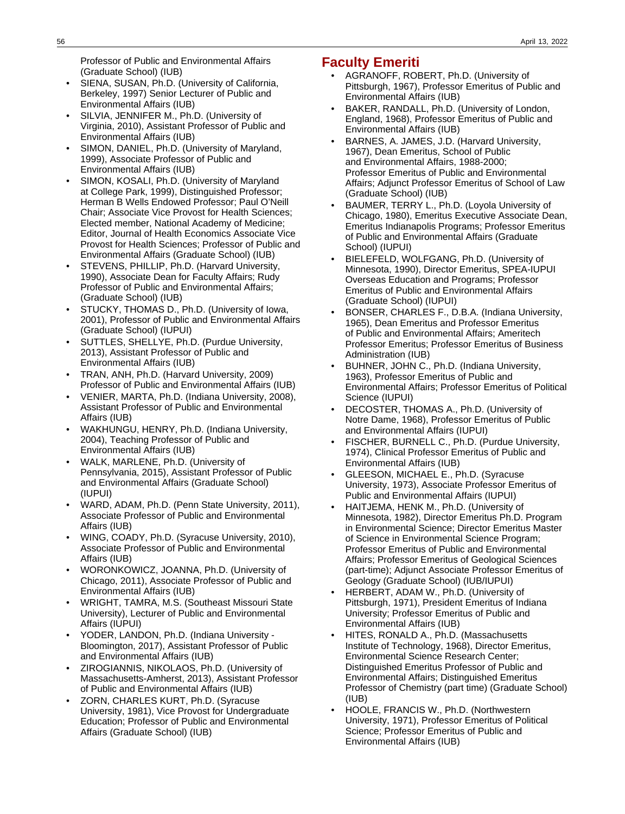Professor of Public and Environmental Affairs (Graduate School) (IUB)

- SIENA, SUSAN, Ph.D. (University of California, Berkeley, 1997) Senior Lecturer of Public and Environmental Affairs (IUB)
- SILVIA, JENNIFER M., Ph.D. (University of Virginia, 2010), Assistant Professor of Public and Environmental Affairs (IUB)
- SIMON, DANIEL, Ph.D. (University of Maryland, 1999), Associate Professor of Public and Environmental Affairs (IUB)
- SIMON, KOSALI, Ph.D. (University of Maryland at College Park, 1999), Distinguished Professor; Herman B Wells Endowed Professor; Paul O'Neill Chair; Associate Vice Provost for Health Sciences; Elected member, National Academy of Medicine; Editor, Journal of Health Economics Associate Vice Provost for Health Sciences; Professor of Public and Environmental Affairs (Graduate School) (IUB)
- STEVENS, PHILLIP, Ph.D. (Harvard University, 1990), Associate Dean for Faculty Affairs; Rudy Professor of Public and Environmental Affairs; (Graduate School) (IUB)
- STUCKY, THOMAS D., Ph.D. (University of Iowa, 2001), Professor of Public and Environmental Affairs (Graduate School) (IUPUI)
- SUTTLES, SHELLYE, Ph.D. (Purdue University, 2013), Assistant Professor of Public and Environmental Affairs (IUB)
- TRAN, ANH, Ph.D. (Harvard University, 2009) Professor of Public and Environmental Affairs (IUB)
- VENIER, MARTA, Ph.D. (Indiana University, 2008), Assistant Professor of Public and Environmental Affairs (IUB)
- WAKHUNGU, HENRY, Ph.D. (Indiana University, 2004), Teaching Professor of Public and Environmental Affairs (IUB)
- WALK, MARLENE, Ph.D. (University of Pennsylvania, 2015), Assistant Professor of Public and Environmental Affairs (Graduate School) (IUPUI)
- WARD, ADAM, Ph.D. (Penn State University, 2011), Associate Professor of Public and Environmental Affairs (IUB)
- WING, COADY, Ph.D. (Syracuse University, 2010), Associate Professor of Public and Environmental Affairs (IUB)
- WORONKOWICZ, JOANNA, Ph.D. (University of Chicago, 2011), Associate Professor of Public and Environmental Affairs (IUB)
- WRIGHT, TAMRA, M.S. (Southeast Missouri State University), Lecturer of Public and Environmental Affairs (IUPUI)
- YODER, LANDON, Ph.D. (Indiana University Bloomington, 2017), Assistant Professor of Public and Environmental Affairs (IUB)
- ZIROGIANNIS, NIKOLAOS, Ph.D. (University of Massachusetts-Amherst, 2013), Assistant Professor of Public and Environmental Affairs (IUB)
- ZORN, CHARLES KURT, Ph.D. (Syracuse University, 1981), Vice Provost for Undergraduate Education; Professor of Public and Environmental Affairs (Graduate School) (IUB)

# **Faculty Emeriti**

- AGRANOFF, ROBERT, Ph.D. (University of Pittsburgh, 1967), Professor Emeritus of Public and Environmental Affairs (IUB)
- BAKER, RANDALL, Ph.D. (University of London, England, 1968), Professor Emeritus of Public and Environmental Affairs (IUB)
- BARNES, A. JAMES, J.D. (Harvard University, 1967), Dean Emeritus, School of Public and Environmental Affairs, 1988-2000; Professor Emeritus of Public and Environmental Affairs; Adjunct Professor Emeritus of School of Law (Graduate School) (IUB)
- BAUMER, TERRY L., Ph.D. (Loyola University of Chicago, 1980), Emeritus Executive Associate Dean, Emeritus Indianapolis Programs; Professor Emeritus of Public and Environmental Affairs (Graduate School) (IUPUI)
- BIELEFELD, WOLFGANG, Ph.D. (University of Minnesota, 1990), Director Emeritus, SPEA-IUPUI Overseas Education and Programs; Professor Emeritus of Public and Environmental Affairs (Graduate School) (IUPUI)
- BONSER, CHARLES F., D.B.A. (Indiana University, 1965), Dean Emeritus and Professor Emeritus of Public and Environmental Affairs; Ameritech Professor Emeritus; Professor Emeritus of Business Administration (IUB)
- BUHNER, JOHN C., Ph.D. (Indiana University, 1963), Professor Emeritus of Public and Environmental Affairs; Professor Emeritus of Political Science (IUPUI)
- DECOSTER, THOMAS A., Ph.D. (University of Notre Dame, 1968), Professor Emeritus of Public and Environmental Affairs (IUPUI)
- FISCHER, BURNELL C., Ph.D. (Purdue University, 1974), Clinical Professor Emeritus of Public and Environmental Affairs (IUB)
- GLEESON, MICHAEL E., Ph.D. (Syracuse University, 1973), Associate Professor Emeritus of Public and Environmental Affairs (IUPUI)
- HAITJEMA, HENK M., Ph.D. (University of Minnesota, 1982), Director Emeritus Ph.D. Program in Environmental Science; Director Emeritus Master of Science in Environmental Science Program; Professor Emeritus of Public and Environmental Affairs; Professor Emeritus of Geological Sciences (part-time); Adjunct Associate Professor Emeritus of Geology (Graduate School) (IUB/IUPUI)
- HERBERT, ADAM W., Ph.D. (University of Pittsburgh, 1971), President Emeritus of Indiana University; Professor Emeritus of Public and Environmental Affairs (IUB)
- HITES, RONALD A., Ph.D. (Massachusetts Institute of Technology, 1968), Director Emeritus, Environmental Science Research Center; Distinguished Emeritus Professor of Public and Environmental Affairs; Distinguished Emeritus Professor of Chemistry (part time) (Graduate School) (IUB)
- HOOLE, FRANCIS W., Ph.D. (Northwestern University, 1971), Professor Emeritus of Political Science; Professor Emeritus of Public and Environmental Affairs (IUB)